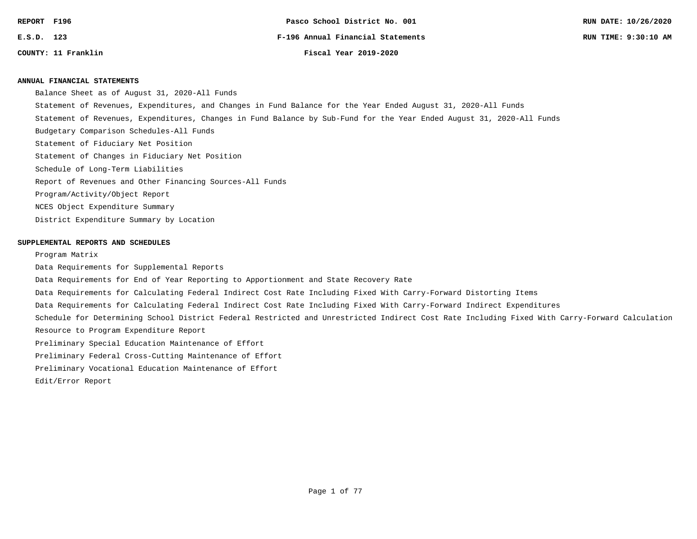| REPORT F196  |                     |
|--------------|---------------------|
| $E.S.D.$ 123 |                     |
|              | COUNTY: 11 Franklin |

**COUNTY: 11 Franklin Fiscal Year 2019-2020**

#### **ANNUAL FINANCIAL STATEMENTS**

Balance Sheet as of August 31, 2020-All Funds

- Statement of Revenues, Expenditures, and Changes in Fund Balance for the Year Ended August 31, 2020-All Funds
- Statement of Revenues, Expenditures, Changes in Fund Balance by Sub-Fund for the Year Ended August 31, 2020-All Funds
- Budgetary Comparison Schedules-All Funds
- Statement of Fiduciary Net Position
- Statement of Changes in Fiduciary Net Position
- Schedule of Long-Term Liabilities
- Report of Revenues and Other Financing Sources-All Funds
- Program/Activity/Object Report
- NCES Object Expenditure Summary
- District Expenditure Summary by Location

#### **SUPPLEMENTAL REPORTS AND SCHEDULES**

#### Program Matrix

Data Requirements for Supplemental Reports Data Requirements for End of Year Reporting to Apportionment and State Recovery Rate Data Requirements for Calculating Federal Indirect Cost Rate Including Fixed With Carry-Forward Distorting Items Data Requirements for Calculating Federal Indirect Cost Rate Including Fixed With Carry-Forward Indirect Expenditures Schedule for Determining School District Federal Restricted and Unrestricted Indirect Cost Rate Including Fixed With Carry-Forward Calculation Resource to Program Expenditure Report Preliminary Special Education Maintenance of Effort Preliminary Federal Cross-Cutting Maintenance of Effort Preliminary Vocational Education Maintenance of Effort Edit/Error Report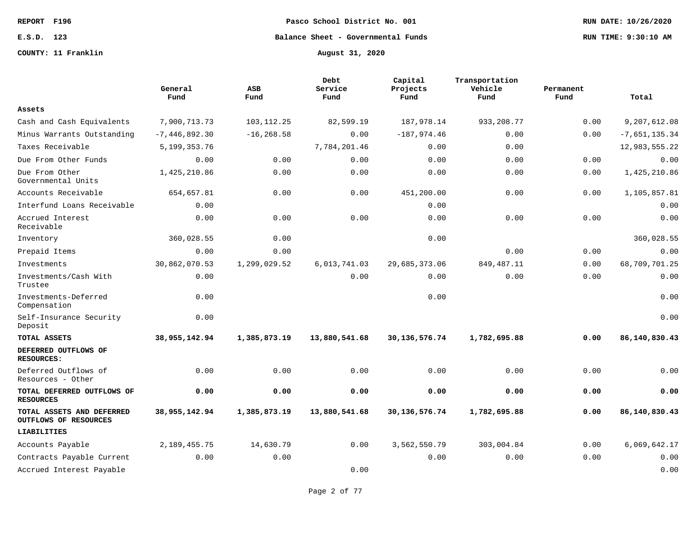**COUNTY: 11 Franklin August 31, 2020**

**REPORT F196 Pasco School District No. 001 RUN DATE: 10/26/2020**

**E.S.D. 123 Balance Sheet - Governmental Funds RUN TIME: 9:30:10 AM**

|                                                    | General<br>Fund  | ASB<br>Fund   | Debt<br>Service<br>Fund | Capital<br>Projects<br>Fund | Transportation<br>Vehicle<br>Fund | Permanent<br>Fund | Total           |
|----------------------------------------------------|------------------|---------------|-------------------------|-----------------------------|-----------------------------------|-------------------|-----------------|
| Assets                                             |                  |               |                         |                             |                                   |                   |                 |
| Cash and Cash Equivalents                          | 7,900,713.73     | 103, 112. 25  | 82,599.19               | 187,978.14                  | 933, 208.77                       | 0.00              | 9,207,612.08    |
| Minus Warrants Outstanding                         | $-7,446,892.30$  | $-16, 268.58$ | 0.00                    | $-187,974.46$               | 0.00                              | 0.00              | $-7,651,135.34$ |
| Taxes Receivable                                   | 5,199,353.76     |               | 7,784,201.46            | 0.00                        | 0.00                              |                   | 12,983,555.22   |
| Due From Other Funds                               | 0.00             | 0.00          | 0.00                    | 0.00                        | 0.00                              | 0.00              | 0.00            |
| Due From Other<br>Governmental Units               | 1,425,210.86     | 0.00          | 0.00                    | 0.00                        | 0.00                              | 0.00              | 1,425,210.86    |
| Accounts Receivable                                | 654,657.81       | 0.00          | 0.00                    | 451,200.00                  | 0.00                              | 0.00              | 1,105,857.81    |
| Interfund Loans Receivable                         | 0.00             |               |                         | 0.00                        |                                   |                   | 0.00            |
| Accrued Interest<br>Receivable                     | 0.00             | 0.00          | 0.00                    | 0.00                        | 0.00                              | 0.00              | 0.00            |
| Inventory                                          | 360,028.55       | 0.00          |                         | 0.00                        |                                   |                   | 360,028.55      |
| Prepaid Items                                      | 0.00             | 0.00          |                         |                             | 0.00                              | 0.00              | 0.00            |
| Investments                                        | 30,862,070.53    | 1,299,029.52  | 6,013,741.03            | 29,685,373.06               | 849, 487. 11                      | 0.00              | 68,709,701.25   |
| Investments/Cash With<br>Trustee                   | 0.00             |               | 0.00                    | 0.00                        | 0.00                              | 0.00              | 0.00            |
| Investments-Deferred<br>Compensation               | 0.00             |               |                         | 0.00                        |                                   |                   | 0.00            |
| Self-Insurance Security<br>Deposit                 | 0.00             |               |                         |                             |                                   |                   | 0.00            |
| TOTAL ASSETS                                       | 38, 955, 142. 94 | 1,385,873.19  | 13,880,541.68           | 30, 136, 576. 74            | 1,782,695.88                      | 0.00              | 86,140,830.43   |
| DEFERRED OUTFLOWS OF<br><b>RESOURCES:</b>          |                  |               |                         |                             |                                   |                   |                 |
| Deferred Outflows of<br>Resources - Other          | 0.00             | 0.00          | 0.00                    | 0.00                        | 0.00                              | 0.00              | 0.00            |
| TOTAL DEFERRED OUTFLOWS OF<br><b>RESOURCES</b>     | 0.00             | 0.00          | 0.00                    | 0.00                        | 0.00                              | 0.00              | 0.00            |
| TOTAL ASSETS AND DEFERRED<br>OUTFLOWS OF RESOURCES | 38,955,142.94    | 1,385,873.19  | 13,880,541.68           | 30, 136, 576. 74            | 1,782,695.88                      | 0.00              | 86,140,830.43   |
| LIABILITIES                                        |                  |               |                         |                             |                                   |                   |                 |
| Accounts Payable                                   | 2,189,455.75     | 14,630.79     | 0.00                    | 3,562,550.79                | 303,004.84                        | 0.00              | 6,069,642.17    |
| Contracts Payable Current                          | 0.00             | 0.00          |                         | 0.00                        | 0.00                              | 0.00              | 0.00            |
| Accrued Interest Payable                           |                  |               | 0.00                    |                             |                                   |                   | 0.00            |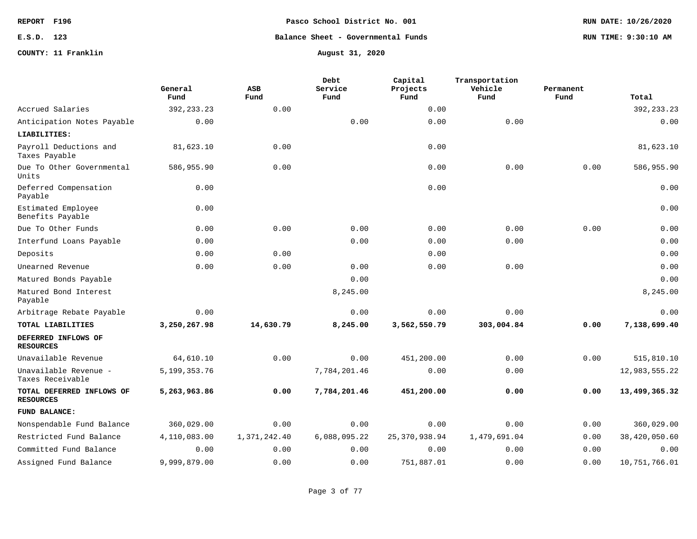# **E.S.D. 123 Balance Sheet - Governmental Funds RUN TIME: 9:30:10 AM**

### **COUNTY: 11 Franklin August 31, 2020**

|                                               | General<br>Fund | <b>ASB</b><br>Fund | Debt<br>Service<br>Fund | Capital<br>Projects<br>Fund | Transportation<br>Vehicle<br>Fund | Permanent<br>Fund | Total           |
|-----------------------------------------------|-----------------|--------------------|-------------------------|-----------------------------|-----------------------------------|-------------------|-----------------|
| Accrued Salaries                              | 392, 233. 23    | 0.00               |                         | 0.00                        |                                   |                   | 392, 233. 23    |
| Anticipation Notes Payable                    | 0.00            |                    | 0.00                    | 0.00                        | 0.00                              |                   | 0.00            |
| LIABILITIES:                                  |                 |                    |                         |                             |                                   |                   |                 |
| Payroll Deductions and<br>Taxes Payable       | 81,623.10       | 0.00               |                         | 0.00                        |                                   |                   | 81,623.10       |
| Due To Other Governmental<br>Units            | 586,955.90      | 0.00               |                         | 0.00                        | 0.00                              | 0.00              | 586,955.90      |
| Deferred Compensation<br>Payable              | 0.00            |                    |                         | 0.00                        |                                   |                   | 0.00            |
| Estimated Employee<br>Benefits Payable        | 0.00            |                    |                         |                             |                                   |                   | 0.00            |
| Due To Other Funds                            | 0.00            | 0.00               | 0.00                    | 0.00                        | 0.00                              | 0.00              | 0.00            |
| Interfund Loans Payable                       | 0.00            |                    | 0.00                    | 0.00                        | 0.00                              |                   | 0.00            |
| Deposits                                      | 0.00            | 0.00               |                         | 0.00                        |                                   |                   | 0.00            |
| Unearned Revenue                              | 0.00            | 0.00               | 0.00                    | 0.00                        | 0.00                              |                   | 0.00            |
| Matured Bonds Payable                         |                 |                    | 0.00                    |                             |                                   |                   | 0.00            |
| Matured Bond Interest<br>Payable              |                 |                    | 8,245.00                |                             |                                   |                   | 8,245.00        |
| Arbitrage Rebate Payable                      | 0.00            |                    | 0.00                    | 0.00                        | 0.00                              |                   | 0.00            |
| TOTAL LIABILITIES                             | 3,250,267.98    | 14,630.79          | 8,245.00                | 3,562,550.79                | 303,004.84                        | 0.00              | 7,138,699.40    |
| DEFERRED INFLOWS OF<br><b>RESOURCES</b>       |                 |                    |                         |                             |                                   |                   |                 |
| Unavailable Revenue                           | 64,610.10       | 0.00               | 0.00                    | 451,200.00                  | 0.00                              | 0.00              | 515,810.10      |
| Unavailable Revenue -<br>Taxes Receivable     | 5, 199, 353. 76 |                    | 7,784,201.46            | 0.00                        | 0.00                              |                   | 12,983,555.22   |
| TOTAL DEFERRED INFLOWS OF<br><b>RESOURCES</b> | 5,263,963.86    | 0.00               | 7,784,201.46            | 451,200.00                  | 0.00                              | 0.00              | 13,499,365.32   |
| FUND BALANCE:                                 |                 |                    |                         |                             |                                   |                   |                 |
| Nonspendable Fund Balance                     | 360,029.00      | 0.00               | 0.00                    | 0.00                        | 0.00                              | 0.00              | 360,029.00      |
| Restricted Fund Balance                       | 4,110,083.00    | 1,371,242.40       | 6,088,095.22            | 25, 370, 938.94             | 1,479,691.04                      | 0.00              | 38,420,050.60   |
| Committed Fund Balance                        | 0.00            | 0.00               | 0.00                    | 0.00                        | 0.00                              | 0.00              | 0.00            |
| Assigned Fund Balance                         | 9,999,879.00    | 0.00               | 0.00                    | 751,887.01                  | 0.00                              | 0.00              | 10, 751, 766.01 |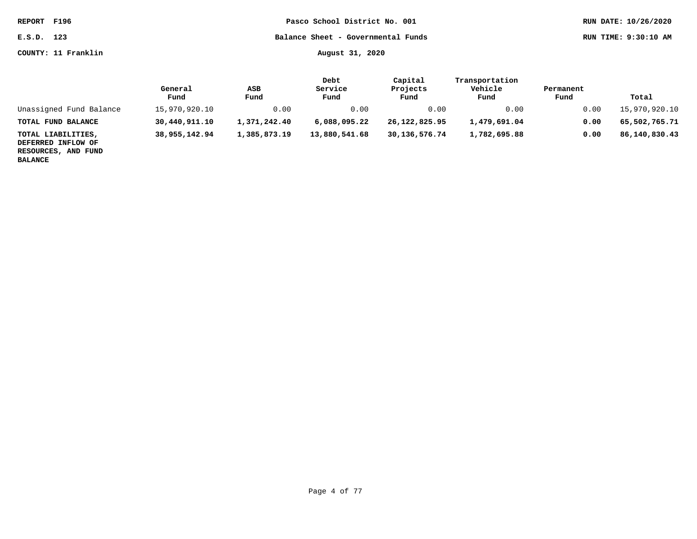**E.S.D. 123 Balance Sheet - Governmental Funds RUN TIME: 9:30:10 AM**

**COUNTY: 11 Franklin August 31, 2020**

|  | 이 사람들은 그 사람들은 아이들이 아이들이 아이들이 아니라 아이들이 아니라 아이들이 아니라 아이들이 아니라 아이들이 아니라 아이들이 아니라 아이들이 아니라 아이들이 아니라 아이들이 아니라 아이들이 아니라 |  |  |
|--|-------------------------------------------------------------------------------------------------------------------|--|--|

|                                                                 | General<br>Fund | ASB<br>Fund  | Debt<br>Service<br>Fund | Capital<br>Projects<br>Fund | Transportation<br>Vehicle<br>Fund | Permanent<br>Fund | Total         |
|-----------------------------------------------------------------|-----------------|--------------|-------------------------|-----------------------------|-----------------------------------|-------------------|---------------|
| Unassigned Fund Balance                                         | 15,970,920.10   | 0.00         | 0.00                    | 0.00                        | 0.00                              | 0.00              | 15,970,920.10 |
| TOTAL FUND BALANCE                                              | 30,440,911.10   | 1,371,242.40 | 6,088,095.22            | 26,122,825.95               | 1,479,691.04                      | 0.00              | 65,502,765.71 |
| TOTAL LIABILITIES,<br>DEFERRED INFLOW OF<br>RESOURCES, AND FUND | 38,955,142.94   | 1,385,873.19 | 13,880,541.68           | 30,136,576.74               | 1,782,695.88                      | 0.00              | 86,140,830.43 |

**BALANCE**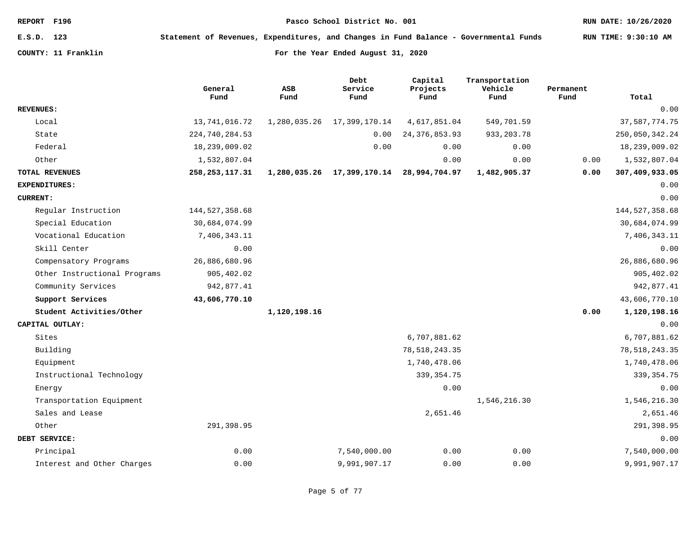**E.S.D. 123 Statement of Revenues, Expenditures, and Changes in Fund Balance - Governmental Funds RUN TIME: 9:30:10 AM**

|                              | General<br>Fund  | <b>ASB</b><br>Fund | Debt<br>Service<br>Fund | Capital<br>Projects<br>Fund | Transportation<br>Vehicle<br>Fund | Permanent<br>Fund | Total            |
|------------------------------|------------------|--------------------|-------------------------|-----------------------------|-----------------------------------|-------------------|------------------|
| <b>REVENUES:</b>             |                  |                    |                         |                             |                                   |                   | 0.00             |
| Local                        | 13,741,016.72    | 1,280,035.26       | 17,399,170.14           | 4,617,851.04                | 549,701.59                        |                   | 37, 587, 774.75  |
| State                        | 224,740,284.53   |                    | 0.00                    | 24, 376, 853.93             | 933, 203. 78                      |                   | 250,050,342.24   |
| Federal                      | 18,239,009.02    |                    | 0.00                    | 0.00                        | 0.00                              |                   | 18,239,009.02    |
| Other                        | 1,532,807.04     |                    |                         | 0.00                        | 0.00                              | 0.00              | 1,532,807.04     |
| TOTAL REVENUES               | 258, 253, 117.31 | 1,280,035.26       | 17,399,170.14           | 28,994,704.97               | 1,482,905.37                      | 0.00              | 307,409,933.05   |
| <b>EXPENDITURES:</b>         |                  |                    |                         |                             |                                   |                   | 0.00             |
| <b>CURRENT:</b>              |                  |                    |                         |                             |                                   |                   | 0.00             |
| Regular Instruction          | 144, 527, 358.68 |                    |                         |                             |                                   |                   | 144, 527, 358.68 |
| Special Education            | 30,684,074.99    |                    |                         |                             |                                   |                   | 30,684,074.99    |
| Vocational Education         | 7,406,343.11     |                    |                         |                             |                                   |                   | 7,406,343.11     |
| Skill Center                 | 0.00             |                    |                         |                             |                                   |                   | 0.00             |
| Compensatory Programs        | 26,886,680.96    |                    |                         |                             |                                   |                   | 26,886,680.96    |
| Other Instructional Programs | 905,402.02       |                    |                         |                             |                                   |                   | 905,402.02       |
| Community Services           | 942,877.41       |                    |                         |                             |                                   |                   | 942,877.41       |
| Support Services             | 43,606,770.10    |                    |                         |                             |                                   |                   | 43,606,770.10    |
| Student Activities/Other     |                  | 1,120,198.16       |                         |                             |                                   | 0.00              | 1,120,198.16     |
| CAPITAL OUTLAY:              |                  |                    |                         |                             |                                   |                   | 0.00             |
| Sites                        |                  |                    |                         | 6,707,881.62                |                                   |                   | 6,707,881.62     |
| Building                     |                  |                    |                         | 78, 518, 243.35             |                                   |                   | 78, 518, 243.35  |
| Equipment                    |                  |                    |                         | 1,740,478.06                |                                   |                   | 1,740,478.06     |
| Instructional Technology     |                  |                    |                         | 339, 354. 75                |                                   |                   | 339, 354.75      |
| Energy                       |                  |                    |                         | 0.00                        |                                   |                   | 0.00             |
| Transportation Equipment     |                  |                    |                         |                             | 1,546,216.30                      |                   | 1,546,216.30     |
| Sales and Lease              |                  |                    |                         | 2,651.46                    |                                   |                   | 2,651.46         |
| Other                        | 291,398.95       |                    |                         |                             |                                   |                   | 291,398.95       |
| DEBT SERVICE:                |                  |                    |                         |                             |                                   |                   | 0.00             |
| Principal                    | 0.00             |                    | 7,540,000.00            | 0.00                        | 0.00                              |                   | 7,540,000.00     |
| Interest and Other Charges   | 0.00             |                    | 9,991,907.17            | 0.00                        | 0.00                              |                   | 9,991,907.17     |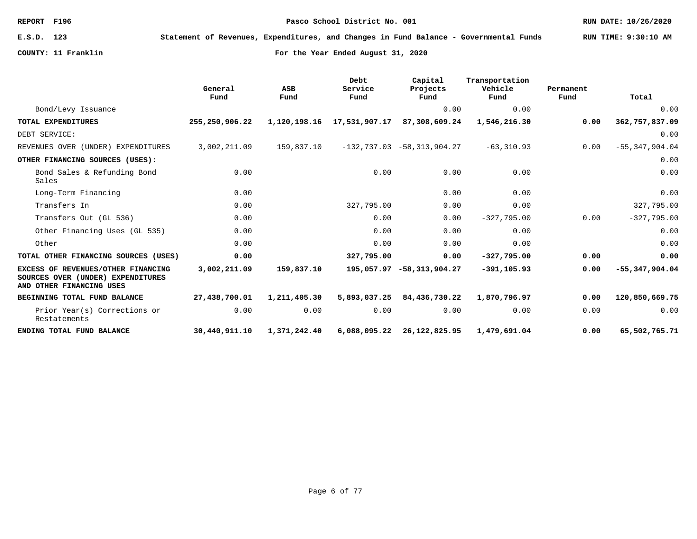**E.S.D. 123 Statement of Revenues, Expenditures, and Changes in Fund Balance - Governmental Funds RUN TIME: 9:30:10 AM**

|                                                                                                     | General<br>Fund | ASB<br>Fund  | Debt<br>Service<br>Fund | Capital<br>Projects<br>Fund    | Transportation<br>Vehicle<br>Fund | Permanent<br>Fund | Total              |
|-----------------------------------------------------------------------------------------------------|-----------------|--------------|-------------------------|--------------------------------|-----------------------------------|-------------------|--------------------|
| Bond/Levy Issuance                                                                                  |                 |              |                         | 0.00                           | 0.00                              |                   | 0.00               |
| TOTAL EXPENDITURES                                                                                  | 255,250,906.22  | 1,120,198.16 | 17,531,907.17           | 87,308,609.24                  | 1,546,216.30                      | 0.00              | 362,757,837.09     |
| DEBT SERVICE:                                                                                       |                 |              |                         |                                |                                   |                   | 0.00               |
| REVENUES OVER (UNDER) EXPENDITURES                                                                  | 3,002,211.09    | 159,837.10   |                         | $-132,737.03$ $-58,313,904.27$ | $-63, 310.93$                     | 0.00              | $-55, 347, 904.04$ |
| OTHER FINANCING SOURCES (USES):                                                                     |                 |              |                         |                                |                                   |                   | 0.00               |
| Bond Sales & Refunding Bond<br>Sales                                                                | 0.00            |              | 0.00                    | 0.00                           | 0.00                              |                   | 0.00               |
| Long-Term Financing                                                                                 | 0.00            |              |                         | 0.00                           | 0.00                              |                   | 0.00               |
| Transfers In                                                                                        | 0.00            |              | 327,795.00              | 0.00                           | 0.00                              |                   | 327,795.00         |
| Transfers Out (GL 536)                                                                              | 0.00            |              | 0.00                    | 0.00                           | $-327,795.00$                     | 0.00              | $-327,795.00$      |
| Other Financing Uses (GL 535)                                                                       | 0.00            |              | 0.00                    | 0.00                           | 0.00                              |                   | 0.00               |
| Other                                                                                               | 0.00            |              | 0.00                    | 0.00                           | 0.00                              |                   | 0.00               |
| TOTAL OTHER FINANCING SOURCES (USES)                                                                | 0.00            |              | 327,795.00              | 0.00                           | $-327,795.00$                     | 0.00              | 0.00               |
| EXCESS OF REVENUES/OTHER FINANCING<br>SOURCES OVER (UNDER) EXPENDITURES<br>AND OTHER FINANCING USES | 3,002,211.09    | 159,837.10   |                         | 195,057.97 -58,313,904.27      | $-391, 105.93$                    | 0.00              | $-55,347,904.04$   |
| BEGINNING TOTAL FUND BALANCE                                                                        | 27,438,700.01   | 1,211,405.30 | 5,893,037.25            | 84,436,730.22                  | 1,870,796.97                      | 0.00              | 120,850,669.75     |
| Prior Year(s) Corrections or<br>Restatements                                                        | 0.00            | 0.00         | 0.00                    | 0.00                           | 0.00                              | 0.00              | 0.00               |
| ENDING TOTAL FUND BALANCE                                                                           | 30,440,911.10   | 1,371,242.40 | 6,088,095.22            | 26,122,825.95                  | 1,479,691.04                      | 0.00              | 65,502,765.71      |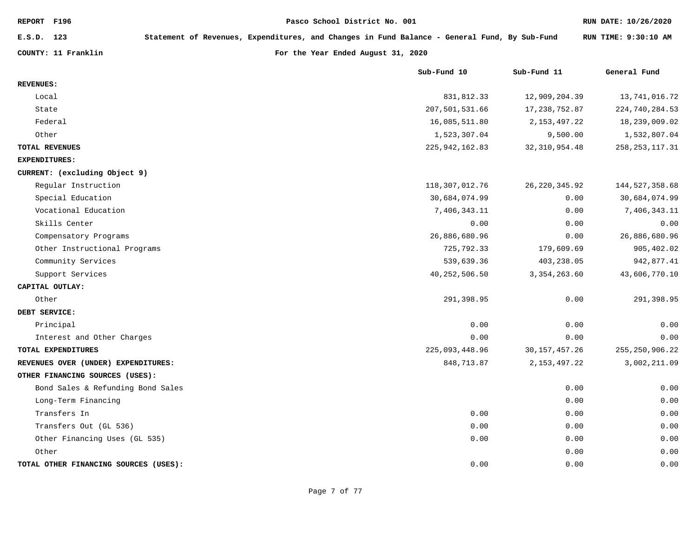| REPORT F196                           |                                                                                              |  | Pasco School District No. 001      |                  |                  | RUN DATE: 10/26/2020 |
|---------------------------------------|----------------------------------------------------------------------------------------------|--|------------------------------------|------------------|------------------|----------------------|
| E.S.D. 123                            | Statement of Revenues, Expenditures, and Changes in Fund Balance - General Fund, By Sub-Fund |  |                                    |                  |                  | RUN TIME: 9:30:10 AM |
| COUNTY: 11 Franklin                   |                                                                                              |  | For the Year Ended August 31, 2020 |                  |                  |                      |
|                                       |                                                                                              |  | Sub-Fund 10                        |                  | Sub-Fund 11      | General Fund         |
| <b>REVENUES:</b>                      |                                                                                              |  |                                    |                  |                  |                      |
| Local                                 |                                                                                              |  |                                    | 831,812.33       | 12,909,204.39    | 13,741,016.72        |
| State                                 |                                                                                              |  |                                    | 207,501,531.66   | 17,238,752.87    | 224,740,284.53       |
| Federal                               |                                                                                              |  |                                    | 16,085,511.80    | 2, 153, 497. 22  | 18,239,009.02        |
| Other                                 |                                                                                              |  |                                    | 1,523,307.04     | 9,500.00         | 1,532,807.04         |
| TOTAL REVENUES                        |                                                                                              |  |                                    | 225, 942, 162.83 | 32, 310, 954.48  | 258, 253, 117.31     |
| <b>EXPENDITURES:</b>                  |                                                                                              |  |                                    |                  |                  |                      |
| CURRENT: (excluding Object 9)         |                                                                                              |  |                                    |                  |                  |                      |
| Regular Instruction                   |                                                                                              |  |                                    | 118,307,012.76   | 26, 220, 345.92  | 144, 527, 358.68     |
| Special Education                     |                                                                                              |  |                                    | 30,684,074.99    | 0.00             | 30,684,074.99        |
| Vocational Education                  |                                                                                              |  |                                    | 7,406,343.11     | 0.00             | 7,406,343.11         |
| Skills Center                         |                                                                                              |  |                                    | 0.00             | 0.00             | 0.00                 |
| Compensatory Programs                 |                                                                                              |  |                                    | 26,886,680.96    | 0.00             | 26,886,680.96        |
| Other Instructional Programs          |                                                                                              |  |                                    | 725,792.33       | 179,609.69       | 905,402.02           |
| Community Services                    |                                                                                              |  |                                    | 539,639.36       | 403,238.05       | 942,877.41           |
| Support Services                      |                                                                                              |  |                                    | 40, 252, 506.50  | 3, 354, 263.60   | 43,606,770.10        |
| CAPITAL OUTLAY:                       |                                                                                              |  |                                    |                  |                  |                      |
| Other                                 |                                                                                              |  |                                    | 291,398.95       | 0.00             | 291,398.95           |
| DEBT SERVICE:                         |                                                                                              |  |                                    |                  |                  |                      |
| Principal                             |                                                                                              |  |                                    | 0.00             | 0.00             | 0.00                 |
| Interest and Other Charges            |                                                                                              |  |                                    | 0.00             | 0.00             | 0.00                 |
| TOTAL EXPENDITURES                    |                                                                                              |  |                                    | 225,093,448.96   | 30, 157, 457. 26 | 255, 250, 906. 22    |
| REVENUES OVER (UNDER) EXPENDITURES:   |                                                                                              |  |                                    | 848,713.87       | 2, 153, 497. 22  | 3,002,211.09         |
| OTHER FINANCING SOURCES (USES):       |                                                                                              |  |                                    |                  |                  |                      |
| Bond Sales & Refunding Bond Sales     |                                                                                              |  |                                    |                  | 0.00             | 0.00                 |
| Long-Term Financing                   |                                                                                              |  |                                    |                  | 0.00             | 0.00                 |
| Transfers In                          |                                                                                              |  |                                    | 0.00             | 0.00             | 0.00                 |
| Transfers Out (GL 536)                |                                                                                              |  |                                    | 0.00             | 0.00             | 0.00                 |
| Other Financing Uses (GL 535)         |                                                                                              |  |                                    | 0.00             | 0.00             | 0.00                 |
| Other                                 |                                                                                              |  |                                    |                  | 0.00             | 0.00                 |
| TOTAL OTHER FINANCING SOURCES (USES): |                                                                                              |  |                                    | 0.00             | 0.00             | 0.00                 |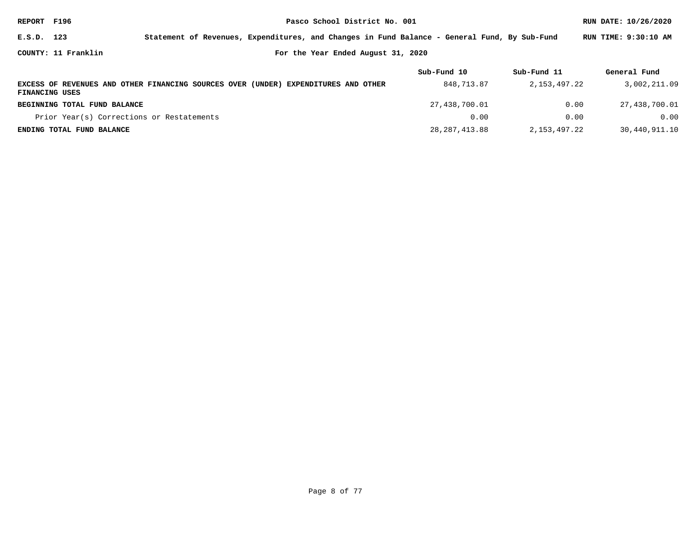| REPORT F196    |                                           |                                                                                              |                                    | RUN DATE: 10/26/2020 |              |                      |
|----------------|-------------------------------------------|----------------------------------------------------------------------------------------------|------------------------------------|----------------------|--------------|----------------------|
| E.S.D. 123     |                                           | Statement of Revenues, Expenditures, and Changes in Fund Balance - General Fund, By Sub-Fund |                                    |                      |              | RUN TIME: 9:30:10 AM |
|                | COUNTY: 11 Franklin                       |                                                                                              | For the Year Ended August 31, 2020 |                      |              |                      |
|                |                                           |                                                                                              |                                    | Sub-Fund 10          | Sub-Fund 11  | General Fund         |
| FINANCING USES |                                           | EXCESS OF REVENUES AND OTHER FINANCING SOURCES OVER (UNDER) EXPENDITURES AND OTHER           |                                    | 848, 713.87          | 2,153,497.22 | 3,002,211.09         |
|                | BEGINNING TOTAL FUND BALANCE              |                                                                                              |                                    | 27,438,700.01        | 0.00         | 27,438,700.01        |
|                | Prior Year(s) Corrections or Restatements |                                                                                              |                                    | 0.00                 | 0.00         | 0.00                 |
|                | ENDING TOTAL FUND BALANCE                 |                                                                                              |                                    | 28, 287, 413.88      | 2,153,497.22 | 30,440,911.10        |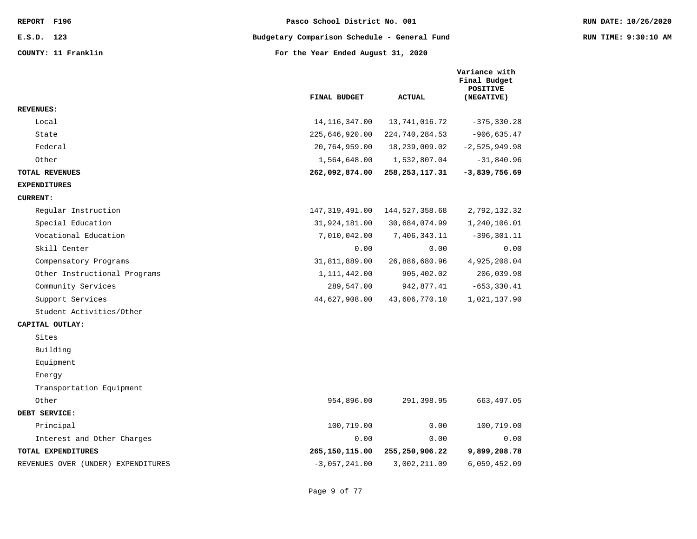|                                    | FINAL BUDGET     | <b>ACTUAL</b>    | Variance with<br>Final Budget<br><b>POSITIVE</b><br>(NEGATIVE) |
|------------------------------------|------------------|------------------|----------------------------------------------------------------|
| <b>REVENUES:</b>                   |                  |                  |                                                                |
| Local                              | 14, 116, 347.00  | 13,741,016.72    | $-375, 330.28$                                                 |
| State                              | 225,646,920.00   | 224,740,284.53   | $-906, 635.47$                                                 |
| Federal                            | 20,764,959.00    | 18,239,009.02    | $-2,525,949.98$                                                |
| Other                              | 1,564,648.00     | 1,532,807.04     | $-31,840.96$                                                   |
| <b>TOTAL REVENUES</b>              | 262,092,874.00   | 258,253,117.31   | $-3,839,756.69$                                                |
| <b>EXPENDITURES</b>                |                  |                  |                                                                |
| <b>CURRENT:</b>                    |                  |                  |                                                                |
| Regular Instruction                | 147, 319, 491.00 | 144, 527, 358.68 | 2,792,132.32                                                   |
| Special Education                  | 31,924,181.00    | 30,684,074.99    | 1,240,106.01                                                   |
| Vocational Education               | 7,010,042.00     | 7,406,343.11     | $-396, 301.11$                                                 |
| Skill Center                       | 0.00             | 0.00             | 0.00                                                           |
| Compensatory Programs              | 31,811,889.00    | 26,886,680.96    | 4,925,208.04                                                   |
| Other Instructional Programs       | 1, 111, 442.00   | 905,402.02       | 206,039.98                                                     |
| Community Services                 | 289,547.00       | 942,877.41       | $-653, 330.41$                                                 |
| Support Services                   | 44,627,908.00    | 43,606,770.10    | 1,021,137.90                                                   |
| Student Activities/Other           |                  |                  |                                                                |
| CAPITAL OUTLAY:                    |                  |                  |                                                                |
| Sites                              |                  |                  |                                                                |
| Building                           |                  |                  |                                                                |
| Equipment                          |                  |                  |                                                                |
| Energy                             |                  |                  |                                                                |
| Transportation Equipment           |                  |                  |                                                                |
| Other                              | 954,896.00       | 291,398.95       | 663,497.05                                                     |
| DEBT SERVICE:                      |                  |                  |                                                                |
| Principal                          | 100,719.00       | 0.00             | 100,719.00                                                     |
| Interest and Other Charges         | 0.00             | 0.00             | 0.00                                                           |
| TOTAL EXPENDITURES                 | 265,150,115.00   | 255,250,906.22   | 9,899,208.78                                                   |
| REVENUES OVER (UNDER) EXPENDITURES | $-3,057,241.00$  | 3,002,211.09     | 6,059,452.09                                                   |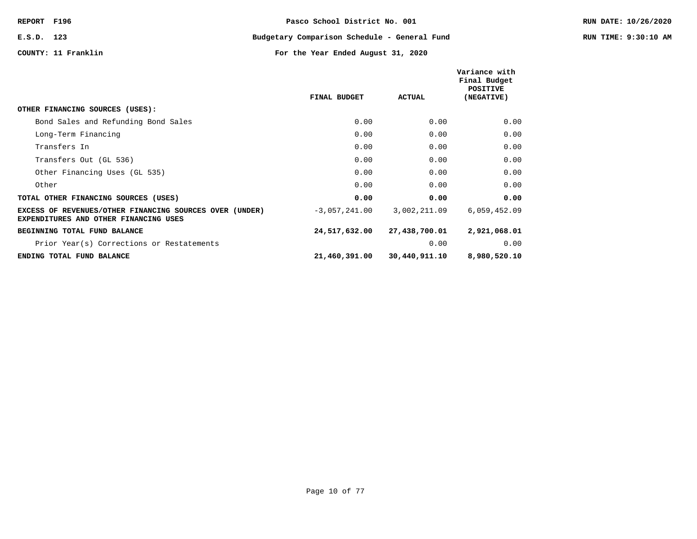|                                                                                                  |                     |               | Variance with<br>Final Budget<br>POSITIVE |
|--------------------------------------------------------------------------------------------------|---------------------|---------------|-------------------------------------------|
|                                                                                                  | <b>FINAL BUDGET</b> | <b>ACTUAL</b> | (NEGATIVE)                                |
| OTHER FINANCING SOURCES (USES):                                                                  |                     |               |                                           |
| Bond Sales and Refunding Bond Sales                                                              | 0.00                | 0.00          | 0.00                                      |
| Long-Term Financing                                                                              | 0.00                | 0.00          | 0.00                                      |
| Transfers In                                                                                     | 0.00                | 0.00          | 0.00                                      |
| Transfers Out (GL 536)                                                                           | 0.00                | 0.00          | 0.00                                      |
| Other Financing Uses (GL 535)                                                                    | 0.00                | 0.00          | 0.00                                      |
| Other                                                                                            | 0.00                | 0.00          | 0.00                                      |
| TOTAL OTHER FINANCING SOURCES (USES)                                                             | 0.00                | 0.00          | 0.00                                      |
| EXCESS OF REVENUES/OTHER FINANCING SOURCES OVER (UNDER)<br>EXPENDITURES AND OTHER FINANCING USES | $-3,057,241.00$     | 3,002,211.09  | 6,059,452.09                              |
| BEGINNING TOTAL FUND BALANCE                                                                     | 24,517,632.00       | 27,438,700.01 | 2,921,068.01                              |
| Prior Year(s) Corrections or Restatements                                                        |                     | 0.00          | 0.00                                      |
| ENDING TOTAL FUND BALANCE                                                                        | 21,460,391.00       | 30,440,911.10 | 8,980,520.10                              |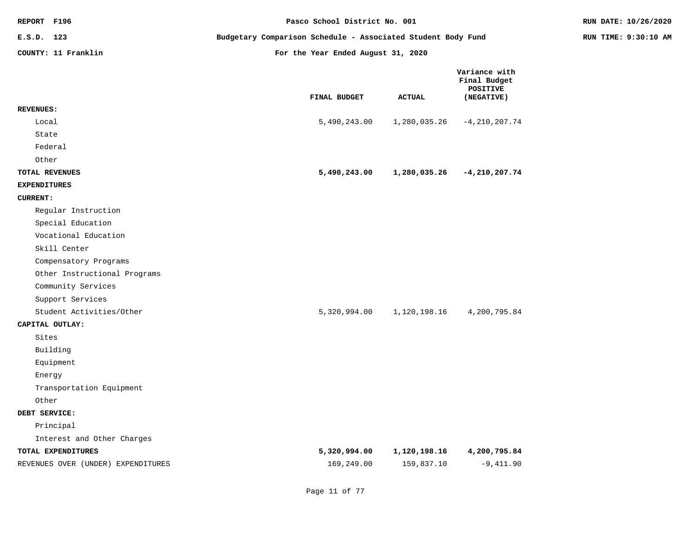| REPORT F196                                      | Pasco School District No. 001                                | RUN DATE: 10/26/2020       |                            |                                                                |  |
|--------------------------------------------------|--------------------------------------------------------------|----------------------------|----------------------------|----------------------------------------------------------------|--|
| E.S.D. 123                                       | Budgetary Comparison Schedule - Associated Student Body Fund | RUN TIME: 9:30:10 AM       |                            |                                                                |  |
| COUNTY: 11 Franklin                              | For the Year Ended August 31, 2020                           |                            |                            |                                                                |  |
|                                                  |                                                              | FINAL BUDGET               | <b>ACTUAL</b>              | Variance with<br>Final Budget<br><b>POSITIVE</b><br>(NEGATIVE) |  |
| <b>REVENUES:</b>                                 |                                                              |                            |                            |                                                                |  |
| Local                                            |                                                              | 5,490,243.00               | 1,280,035.26               | $-4, 210, 207.74$                                              |  |
| State<br>Federal                                 |                                                              |                            |                            |                                                                |  |
| Other                                            |                                                              |                            |                            |                                                                |  |
| TOTAL REVENUES                                   |                                                              | 5,490,243.00               | 1,280,035.26               | $-4,210,207.74$                                                |  |
| <b>EXPENDITURES</b>                              |                                                              |                            |                            |                                                                |  |
| <b>CURRENT:</b>                                  |                                                              |                            |                            |                                                                |  |
| Regular Instruction                              |                                                              |                            |                            |                                                                |  |
| Special Education                                |                                                              |                            |                            |                                                                |  |
| Vocational Education                             |                                                              |                            |                            |                                                                |  |
| Skill Center                                     |                                                              |                            |                            |                                                                |  |
| Compensatory Programs                            |                                                              |                            |                            |                                                                |  |
| Other Instructional Programs                     |                                                              |                            |                            |                                                                |  |
| Community Services                               |                                                              |                            |                            |                                                                |  |
| Support Services                                 |                                                              |                            |                            |                                                                |  |
| Student Activities/Other                         |                                                              | 5,320,994.00               | 1,120,198.16               | 4,200,795.84                                                   |  |
| CAPITAL OUTLAY:                                  |                                                              |                            |                            |                                                                |  |
| Sites                                            |                                                              |                            |                            |                                                                |  |
| Building                                         |                                                              |                            |                            |                                                                |  |
| Equipment                                        |                                                              |                            |                            |                                                                |  |
| Energy                                           |                                                              |                            |                            |                                                                |  |
| Transportation Equipment                         |                                                              |                            |                            |                                                                |  |
| Other                                            |                                                              |                            |                            |                                                                |  |
| DEBT SERVICE:                                    |                                                              |                            |                            |                                                                |  |
| Principal                                        |                                                              |                            |                            |                                                                |  |
| Interest and Other Charges<br>TOTAL EXPENDITURES |                                                              |                            |                            |                                                                |  |
|                                                  |                                                              | 5,320,994.00<br>169,249.00 | 1,120,198.16<br>159,837.10 | 4,200,795.84<br>$-9,411.90$                                    |  |
| REVENUES OVER (UNDER) EXPENDITURES               |                                                              |                            |                            |                                                                |  |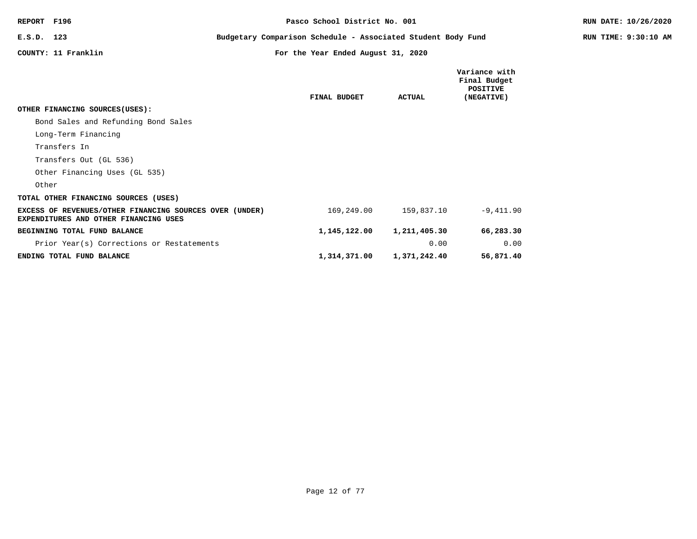| REPORT F196                                                                                      |                                                              | Pasco School District No. 001      |               |                                                         | RUN DATE: 10/26/2020 |
|--------------------------------------------------------------------------------------------------|--------------------------------------------------------------|------------------------------------|---------------|---------------------------------------------------------|----------------------|
| E.S.D. 123                                                                                       | Budgetary Comparison Schedule - Associated Student Body Fund |                                    |               |                                                         | RUN TIME: 9:30:10 AM |
| COUNTY: 11 Franklin                                                                              |                                                              | For the Year Ended August 31, 2020 |               |                                                         |                      |
|                                                                                                  |                                                              | FINAL BUDGET                       | <b>ACTUAL</b> | Variance with<br>Final Budget<br>POSITIVE<br>(NEGATIVE) |                      |
| OTHER FINANCING SOURCES (USES):                                                                  |                                                              |                                    |               |                                                         |                      |
| Bond Sales and Refunding Bond Sales                                                              |                                                              |                                    |               |                                                         |                      |
| Long-Term Financing                                                                              |                                                              |                                    |               |                                                         |                      |
| Transfers In                                                                                     |                                                              |                                    |               |                                                         |                      |
| Transfers Out (GL 536)                                                                           |                                                              |                                    |               |                                                         |                      |
| Other Financing Uses (GL 535)                                                                    |                                                              |                                    |               |                                                         |                      |
| Other                                                                                            |                                                              |                                    |               |                                                         |                      |
| TOTAL OTHER FINANCING SOURCES (USES)                                                             |                                                              |                                    |               |                                                         |                      |
| EXCESS OF REVENUES/OTHER FINANCING SOURCES OVER (UNDER)<br>EXPENDITURES AND OTHER FINANCING USES |                                                              | 169,249.00                         | 159,837.10    | $-9,411.90$                                             |                      |
| BEGINNING TOTAL FUND BALANCE                                                                     |                                                              | 1,145,122.00                       | 1,211,405.30  | 66,283.30                                               |                      |
| Prior Year(s) Corrections or Restatements                                                        |                                                              |                                    | 0.00          | 0.00                                                    |                      |
| ENDING TOTAL FUND BALANCE                                                                        |                                                              | 1,314,371.00                       | 1,371,242.40  | 56,871.40                                               |                      |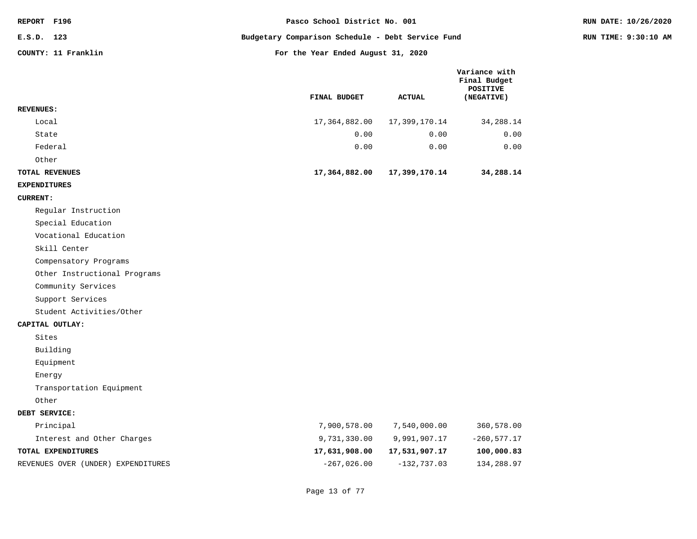| REPORT F196          | Pasco School District No. 001                     |               |                                                         | RUN DATE: 10/26/2020 |
|----------------------|---------------------------------------------------|---------------|---------------------------------------------------------|----------------------|
| E.S.D. 123           | Budgetary Comparison Schedule - Debt Service Fund |               |                                                         | RUN TIME: 9:30:10 AM |
| COUNTY: 11 Franklin  | For the Year Ended August 31, 2020                |               |                                                         |                      |
|                      | FINAL BUDGET                                      | <b>ACTUAL</b> | Variance with<br>Final Budget<br>POSITIVE<br>(NEGATIVE) |                      |
| <b>REVENUES:</b>     |                                                   |               |                                                         |                      |
| Local                | 17,364,882.00                                     | 17,399,170.14 | 34,288.14                                               |                      |
| State                | 0.00                                              | 0.00          | 0.00                                                    |                      |
| Federal              | 0.00                                              | 0.00          | 0.00                                                    |                      |
| Other                |                                                   |               |                                                         |                      |
| TOTAL REVENUES       | 17,364,882.00                                     | 17,399,170.14 | 34,288.14                                               |                      |
| <b>EXPENDITURES</b>  |                                                   |               |                                                         |                      |
| <b>CURRENT:</b>      |                                                   |               |                                                         |                      |
| Regular Instruction  |                                                   |               |                                                         |                      |
| Special Education    |                                                   |               |                                                         |                      |
| Vocational Education |                                                   |               |                                                         |                      |
| Skill Center         |                                                   |               |                                                         |                      |

Compensatory Programs

Other Instructional Programs

Community Services

Support Services

Student Activities/Other

# **CAPITAL OUTLAY:**

Sites

Building

Equipment

Energy

Transportation Equipment

Other

### **DEBT SERVICE:**

| Principal                          | 7,900,578.00  | 7,540,000.00  | 360,578.00    |
|------------------------------------|---------------|---------------|---------------|
| Interest and Other Charges         | 9,731,330.00  | 9,991,907.17  | $-260.577.17$ |
| TOTAL EXPENDITURES                 | 17,631,908.00 | 17,531,907.17 | 100,000.83    |
| REVENUES OVER (UNDER) EXPENDITURES | $-267.026.00$ | -132,737.03   | 134,288.97    |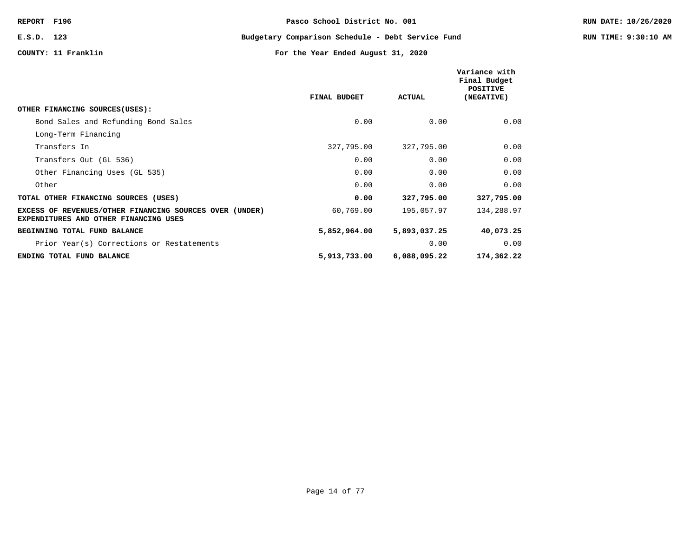**E.S.D. 123 Budgetary Comparison Schedule - Debt Service Fund RUN TIME: 9:30:10 AM**

|                                                                                                         |              |               | Variance with<br>Final Budget<br>POSITIVE |
|---------------------------------------------------------------------------------------------------------|--------------|---------------|-------------------------------------------|
|                                                                                                         | FINAL BUDGET | <b>ACTUAL</b> | (NEGATIVE)                                |
| OTHER FINANCING SOURCES (USES):                                                                         |              |               |                                           |
| Bond Sales and Refunding Bond Sales                                                                     | 0.00         | 0.00          | 0.00                                      |
| Long-Term Financing                                                                                     |              |               |                                           |
| Transfers In                                                                                            | 327,795.00   | 327,795.00    | 0.00                                      |
| Transfers Out (GL 536)                                                                                  | 0.00         | 0.00          | 0.00                                      |
| Other Financing Uses (GL 535)                                                                           | 0.00         | 0.00          | 0.00                                      |
| Other                                                                                                   | 0.00         | 0.00          | 0.00                                      |
| TOTAL OTHER FINANCING SOURCES (USES)                                                                    | 0.00         | 327,795.00    | 327,795.00                                |
| EXCESS OF REVENUES/OTHER FINANCING SOURCES OVER (UNDER)<br><b>EXPENDITURES AND OTHER FINANCING USES</b> | 60,769.00    | 195,057.97    | 134,288.97                                |
| BEGINNING TOTAL FUND BALANCE                                                                            | 5,852,964.00 | 5,893,037.25  | 40,073.25                                 |
| Prior Year(s) Corrections or Restatements                                                               |              | 0.00          | 0.00                                      |
| ENDING TOTAL FUND BALANCE                                                                               | 5,913,733.00 | 6,088,095.22  | 174,362.22                                |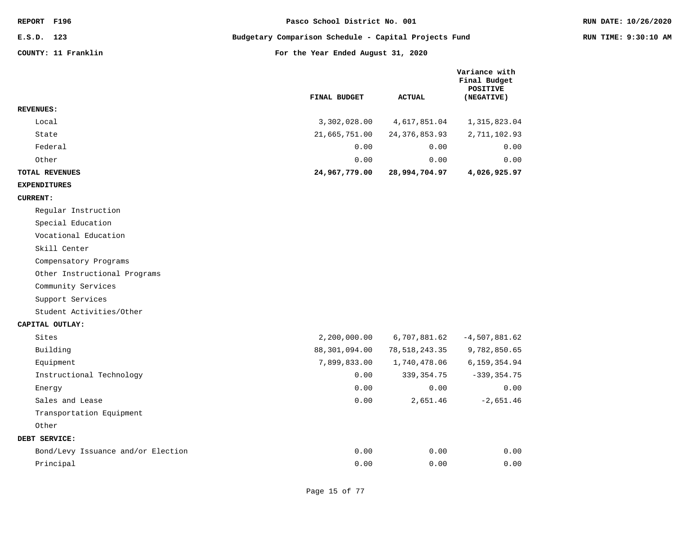| REPORT F196  |                     | Pasco School District No. 001                         | RUN DATE: 10/26/2020 |
|--------------|---------------------|-------------------------------------------------------|----------------------|
| $E.S.D.$ 123 |                     | Budgetary Comparison Schedule - Capital Projects Fund | RUN TIME: 9:30:10 AM |
|              | COUNTY: 11 Franklin | For the Year Ended August 31, 2020                    |                      |

**Variance with**

|                       | FINAL BUDGET  | <b>ACTUAL</b>   | Final Budget<br>POSITIVE<br>(NEGATIVE) |
|-----------------------|---------------|-----------------|----------------------------------------|
| <b>REVENUES:</b>      |               |                 |                                        |
| Local                 | 3,302,028.00  | 4,617,851.04    | 1,315,823.04                           |
| State                 | 21,665,751.00 | 24, 376, 853.93 | 2,711,102.93                           |
| Federal               | 0.00          | 0.00            | 0.00                                   |
| Other                 | 0.00          | 0.00            | 0.00                                   |
| <b>TOTAL REVENUES</b> | 24,967,779.00 | 28,994,704.97   | 4,026,925.97                           |

#### **EXPENDITURES**

#### **CURRENT:**

Regular Instruction

Special Education

Vocational Education

Skill Center

Compensatory Programs

Other Instructional Programs

Community Services

Support Services

Student Activities/Other

#### **CAPITAL OUTLAY:**

| Sites                              | 2,200,000.00  | 6,707,881.62  | $-4.507.881.62$ |
|------------------------------------|---------------|---------------|-----------------|
| Building                           | 88,301,094.00 | 78,518,243.35 | 9,782,850.65    |
| Equipment                          | 7,899,833.00  | 1,740,478.06  | 6,159,354.94    |
| Instructional Technology           | 0.00          | 339, 354. 75  | $-339, 354.75$  |
| Energy                             | 0.00          | 0.00          | 0.00            |
| Sales and Lease                    | 0.00          | 2,651.46      | $-2,651.46$     |
| Transportation Equipment           |               |               |                 |
| Other                              |               |               |                 |
| DEBT SERVICE:                      |               |               |                 |
| Bond/Levy Issuance and/or Election | 0.00          | 0.00          | 0.00            |
| Principal                          | 0.00          | 0.00          | 0.00            |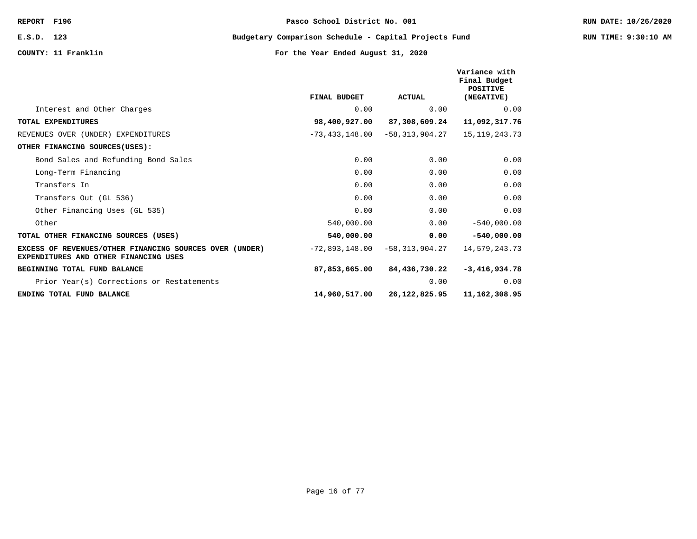**E.S.D. 123 Budgetary Comparison Schedule - Capital Projects Fund RUN TIME: 9:30:10 AM**

|                                                                                                  | FINAL BUDGET   | <b>ACTUAL</b>  | Variance with<br>Final Budget<br><b>POSITIVE</b><br>(NEGATIVE) |
|--------------------------------------------------------------------------------------------------|----------------|----------------|----------------------------------------------------------------|
| Interest and Other Charges                                                                       | 0.00           | 0.00           | 0.00                                                           |
| TOTAL EXPENDITURES                                                                               | 98,400,927.00  | 87,308,609.24  | 11,092,317.76                                                  |
| REVENUES OVER (UNDER) EXPENDITURES                                                               | -73,433,148.00 | -58,313,904.27 | 15, 119, 243. 73                                               |
| OTHER FINANCING SOURCES(USES):                                                                   |                |                |                                                                |
| Bond Sales and Refunding Bond Sales                                                              | 0.00           | 0.00           | 0.00                                                           |
| Long-Term Financing                                                                              | 0.00           | 0.00           | 0.00                                                           |
| Transfers In                                                                                     | 0.00           | 0.00           | 0.00                                                           |
| Transfers Out (GL 536)                                                                           | 0.00           | 0.00           | 0.00                                                           |
| Other Financing Uses (GL 535)                                                                    | 0.00           | 0.00           | 0.00                                                           |
| Other                                                                                            | 540,000.00     | 0.00           | $-540,000.00$                                                  |
| TOTAL OTHER FINANCING SOURCES (USES)                                                             | 540,000.00     | 0.00           | $-540,000.00$                                                  |
| EXCESS OF REVENUES/OTHER FINANCING SOURCES OVER (UNDER)<br>EXPENDITURES AND OTHER FINANCING USES | -72,893,148.00 | -58,313,904.27 | 14,579,243.73                                                  |
| <b>BEGINNING TOTAL FUND BALANCE</b>                                                              | 87,853,665.00  | 84,436,730.22  | $-3,416,934.78$                                                |
| Prior Year(s) Corrections or Restatements                                                        |                | 0.00           | 0.00                                                           |
| ENDING TOTAL FUND BALANCE                                                                        | 14,960,517.00  | 26,122,825.95  | 11, 162, 308.95                                                |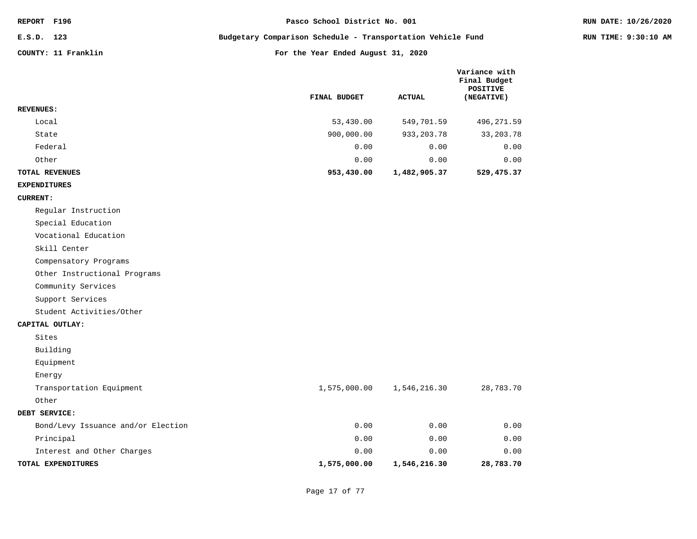| <b>REPORT</b> | F196 |
|---------------|------|
|---------------|------|

**E.S.D. 123 Budgetary Comparison Schedule - Transportation Vehicle Fund RUN TIME: 9:30:10 AM**

|                              | FINAL BUDGET | <b>ACTUAL</b> | Variance with<br>Final Budget<br>POSITIVE<br>(NEGATIVE) |
|------------------------------|--------------|---------------|---------------------------------------------------------|
| <b>REVENUES:</b>             |              |               |                                                         |
| Local                        | 53,430.00    | 549,701.59    | 496, 271.59                                             |
| State                        | 900,000.00   | 933, 203. 78  | 33, 203. 78                                             |
| Federal                      | 0.00         | 0.00          | 0.00                                                    |
| Other                        | 0.00         | 0.00          | 0.00                                                    |
| TOTAL REVENUES               | 953,430.00   | 1,482,905.37  | 529,475.37                                              |
| <b>EXPENDITURES</b>          |              |               |                                                         |
| <b>CURRENT:</b>              |              |               |                                                         |
| Regular Instruction          |              |               |                                                         |
| Special Education            |              |               |                                                         |
| Vocational Education         |              |               |                                                         |
| Skill Center                 |              |               |                                                         |
| Compensatory Programs        |              |               |                                                         |
| Other Instructional Programs |              |               |                                                         |
| Community Services           |              |               |                                                         |
| Support Services             |              |               |                                                         |
| Student Activities/Other     |              |               |                                                         |
| CAPITAL OUTLAY:              |              |               |                                                         |
| Sites                        |              |               |                                                         |
| Building                     |              |               |                                                         |
| Equipment                    |              |               |                                                         |
| Energy                       |              |               |                                                         |
| Transportation Equipment     | 1,575,000.00 | 1,546,216.30  | 28,783.70                                               |
| Other                        |              |               |                                                         |
| DEBT SERVICE:                |              |               |                                                         |

| TOTAL EXPENDITURES                 | 1,575,000.00 | 1,546,216.30 | 28,783.70 |
|------------------------------------|--------------|--------------|-----------|
| Interest and Other Charges         | 0.00         | 0.00         | 0.00      |
| Principal                          | 0.00         | 0.00         | 0.00      |
| Bond/Levy Issuance and/or Election | 0.00         | 0.00         | 0.00      |
|                                    |              |              |           |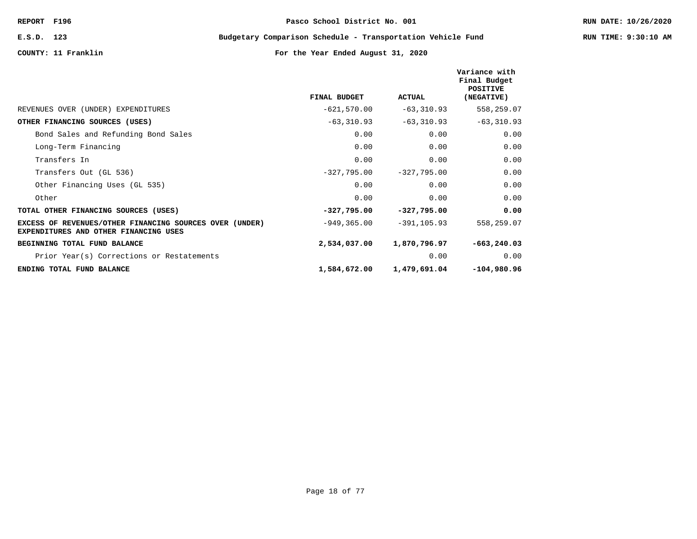**E.S.D. 123 Budgetary Comparison Schedule - Transportation Vehicle Fund RUN TIME: 9:30:10 AM**

|                                                                                                  |                |                | Variance with<br>Final Budget<br><b>POSITIVE</b> |
|--------------------------------------------------------------------------------------------------|----------------|----------------|--------------------------------------------------|
|                                                                                                  | FINAL BUDGET   | <b>ACTUAL</b>  | (NEGATIVE)                                       |
| REVENUES OVER (UNDER) EXPENDITURES                                                               | $-621,570.00$  | $-63, 310.93$  | 558,259.07                                       |
| OTHER FINANCING SOURCES (USES)                                                                   | $-63,310.93$   | $-63,310.93$   | $-63, 310.93$                                    |
| Bond Sales and Refunding Bond Sales                                                              | 0.00           | 0.00           | 0.00                                             |
| Long-Term Financing                                                                              | 0.00           | 0.00           | 0.00                                             |
| Transfers In                                                                                     | 0.00           | 0.00           | 0.00                                             |
| Transfers Out (GL 536)                                                                           | $-327,795.00$  | $-327,795.00$  | 0.00                                             |
| Other Financing Uses (GL 535)                                                                    | 0.00           | 0.00           | 0.00                                             |
| Other                                                                                            | 0.00           | 0.00           | 0.00                                             |
| TOTAL OTHER FINANCING SOURCES (USES)                                                             | $-327,795.00$  | $-327,795.00$  | 0.00                                             |
| EXCESS OF REVENUES/OTHER FINANCING SOURCES OVER (UNDER)<br>EXPENDITURES AND OTHER FINANCING USES | $-949, 365.00$ | $-391, 105.93$ | 558,259.07                                       |
| BEGINNING TOTAL FUND BALANCE                                                                     | 2,534,037.00   | 1,870,796.97   | $-663, 240.03$                                   |
| Prior Year(s) Corrections or Restatements                                                        |                | 0.00           | 0.00                                             |
| ENDING TOTAL FUND BALANCE                                                                        | 1,584,672.00   | 1,479,691.04   | $-104,980.96$                                    |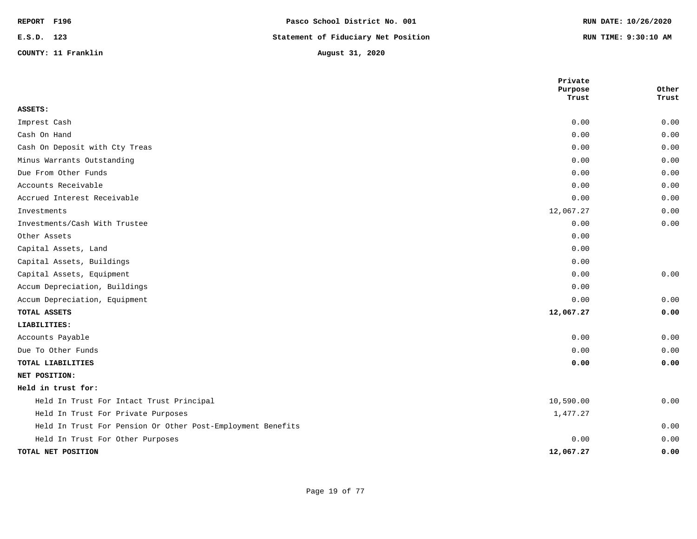| REPORT F196 |                     | Pasco School District No. 001       | RUN DATE: 10/26/2020 |
|-------------|---------------------|-------------------------------------|----------------------|
| E.S.D. 123  |                     | Statement of Fiduciary Net Position | RUN TIME: 9:30:10 AM |
|             | COUNTY: 11 Franklin | August 31, 2020                     |                      |

|                                                             | Private<br>Purpose | Other |
|-------------------------------------------------------------|--------------------|-------|
|                                                             | Trust              | Trust |
| ASSETS:                                                     |                    |       |
| Imprest Cash                                                | 0.00               | 0.00  |
| Cash On Hand                                                | 0.00               | 0.00  |
| Cash On Deposit with Cty Treas                              | 0.00               | 0.00  |
| Minus Warrants Outstanding                                  | 0.00               | 0.00  |
| Due From Other Funds                                        | 0.00               | 0.00  |
| Accounts Receivable                                         | 0.00               | 0.00  |
| Accrued Interest Receivable                                 | 0.00               | 0.00  |
| Investments                                                 | 12,067.27          | 0.00  |
| Investments/Cash With Trustee                               | 0.00               | 0.00  |
| Other Assets                                                | 0.00               |       |
| Capital Assets, Land                                        | 0.00               |       |
| Capital Assets, Buildings                                   | 0.00               |       |
| Capital Assets, Equipment                                   | 0.00               | 0.00  |
| Accum Depreciation, Buildings                               | 0.00               |       |
| Accum Depreciation, Equipment                               | 0.00               | 0.00  |
| TOTAL ASSETS                                                | 12,067.27          | 0.00  |
| LIABILITIES:                                                |                    |       |
| Accounts Payable                                            | 0.00               | 0.00  |
| Due To Other Funds                                          | 0.00               | 0.00  |
| TOTAL LIABILITIES                                           | 0.00               | 0.00  |
| NET POSITION:                                               |                    |       |
| Held in trust for:                                          |                    |       |
| Held In Trust For Intact Trust Principal                    | 10,590.00          | 0.00  |
| Held In Trust For Private Purposes                          | 1,477.27           |       |
| Held In Trust For Pension Or Other Post-Employment Benefits |                    | 0.00  |
| Held In Trust For Other Purposes                            | 0.00               | 0.00  |
| TOTAL NET POSITION                                          | 12,067.27          | 0.00  |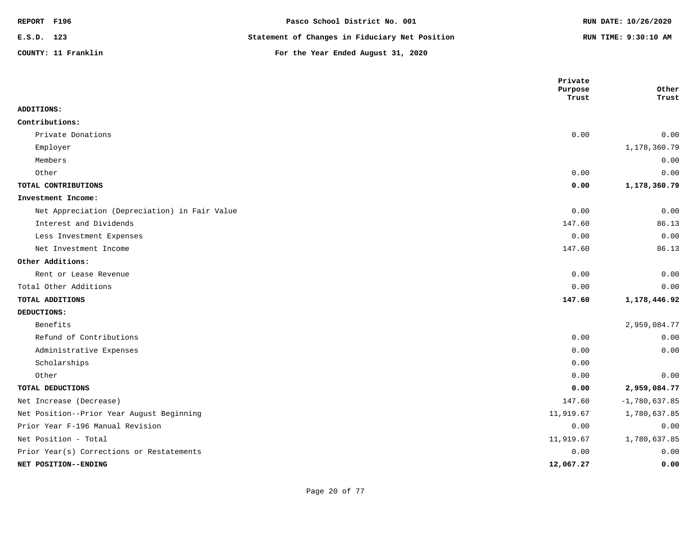| REPORT F196 |                     | Pasco School District No. 001                  | RUN DATE: 10/26/2020 |
|-------------|---------------------|------------------------------------------------|----------------------|
| E.S.D. 123  |                     | Statement of Changes in Fiduciary Net Position | RUN TIME: 9:30:10 AM |
|             | COUNTY: 11 Franklin | For the Year Ended August 31, 2020             |                      |

|                                               | Private<br>Purpose | Other           |
|-----------------------------------------------|--------------------|-----------------|
|                                               | Trust              | Trust           |
| ADDITIONS:                                    |                    |                 |
| Contributions:                                |                    |                 |
| Private Donations                             | 0.00               | 0.00            |
| Employer                                      |                    | 1,178,360.79    |
| Members                                       |                    | 0.00            |
| Other                                         | 0.00               | 0.00            |
| TOTAL CONTRIBUTIONS                           | 0.00               | 1,178,360.79    |
| Investment Income:                            |                    |                 |
| Net Appreciation (Depreciation) in Fair Value | 0.00               | 0.00            |
| Interest and Dividends                        | 147.60             | 86.13           |
| Less Investment Expenses                      | 0.00               | 0.00            |
| Net Investment Income                         | 147.60             | 86.13           |
| Other Additions:                              |                    |                 |
| Rent or Lease Revenue                         | 0.00               | 0.00            |
| Total Other Additions                         | 0.00               | 0.00            |
| TOTAL ADDITIONS                               | 147.60             | 1,178,446.92    |
| DEDUCTIONS:                                   |                    |                 |
| Benefits                                      |                    | 2,959,084.77    |
| Refund of Contributions                       | 0.00               | 0.00            |
| Administrative Expenses                       | 0.00               | 0.00            |
| Scholarships                                  | 0.00               |                 |
| Other                                         | 0.00               | 0.00            |
| TOTAL DEDUCTIONS                              | 0.00               | 2,959,084.77    |
| Net Increase (Decrease)                       | 147.60             | $-1,780,637.85$ |
| Net Position--Prior Year August Beginning     | 11,919.67          | 1,780,637.85    |
| Prior Year F-196 Manual Revision              | 0.00               | 0.00            |
| Net Position - Total                          | 11,919.67          | 1,780,637.85    |
| Prior Year(s) Corrections or Restatements     | 0.00               | 0.00            |
| NET POSITION--ENDING                          | 12,067.27          | 0.00            |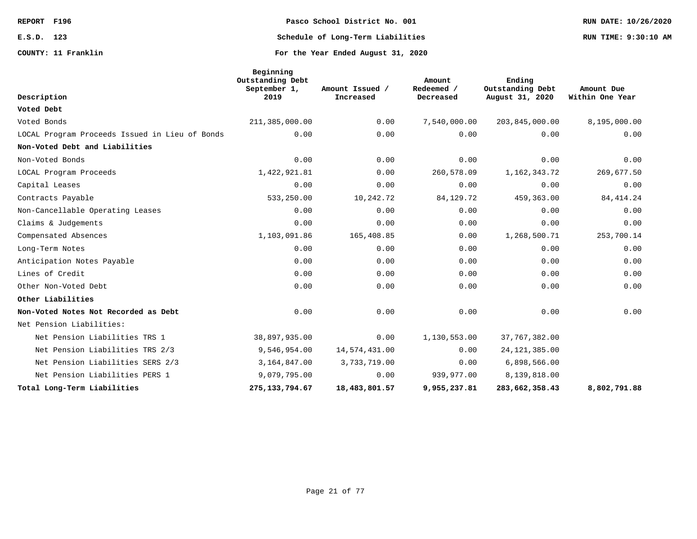# **REPORT F196 Pasco School District No. 001 RUN DATE: 10/26/2020 E.S.D. 123 Schedule of Long-Term Liabilities RUN TIME: 9:30:10 AM**

**Beginning**

|                                                | Outstanding Debt<br>September 1, | Amount Issued / | Amount<br>Redeemed / | Ending<br>Outstanding Debt | Amount Due      |
|------------------------------------------------|----------------------------------|-----------------|----------------------|----------------------------|-----------------|
| Description                                    | 2019                             | Increased       | Decreased            | August 31, 2020            | Within One Year |
| Voted Debt                                     |                                  |                 |                      |                            |                 |
| Voted Bonds                                    | 211,385,000.00                   | 0.00            | 7,540,000.00         | 203,845,000.00             | 8,195,000.00    |
| LOCAL Program Proceeds Issued in Lieu of Bonds | 0.00                             | 0.00            | 0.00                 | 0.00                       | 0.00            |
| Non-Voted Debt and Liabilities                 |                                  |                 |                      |                            |                 |
| Non-Voted Bonds                                | 0.00                             | 0.00            | 0.00                 | 0.00                       | 0.00            |
| LOCAL Program Proceeds                         | 1,422,921.81                     | 0.00            | 260,578.09           | 1, 162, 343. 72            | 269,677.50      |
| Capital Leases                                 | 0.00                             | 0.00            | 0.00                 | 0.00                       | 0.00            |
| Contracts Payable                              | 533,250.00                       | 10,242.72       | 84, 129. 72          | 459,363.00                 | 84, 414.24      |
| Non-Cancellable Operating Leases               | 0.00                             | 0.00            | 0.00                 | 0.00                       | 0.00            |
| Claims & Judgements                            | 0.00                             | 0.00            | 0.00                 | 0.00                       | 0.00            |
| Compensated Absences                           | 1,103,091.86                     | 165,408.85      | 0.00                 | 1,268,500.71               | 253,700.14      |
| Long-Term Notes                                | 0.00                             | 0.00            | 0.00                 | 0.00                       | 0.00            |
| Anticipation Notes Payable                     | 0.00                             | 0.00            | 0.00                 | 0.00                       | 0.00            |
| Lines of Credit                                | 0.00                             | 0.00            | 0.00                 | 0.00                       | 0.00            |
| Other Non-Voted Debt                           | 0.00                             | 0.00            | 0.00                 | 0.00                       | 0.00            |
| Other Liabilities                              |                                  |                 |                      |                            |                 |
| Non-Voted Notes Not Recorded as Debt           | 0.00                             | 0.00            | 0.00                 | 0.00                       | 0.00            |
| Net Pension Liabilities:                       |                                  |                 |                      |                            |                 |
| Net Pension Liabilities TRS 1                  | 38,897,935.00                    | 0.00            | 1,130,553.00         | 37,767,382.00              |                 |
| Net Pension Liabilities TRS 2/3                | 9,546,954.00                     | 14,574,431.00   | 0.00                 | 24, 121, 385.00            |                 |
| Net Pension Liabilities SERS 2/3               | 3,164,847.00                     | 3,733,719.00    | 0.00                 | 6,898,566.00               |                 |
| Net Pension Liabilities PERS 1                 | 9,079,795.00                     | 0.00            | 939,977.00           | 8,139,818.00               |                 |
| Total Long-Term Liabilities                    | 275, 133, 794.67                 | 18,483,801.57   | 9,955,237.81         | 283,662,358.43             | 8,802,791.88    |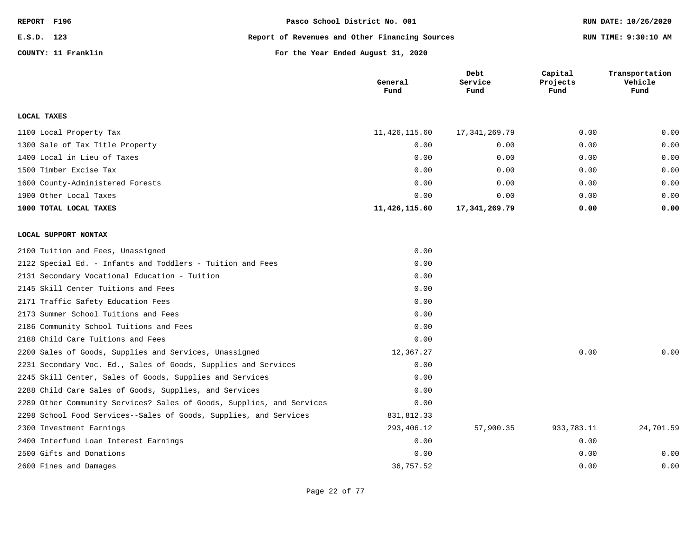| REPORT F196 |                     | Pasco School District No. 001                  | RUN DATE: 10/26/2020 |
|-------------|---------------------|------------------------------------------------|----------------------|
| E.S.D. 123  |                     | Report of Revenues and Other Financing Sources | RUN TIME: 9:30:10 AM |
|             | COUNTY: 11 Franklin | For the Year Ended August 31, 2020             |                      |

|                                                                       | General<br>Fund | Debt<br>Service<br>Fund | Capital<br>Projects<br>Fund | Transportation<br>Vehicle<br>Fund |
|-----------------------------------------------------------------------|-----------------|-------------------------|-----------------------------|-----------------------------------|
| LOCAL TAXES                                                           |                 |                         |                             |                                   |
| 1100 Local Property Tax                                               | 11,426,115.60   | 17, 341, 269.79         | 0.00                        | 0.00                              |
| 1300 Sale of Tax Title Property                                       | 0.00            | 0.00                    | 0.00                        | 0.00                              |
| 1400 Local in Lieu of Taxes                                           | 0.00            | 0.00                    | 0.00                        | 0.00                              |
| 1500 Timber Excise Tax                                                | 0.00            | 0.00                    | 0.00                        | 0.00                              |
| 1600 County-Administered Forests                                      | 0.00            | 0.00                    | 0.00                        | 0.00                              |
| 1900 Other Local Taxes                                                | 0.00            | 0.00                    | 0.00                        | 0.00                              |
| 1000 TOTAL LOCAL TAXES                                                | 11,426,115.60   | 17, 341, 269. 79        | 0.00                        | 0.00                              |
| LOCAL SUPPORT NONTAX                                                  |                 |                         |                             |                                   |
| 2100 Tuition and Fees, Unassigned                                     | 0.00            |                         |                             |                                   |
| 2122 Special Ed. - Infants and Toddlers - Tuition and Fees            | 0.00            |                         |                             |                                   |
| 2131 Secondary Vocational Education - Tuition                         | 0.00            |                         |                             |                                   |
| 2145 Skill Center Tuitions and Fees                                   | 0.00            |                         |                             |                                   |
| 2171 Traffic Safety Education Fees                                    | 0.00            |                         |                             |                                   |
| 2173 Summer School Tuitions and Fees                                  | 0.00            |                         |                             |                                   |
| 2186 Community School Tuitions and Fees                               | 0.00            |                         |                             |                                   |
| 2188 Child Care Tuitions and Fees                                     | 0.00            |                         |                             |                                   |
| 2200 Sales of Goods, Supplies and Services, Unassigned                | 12,367.27       |                         | 0.00                        | 0.00                              |
| 2231 Secondary Voc. Ed., Sales of Goods, Supplies and Services        | 0.00            |                         |                             |                                   |
| 2245 Skill Center, Sales of Goods, Supplies and Services              | 0.00            |                         |                             |                                   |
| 2288 Child Care Sales of Goods, Supplies, and Services                | 0.00            |                         |                             |                                   |
| 2289 Other Community Services? Sales of Goods, Supplies, and Services | 0.00            |                         |                             |                                   |
| 2298 School Food Services--Sales of Goods, Supplies, and Services     | 831,812.33      |                         |                             |                                   |
| 2300 Investment Earnings                                              | 293,406.12      | 57,900.35               | 933,783.11                  | 24,701.59                         |
| 2400 Interfund Loan Interest Earnings                                 | 0.00            |                         | 0.00                        |                                   |
| 2500 Gifts and Donations                                              | 0.00            |                         | 0.00                        | 0.00                              |
| 2600 Fines and Damages                                                | 36,757.52       |                         | 0.00                        | 0.00                              |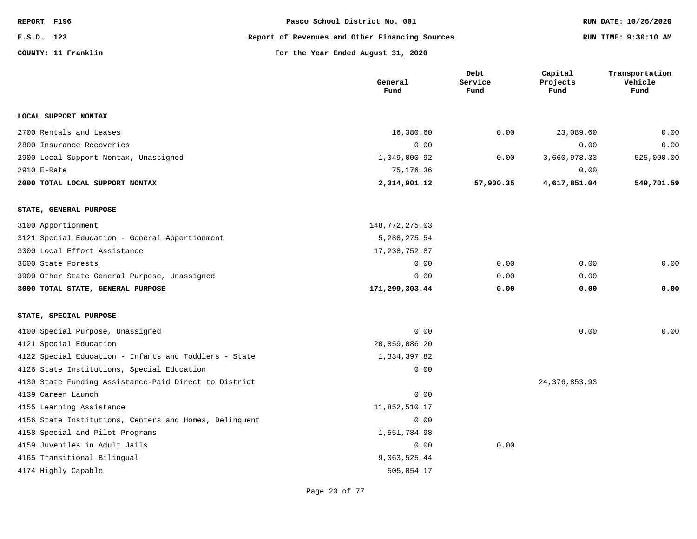| REPORT F196 |                     | Pasco School District No. 001                  | RUN DATE: 10/26/2020 |
|-------------|---------------------|------------------------------------------------|----------------------|
| E.S.D. 123  |                     | Report of Revenues and Other Financing Sources | RUN TIME: 9:30:10 AM |
|             | COUNTY: 11 Franklin | For the Year Ended August 31, 2020             |                      |

|                                                        | General<br>Fund  | Debt<br>Service<br>Fund | Capital<br>Projects<br>Fund | Transportation<br>Vehicle<br>Fund |
|--------------------------------------------------------|------------------|-------------------------|-----------------------------|-----------------------------------|
| LOCAL SUPPORT NONTAX                                   |                  |                         |                             |                                   |
| 2700 Rentals and Leases                                | 16,380.60        | 0.00                    | 23,089.60                   | 0.00                              |
| 2800 Insurance Recoveries                              | 0.00             |                         | 0.00                        | 0.00                              |
| 2900 Local Support Nontax, Unassigned                  | 1,049,000.92     | 0.00                    | 3,660,978.33                | 525,000.00                        |
| 2910 E-Rate                                            | 75,176.36        |                         | 0.00                        |                                   |
| 2000 TOTAL LOCAL SUPPORT NONTAX                        | 2,314,901.12     | 57,900.35               | 4,617,851.04                | 549,701.59                        |
| STATE, GENERAL PURPOSE                                 |                  |                         |                             |                                   |
| 3100 Apportionment                                     | 148, 772, 275.03 |                         |                             |                                   |
| 3121 Special Education - General Apportionment         | 5, 288, 275.54   |                         |                             |                                   |
| 3300 Local Effort Assistance                           | 17, 238, 752.87  |                         |                             |                                   |
| 3600 State Forests                                     | 0.00             | 0.00                    | 0.00                        | 0.00                              |
| 3900 Other State General Purpose, Unassigned           | 0.00             | 0.00                    | 0.00                        |                                   |
| 3000 TOTAL STATE, GENERAL PURPOSE                      | 171,299,303.44   | 0.00                    | 0.00                        | 0.00                              |
| STATE, SPECIAL PURPOSE                                 |                  |                         |                             |                                   |
| 4100 Special Purpose, Unassigned                       | 0.00             |                         | 0.00                        | 0.00                              |
| 4121 Special Education                                 | 20,859,086.20    |                         |                             |                                   |
| 4122 Special Education - Infants and Toddlers - State  | 1,334,397.82     |                         |                             |                                   |
| 4126 State Institutions, Special Education             | 0.00             |                         |                             |                                   |
| 4130 State Funding Assistance-Paid Direct to District  |                  |                         | 24, 376, 853.93             |                                   |
| 4139 Career Launch                                     | 0.00             |                         |                             |                                   |
| 4155 Learning Assistance                               | 11,852,510.17    |                         |                             |                                   |
| 4156 State Institutions, Centers and Homes, Delinquent | 0.00             |                         |                             |                                   |
| 4158 Special and Pilot Programs                        | 1,551,784.98     |                         |                             |                                   |
| 4159 Juveniles in Adult Jails                          | 0.00             | 0.00                    |                             |                                   |
| 4165 Transitional Bilingual                            | 9,063,525.44     |                         |                             |                                   |
| 4174 Highly Capable                                    | 505,054.17       |                         |                             |                                   |

Page 23 of 77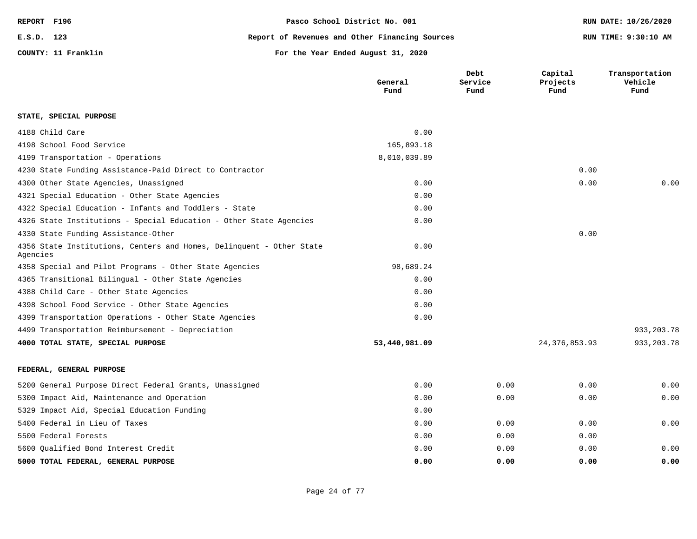| REPORT F196 |                     | Pasco School District No. 001                  | RUN DATE: 10/26/2020 |
|-------------|---------------------|------------------------------------------------|----------------------|
| E.S.D. 123  |                     | Report of Revenues and Other Financing Sources | RUN TIME: 9:30:10 AM |
|             | COUNTY: 11 Franklin | For the Year Ended August 31, 2020             |                      |

|                                                                                  | General<br>Fund | Debt<br>Service<br>Fund | Capital<br>Projects<br>Fund | Transportation<br>Vehicle<br>Fund |
|----------------------------------------------------------------------------------|-----------------|-------------------------|-----------------------------|-----------------------------------|
| STATE, SPECIAL PURPOSE                                                           |                 |                         |                             |                                   |
| 4188 Child Care                                                                  | 0.00            |                         |                             |                                   |
| 4198 School Food Service                                                         | 165,893.18      |                         |                             |                                   |
| 4199 Transportation - Operations                                                 | 8,010,039.89    |                         |                             |                                   |
| 4230 State Funding Assistance-Paid Direct to Contractor                          |                 |                         | 0.00                        |                                   |
| 4300 Other State Agencies, Unassigned                                            | 0.00            |                         | 0.00                        | 0.00                              |
| 4321 Special Education - Other State Agencies                                    | 0.00            |                         |                             |                                   |
| 4322 Special Education - Infants and Toddlers - State                            | 0.00            |                         |                             |                                   |
| 4326 State Institutions - Special Education - Other State Agencies               | 0.00            |                         |                             |                                   |
| 4330 State Funding Assistance-Other                                              |                 |                         | 0.00                        |                                   |
| 4356 State Institutions, Centers and Homes, Delinquent - Other State<br>Agencies | 0.00            |                         |                             |                                   |
| 4358 Special and Pilot Programs - Other State Agencies                           | 98,689.24       |                         |                             |                                   |
| 4365 Transitional Bilingual - Other State Agencies                               | 0.00            |                         |                             |                                   |
| 4388 Child Care - Other State Agencies                                           | 0.00            |                         |                             |                                   |
| 4398 School Food Service - Other State Agencies                                  | 0.00            |                         |                             |                                   |
| 4399 Transportation Operations - Other State Agencies                            | 0.00            |                         |                             |                                   |
| 4499 Transportation Reimbursement - Depreciation                                 |                 |                         |                             | 933, 203. 78                      |
| 4000 TOTAL STATE, SPECIAL PURPOSE                                                | 53,440,981.09   |                         | 24,376,853.93               | 933, 203. 78                      |
| FEDERAL, GENERAL PURPOSE                                                         |                 |                         |                             |                                   |
| 5200 General Purpose Direct Federal Grants, Unassigned                           | 0.00            | 0.00                    | 0.00                        | 0.00                              |
| 5300 Impact Aid, Maintenance and Operation                                       | 0.00            | 0.00                    | 0.00                        | 0.00                              |
| 5329 Impact Aid, Special Education Funding                                       | 0.00            |                         |                             |                                   |
| 5400 Federal in Lieu of Taxes                                                    | 0.00            | 0.00                    | 0.00                        | 0.00                              |
| 5500 Federal Forests                                                             | 0.00            | 0.00                    | 0.00                        |                                   |
| 5600 Oualified Bond Interest Credit                                              | 0.00            | 0.00                    | 0.00                        | 0.00                              |
| 5000 TOTAL FEDERAL, GENERAL PURPOSE                                              | 0.00            | 0.00                    | 0.00                        | 0.00                              |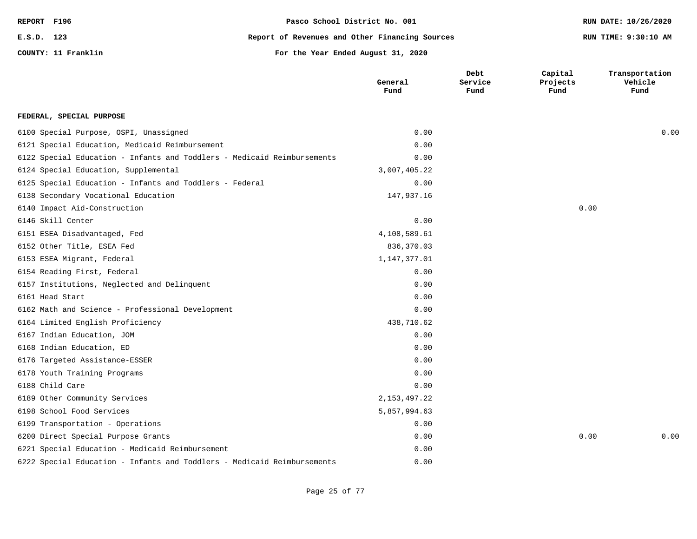| REPORT F196 |                     | Pasco School District No. 001                  | RUN DATE: 10/26/2020 |
|-------------|---------------------|------------------------------------------------|----------------------|
| E.S.D. 123  |                     | Report of Revenues and Other Financing Sources | RUN TIME: 9:30:10 AM |
|             | COUNTY: 11 Franklin | For the Year Ended August 31, 2020             |                      |

**Debt**

**Capital**

**Transportation**

|                                                                         | General<br>Fund | Service<br>Fund | Projects<br>Fund | Vehicle<br>Fund |
|-------------------------------------------------------------------------|-----------------|-----------------|------------------|-----------------|
| FEDERAL, SPECIAL PURPOSE                                                |                 |                 |                  |                 |
| 6100 Special Purpose, OSPI, Unassigned                                  | 0.00            |                 |                  | 0.00            |
| 6121 Special Education, Medicaid Reimbursement                          | 0.00            |                 |                  |                 |
| 6122 Special Education - Infants and Toddlers - Medicaid Reimbursements | 0.00            |                 |                  |                 |
| 6124 Special Education, Supplemental                                    | 3,007,405.22    |                 |                  |                 |
| 6125 Special Education - Infants and Toddlers - Federal                 | 0.00            |                 |                  |                 |
| 6138 Secondary Vocational Education                                     | 147,937.16      |                 |                  |                 |
| 6140 Impact Aid-Construction                                            |                 |                 | 0.00             |                 |
| 6146 Skill Center                                                       | 0.00            |                 |                  |                 |
| 6151 ESEA Disadvantaged, Fed                                            | 4,108,589.61    |                 |                  |                 |
| 6152 Other Title, ESEA Fed                                              | 836,370.03      |                 |                  |                 |
| 6153 ESEA Migrant, Federal                                              | 1,147,377.01    |                 |                  |                 |
| 6154 Reading First, Federal                                             | 0.00            |                 |                  |                 |
| 6157 Institutions, Neglected and Delinquent                             | 0.00            |                 |                  |                 |
| 6161 Head Start                                                         | 0.00            |                 |                  |                 |
| 6162 Math and Science - Professional Development                        | 0.00            |                 |                  |                 |
| 6164 Limited English Proficiency                                        | 438,710.62      |                 |                  |                 |
| 6167 Indian Education, JOM                                              | 0.00            |                 |                  |                 |
| 6168 Indian Education, ED                                               | 0.00            |                 |                  |                 |
| 6176 Targeted Assistance-ESSER                                          | 0.00            |                 |                  |                 |
| 6178 Youth Training Programs                                            | 0.00            |                 |                  |                 |
| 6188 Child Care                                                         | 0.00            |                 |                  |                 |
| 6189 Other Community Services                                           | 2, 153, 497. 22 |                 |                  |                 |
| 6198 School Food Services                                               | 5,857,994.63    |                 |                  |                 |
| 6199 Transportation - Operations                                        | 0.00            |                 |                  |                 |
| 6200 Direct Special Purpose Grants                                      | 0.00            |                 | 0.00             | 0.00            |
| 6221 Special Education - Medicaid Reimbursement                         | 0.00            |                 |                  |                 |
| 6222 Special Education - Infants and Toddlers - Medicaid Reimbursements | 0.00            |                 |                  |                 |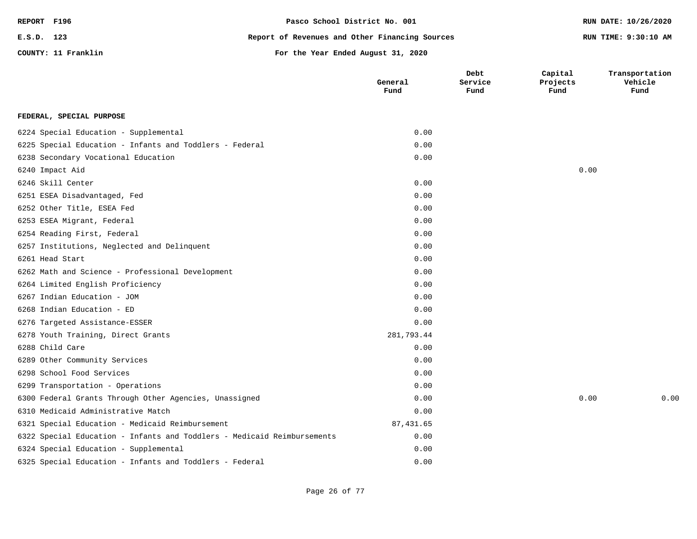| REPORT F196 |                     | Pasco School District No. 001                  | RUN DATE: 10/26/2020 |  |
|-------------|---------------------|------------------------------------------------|----------------------|--|
| E.S.D. 123  |                     | Report of Revenues and Other Financing Sources | RUN TIME: 9:30:10 AM |  |
|             | COUNTY: 11 Franklin | For the Year Ended August 31, 2020             |                      |  |
|             |                     |                                                |                      |  |

|                                                                         | General<br>Fund | Debt<br>Service<br>Fund | Capital<br>Projects<br>Fund | Transportation<br>Vehicle<br>Fund |
|-------------------------------------------------------------------------|-----------------|-------------------------|-----------------------------|-----------------------------------|
| FEDERAL, SPECIAL PURPOSE                                                |                 |                         |                             |                                   |
| 6224 Special Education - Supplemental                                   | 0.00            |                         |                             |                                   |
| 6225 Special Education - Infants and Toddlers - Federal                 | 0.00            |                         |                             |                                   |
| 6238 Secondary Vocational Education                                     | 0.00            |                         |                             |                                   |
| 6240 Impact Aid                                                         |                 |                         | 0.00                        |                                   |
| 6246 Skill Center                                                       | 0.00            |                         |                             |                                   |
| 6251 ESEA Disadvantaged, Fed                                            | 0.00            |                         |                             |                                   |
| 6252 Other Title, ESEA Fed                                              | 0.00            |                         |                             |                                   |
| 6253 ESEA Migrant, Federal                                              | 0.00            |                         |                             |                                   |
| 6254 Reading First, Federal                                             | 0.00            |                         |                             |                                   |
| 6257 Institutions, Neglected and Delinquent                             | 0.00            |                         |                             |                                   |
| 6261 Head Start                                                         | 0.00            |                         |                             |                                   |
| 6262 Math and Science - Professional Development                        | 0.00            |                         |                             |                                   |
| 6264 Limited English Proficiency                                        | 0.00            |                         |                             |                                   |
| 6267 Indian Education - JOM                                             | 0.00            |                         |                             |                                   |
| 6268 Indian Education - ED                                              | 0.00            |                         |                             |                                   |
| 6276 Targeted Assistance-ESSER                                          | 0.00            |                         |                             |                                   |
| 6278 Youth Training, Direct Grants                                      | 281,793.44      |                         |                             |                                   |
| 6288 Child Care                                                         | 0.00            |                         |                             |                                   |
| 6289 Other Community Services                                           | 0.00            |                         |                             |                                   |
| 6298 School Food Services                                               | 0.00            |                         |                             |                                   |
| 6299 Transportation - Operations                                        | 0.00            |                         |                             |                                   |
| 6300 Federal Grants Through Other Agencies, Unassigned                  | 0.00            |                         | 0.00                        | 0.00                              |
| 6310 Medicaid Administrative Match                                      | 0.00            |                         |                             |                                   |
| 6321 Special Education - Medicaid Reimbursement                         | 87,431.65       |                         |                             |                                   |
| 6322 Special Education - Infants and Toddlers - Medicaid Reimbursements | 0.00            |                         |                             |                                   |
| 6324 Special Education - Supplemental                                   | 0.00            |                         |                             |                                   |
| 6325 Special Education - Infants and Toddlers - Federal                 | 0.00            |                         |                             |                                   |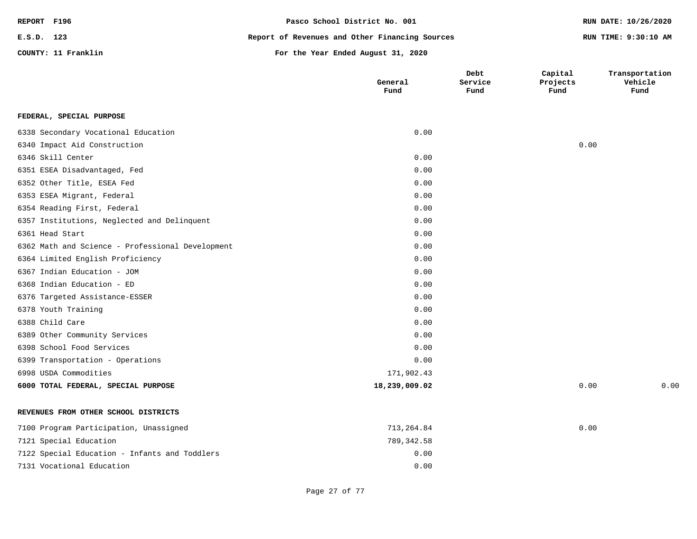| REPORT F196 |                     | Pasco School District No. 001                  | RUN DATE: 10/26/2020 |
|-------------|---------------------|------------------------------------------------|----------------------|
| E.S.D. 123  |                     | Report of Revenues and Other Financing Sources | RUN TIME: 9:30:10 AM |
|             | COUNTY: 11 Franklin | For the Year Ended August 31, 2020             |                      |

|                                                  | General<br>Fund | Debt<br>Service<br>Fund | Capital<br>Projects<br>Fund | Transportation<br>Vehicle<br>Fund |
|--------------------------------------------------|-----------------|-------------------------|-----------------------------|-----------------------------------|
| FEDERAL, SPECIAL PURPOSE                         |                 |                         |                             |                                   |
| 6338 Secondary Vocational Education              | 0.00            |                         |                             |                                   |
| 6340 Impact Aid Construction                     |                 |                         | 0.00                        |                                   |
| 6346 Skill Center                                | 0.00            |                         |                             |                                   |
| 6351 ESEA Disadvantaged, Fed                     | 0.00            |                         |                             |                                   |
| 6352 Other Title, ESEA Fed                       | 0.00            |                         |                             |                                   |
| 6353 ESEA Migrant, Federal                       | 0.00            |                         |                             |                                   |
| 6354 Reading First, Federal                      | 0.00            |                         |                             |                                   |
| 6357 Institutions, Neglected and Delinquent      | 0.00            |                         |                             |                                   |
| 6361 Head Start                                  | 0.00            |                         |                             |                                   |
| 6362 Math and Science - Professional Development | 0.00            |                         |                             |                                   |
| 6364 Limited English Proficiency                 | 0.00            |                         |                             |                                   |
| 6367 Indian Education - JOM                      | 0.00            |                         |                             |                                   |
| 6368 Indian Education - ED                       | 0.00            |                         |                             |                                   |
| 6376 Targeted Assistance-ESSER                   | 0.00            |                         |                             |                                   |
| 6378 Youth Training                              | 0.00            |                         |                             |                                   |
| 6388 Child Care                                  | 0.00            |                         |                             |                                   |
| 6389 Other Community Services                    | 0.00            |                         |                             |                                   |
| 6398 School Food Services                        | 0.00            |                         |                             |                                   |
| 6399 Transportation - Operations                 | 0.00            |                         |                             |                                   |
| 6998 USDA Commodities                            | 171,902.43      |                         |                             |                                   |
| 6000 TOTAL FEDERAL, SPECIAL PURPOSE              | 18,239,009.02   |                         | 0.00                        | 0.00                              |
| REVENUES FROM OTHER SCHOOL DISTRICTS             |                 |                         |                             |                                   |
| 7100 Program Participation, Unassigned           | 713,264.84      |                         | 0.00                        |                                   |
| 7121 Special Education                           | 789, 342.58     |                         |                             |                                   |
| 7122 Special Education - Infants and Toddlers    | 0.00            |                         |                             |                                   |
| 7131 Vocational Education                        | 0.00            |                         |                             |                                   |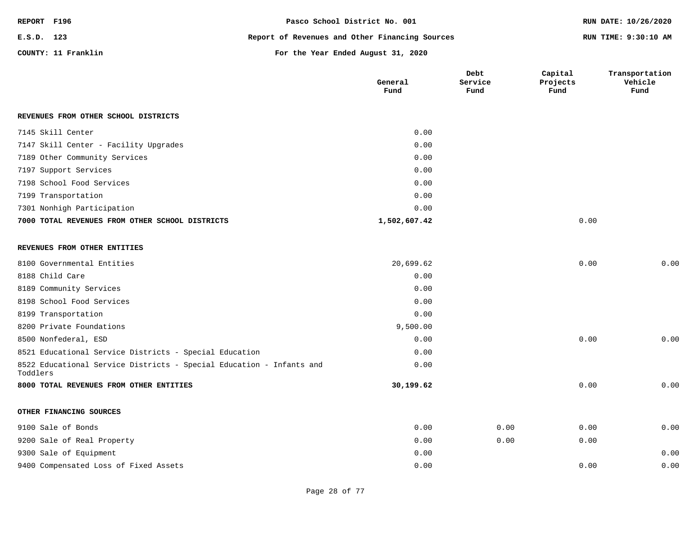| REPORT F196 |                     | Pasco School District No. 001                  | RUN DATE: 10/26/2020 |
|-------------|---------------------|------------------------------------------------|----------------------|
| E.S.D. 123  |                     | Report of Revenues and Other Financing Sources | RUN TIME: 9:30:10 AM |
|             | COUNTY: 11 Franklin | For the Year Ended August 31, 2020             |                      |

|                                                                                  | General<br>Fund | Debt<br>Service<br>Fund | Capital<br>Projects<br>Fund | Transportation<br>Vehicle<br>Fund |
|----------------------------------------------------------------------------------|-----------------|-------------------------|-----------------------------|-----------------------------------|
| REVENUES FROM OTHER SCHOOL DISTRICTS                                             |                 |                         |                             |                                   |
| 7145 Skill Center                                                                | 0.00            |                         |                             |                                   |
| 7147 Skill Center - Facility Upgrades                                            | 0.00            |                         |                             |                                   |
| 7189 Other Community Services                                                    | 0.00            |                         |                             |                                   |
| 7197 Support Services                                                            | 0.00            |                         |                             |                                   |
| 7198 School Food Services                                                        | 0.00            |                         |                             |                                   |
| 7199 Transportation                                                              | 0.00            |                         |                             |                                   |
| 7301 Nonhigh Participation                                                       | 0.00            |                         |                             |                                   |
| 7000 TOTAL REVENUES FROM OTHER SCHOOL DISTRICTS                                  | 1,502,607.42    |                         | 0.00                        |                                   |
| REVENUES FROM OTHER ENTITIES                                                     |                 |                         |                             |                                   |
| 8100 Governmental Entities                                                       | 20,699.62       |                         | 0.00                        | 0.00                              |
| 8188 Child Care                                                                  | 0.00            |                         |                             |                                   |
| 8189 Community Services                                                          | 0.00            |                         |                             |                                   |
| 8198 School Food Services                                                        | 0.00            |                         |                             |                                   |
| 8199 Transportation                                                              | 0.00            |                         |                             |                                   |
| 8200 Private Foundations                                                         | 9,500.00        |                         |                             |                                   |
| 8500 Nonfederal, ESD                                                             | 0.00            |                         | 0.00                        | 0.00                              |
| 8521 Educational Service Districts - Special Education                           | 0.00            |                         |                             |                                   |
| 8522 Educational Service Districts - Special Education - Infants and<br>Toddlers | 0.00            |                         |                             |                                   |
| 8000 TOTAL REVENUES FROM OTHER ENTITIES                                          | 30,199.62       |                         | 0.00                        | 0.00                              |
| OTHER FINANCING SOURCES                                                          |                 |                         |                             |                                   |
| 9100 Sale of Bonds                                                               | 0.00            | 0.00                    | 0.00                        | 0.00                              |
| 9200 Sale of Real Property                                                       | 0.00            | 0.00                    | 0.00                        |                                   |
| 9300 Sale of Equipment                                                           | 0.00            |                         |                             | 0.00                              |
| 9400 Compensated Loss of Fixed Assets                                            | 0.00            |                         | 0.00                        | 0.00                              |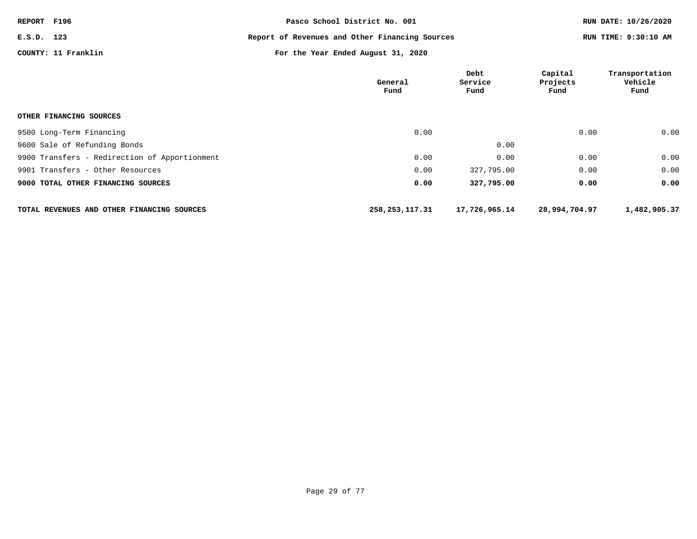| REPORT F196 |                     | Pasco School District No. 001                  | RUN DATE: 10/26/2020 |
|-------------|---------------------|------------------------------------------------|----------------------|
| E.S.D. 123  |                     | Report of Revenues and Other Financing Sources | RUN TIME: 9:30:10 AM |
|             | COUNTY: 11 Franklin | For the Year Ended August 31, 2020             |                      |

|                                               | General<br>Fund  | Debt<br>Service<br>Fund | Capital<br>Projects<br>Fund | Transportation<br>Vehicle<br>Fund |
|-----------------------------------------------|------------------|-------------------------|-----------------------------|-----------------------------------|
| OTHER FINANCING SOURCES                       |                  |                         |                             |                                   |
| 9500 Long-Term Financing                      | 0.00             |                         | 0.00                        | 0.00                              |
| 9600 Sale of Refunding Bonds                  |                  | 0.00                    |                             |                                   |
| 9900 Transfers - Redirection of Apportionment | 0.00             | 0.00                    | 0.00                        | 0.00                              |
| 9901 Transfers - Other Resources              | 0.00             | 327,795.00              | 0.00                        | 0.00                              |
| 9000 TOTAL OTHER FINANCING SOURCES            | 0.00             | 327,795.00              | 0.00                        | 0.00                              |
| TOTAL REVENUES AND OTHER FINANCING SOURCES    | 258, 253, 117.31 | 17,726,965.14           | 28,994,704.97               | 1,482,905.37                      |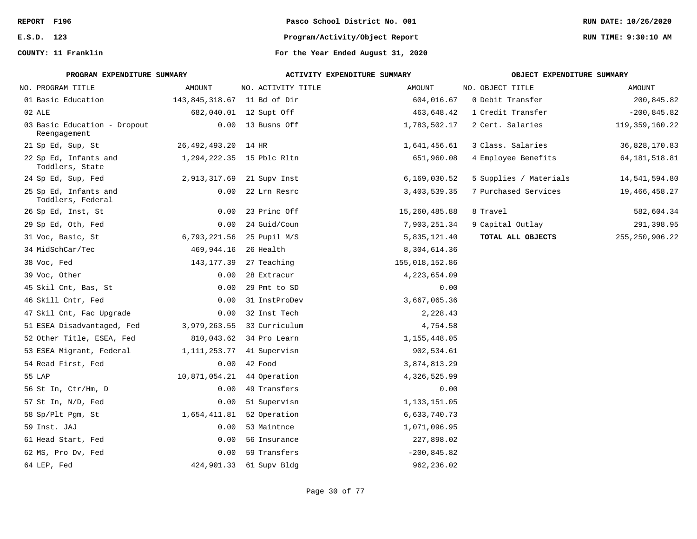| REPORT F196                                  |                             | Pasco School District No. 001 |                                    |                            | RUN DATE: 10/26/2020 |  |
|----------------------------------------------|-----------------------------|-------------------------------|------------------------------------|----------------------------|----------------------|--|
| E.S.D. 123                                   |                             |                               | Program/Activity/Object Report     |                            | RUN TIME: 9:30:10 AM |  |
| COUNTY: 11 Franklin                          |                             |                               | For the Year Ended August 31, 2020 |                            |                      |  |
| PROGRAM EXPENDITURE SUMMARY                  |                             |                               | ACTIVITY EXPENDITURE SUMMARY       | OBJECT EXPENDITURE SUMMARY |                      |  |
| NO. PROGRAM TITLE                            | AMOUNT                      | NO. ACTIVITY TITLE            | AMOUNT                             | NO. OBJECT TITLE           | AMOUNT               |  |
| 01 Basic Education                           | 143,845,318.67 11 Bd of Dir |                               | 604,016.67                         | 0 Debit Transfer           | 200,845.82           |  |
| 02 ALE                                       |                             | 682,040.01 12 Supt Off        | 463,648.42                         | 1 Credit Transfer          | $-200, 845.82$       |  |
| 03 Basic Education - Dropout<br>Reengagement |                             | $0.00$ 13 Busns Off           | 1,783,502.17                       | 2 Cert. Salaries           | 119, 359, 160. 22    |  |
| 21 Sp Ed, Sup, St                            | 26,492,493.20 14 HR         |                               | 1,641,456.61                       | 3 Class. Salaries          | 36,828,170.83        |  |
| 22 Sp Ed, Infants and<br>Toddlers, State     |                             | 1,294,222.35 15 Pblc Rltn     | 651,960.08                         | 4 Employee Benefits        | 64, 181, 518.81      |  |
| 24 Sp Ed, Sup, Fed                           |                             | 2,913,317.69 21 Supv Inst     | 6,169,030.52                       | 5 Supplies / Materials     | 14,541,594.80        |  |
| 25 Sp Ed, Infants and<br>Toddlers, Federal   |                             | $0.00$ 22 Lrn Resrc           | 3,403,539.35                       | 7 Purchased Services       | 19,466,458.27        |  |
| 26 Sp Ed, Inst, St                           | 0.00                        | 23 Princ Off                  | 15,260,485.88                      | 8 Travel                   | 582,604.34           |  |
| 29 Sp Ed, Oth, Fed                           | 0.00                        | 24 Guid/Coun                  | 7,903,251.34                       | 9 Capital Outlay           | 291,398.95           |  |
| 31 Voc, Basic, St                            |                             | 6,793,221.56 25 Pupil M/S     | 5,835,121.40                       | TOTAL ALL OBJECTS          | 255, 250, 906. 22    |  |
| 34 MidSchCar/Tec                             | 469,944.16 26 Health        |                               | 8,304,614.36                       |                            |                      |  |
| 38 Voc, Fed                                  |                             | 143, 177.39 27 Teaching       | 155,018,152.86                     |                            |                      |  |
| 39 Voc, Other                                | 0.00                        | 28 Extracur                   | 4, 223, 654.09                     |                            |                      |  |
| 45 Skil Cnt, Bas, St                         | 0.00                        | 29 Pmt to SD                  | 0.00                               |                            |                      |  |
| 46 Skill Cntr, Fed                           | 0.00                        | 31 InstProDev                 | 3,667,065.36                       |                            |                      |  |
| 47 Skil Cnt, Fac Upgrade                     | 0.00                        | 32 Inst Tech                  | 2,228.43                           |                            |                      |  |
| 51 ESEA Disadvantaged, Fed                   | 3,979,263.55                | 33 Curriculum                 | 4,754.58                           |                            |                      |  |
| 52 Other Title, ESEA, Fed                    |                             | 810,043.62 34 Pro Learn       | 1, 155, 448.05                     |                            |                      |  |
| 53 ESEA Migrant, Federal                     |                             | 1, 111, 253.77 41 Supervisn   | 902,534.61                         |                            |                      |  |
| 54 Read First, Fed                           |                             | $0.00$ 42 Food                | 3,874,813.29                       |                            |                      |  |
| 55 LAP                                       | 10,871,054.21 44 Operation  |                               | 4,326,525.99                       |                            |                      |  |
| 56 St In, Ctr/Hm, D                          | 0.00                        | 49 Transfers                  | 0.00                               |                            |                      |  |
| 57 St In, N/D, Fed                           | 0.00                        | 51 Supervisn                  | 1, 133, 151.05                     |                            |                      |  |
| 58 Sp/Plt Pgm, St                            | 1,654,411.81                | 52 Operation                  | 6,633,740.73                       |                            |                      |  |
| 59 Inst. JAJ                                 |                             | 0.00 53 Maintnce              | 1,071,096.95                       |                            |                      |  |
| 61 Head Start, Fed                           | 0.00                        | 56 Insurance                  | 227,898.02                         |                            |                      |  |
| 62 MS, Pro Dv, Fed                           | 0.00                        | 59 Transfers                  | $-200, 845.82$                     |                            |                      |  |
| 64 LEP, Fed                                  |                             | 424,901.33 61 Supv Bldg       | 962,236.02                         |                            |                      |  |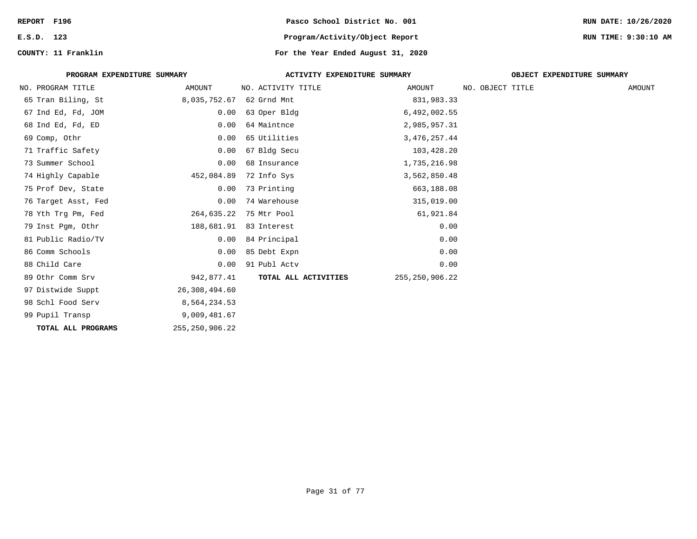| REPORT F196                 |                   | Pasco School District No. 001      |                   |                  |                            | RUN DATE: 10/26/2020 |
|-----------------------------|-------------------|------------------------------------|-------------------|------------------|----------------------------|----------------------|
| E.S.D. 123                  |                   | Program/Activity/Object Report     |                   |                  |                            | RUN TIME: 9:30:10 AM |
| COUNTY: 11 Franklin         |                   | For the Year Ended August 31, 2020 |                   |                  |                            |                      |
| PROGRAM EXPENDITURE SUMMARY |                   | ACTIVITY EXPENDITURE SUMMARY       |                   |                  | OBJECT EXPENDITURE SUMMARY |                      |
| NO. PROGRAM TITLE           | AMOUNT            | NO. ACTIVITY TITLE                 | AMOUNT            | NO. OBJECT TITLE |                            | AMOUNT               |
| 65 Tran Biling, St          | 8,035,752.67      | 62 Grnd Mnt                        | 831,983.33        |                  |                            |                      |
| 67 Ind Ed, Fd, JOM          | 0.00              | 63 Oper Bldg                       | 6,492,002.55      |                  |                            |                      |
| 68 Ind Ed, Fd, ED           | 0.00              | 64 Maintnce                        | 2,985,957.31      |                  |                            |                      |
| 69 Comp, Othr               | 0.00              | 65 Utilities                       | 3, 476, 257.44    |                  |                            |                      |
| 71 Traffic Safety           | 0.00              | 67 Bldg Secu                       | 103,428.20        |                  |                            |                      |
| 73 Summer School            | 0.00              | 68 Insurance                       | 1,735,216.98      |                  |                            |                      |
| 74 Highly Capable           | 452,084.89        | 72 Info Sys                        | 3,562,850.48      |                  |                            |                      |
| 75 Prof Dev, State          | 0.00              | 73 Printing                        | 663,188.08        |                  |                            |                      |
| 76 Target Asst, Fed         | 0.00              | 74 Warehouse                       | 315,019.00        |                  |                            |                      |
| 78 Yth Trg Pm, Fed          | 264,635.22        | 75 Mtr Pool                        | 61,921.84         |                  |                            |                      |
| 79 Inst Pgm, Othr           | 188,681.91        | 83 Interest                        | 0.00              |                  |                            |                      |
| 81 Public Radio/TV          | 0.00              | 84 Principal                       | 0.00              |                  |                            |                      |
| 86 Comm Schools             | 0.00              | 85 Debt Expn                       | 0.00              |                  |                            |                      |
| 88 Child Care               | 0.00              | 91 Publ Actv                       | 0.00              |                  |                            |                      |
| 89 Othr Comm Srv            | 942,877.41        | TOTAL ALL ACTIVITIES               | 255, 250, 906. 22 |                  |                            |                      |
| 97 Distwide Suppt           | 26,308,494.60     |                                    |                   |                  |                            |                      |
| 98 Schl Food Serv           | 8,564,234.53      |                                    |                   |                  |                            |                      |
| 99 Pupil Transp             | 9,009,481.67      |                                    |                   |                  |                            |                      |
| TOTAL ALL PROGRAMS          | 255, 250, 906. 22 |                                    |                   |                  |                            |                      |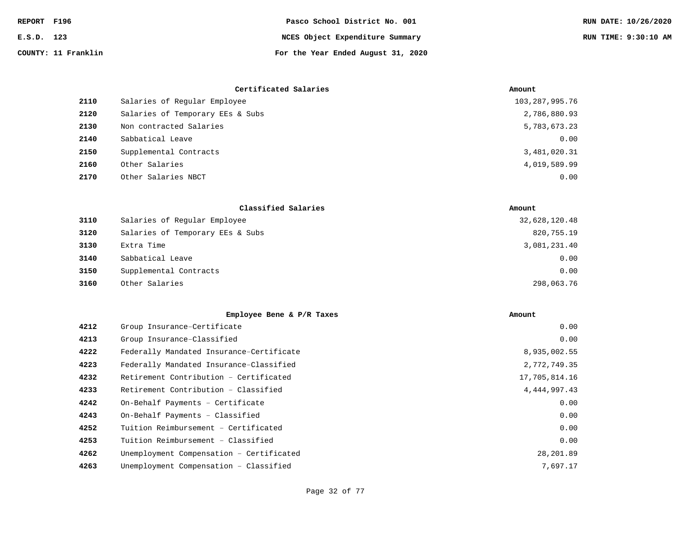| REPORT F196 |                     | Pasco School District No. 001      | RUN DATE: 10/26/2020 |
|-------------|---------------------|------------------------------------|----------------------|
| E.S.D. 123  |                     | NCES Object Expenditure Summary    | RUN TIME: 9:30:10 AM |
|             | COUNTY: 11 Franklin | For the Year Ended August 31, 2020 |                      |

|      | Certificated Salaries            | Amount            |
|------|----------------------------------|-------------------|
| 2110 | Salaries of Reqular Employee     | 103, 287, 995. 76 |
| 2120 | Salaries of Temporary EEs & Subs | 2,786,880.93      |
| 2130 | Non contracted Salaries          | 5,783,673.23      |
| 2140 | Sabbatical Leave                 | 0.00              |
| 2150 | Supplemental Contracts           | 3,481,020.31      |
| 2160 | Other Salaries                   | 4,019,589.99      |
| 2170 | Other Salaries NBCT              | 0.00              |

|      | Classified Salaries              | Amount        |
|------|----------------------------------|---------------|
| 3110 | Salaries of Reqular Employee     | 32,628,120.48 |
| 3120 | Salaries of Temporary EEs & Subs | 820,755.19    |
| 3130 | Extra Time                       | 3,081,231.40  |
| 3140 | Sabbatical Leave                 | 0.00          |
| 3150 | Supplemental Contracts           | 0.00          |
| 3160 | Other Salaries                   | 298,063.76    |

|      | Employee Bene & P/R Taxes                | Amount          |
|------|------------------------------------------|-----------------|
| 4212 | Group Insurance-Certificate              | 0.00            |
| 4213 | Group Insurance-Classified               | 0.00            |
| 4222 | Federally Mandated Insurance-Certificate | 8,935,002.55    |
| 4223 | Federally Mandated Insurance-Classified  | 2,772,749.35    |
| 4232 | Retirement Contribution - Certificated   | 17,705,814.16   |
| 4233 | Retirement Contribution - Classified     | 4, 444, 997. 43 |
| 4242 | On-Behalf Payments - Certificate         | 0.00            |
| 4243 | On-Behalf Payments - Classified          | 0.00            |
| 4252 | Tuition Reimbursement - Certificated     | 0.00            |
| 4253 | Tuition Reimbursement - Classified       | 0.00            |
| 4262 | Unemployment Compensation - Certificated | 28,201.89       |
| 4263 | Unemployment Compensation - Classified   | 7,697.17        |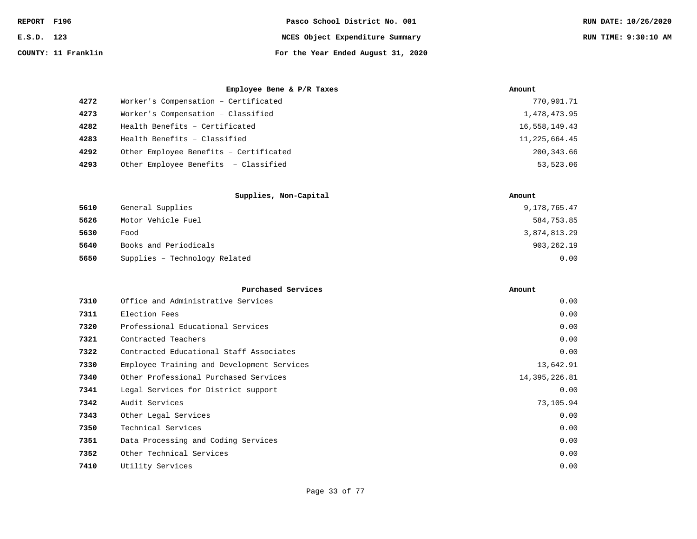| REPORT F196 |                     | Pasco School District No. 001      | RUN DATE: 10/26/2020 |
|-------------|---------------------|------------------------------------|----------------------|
| E.S.D. 123  |                     | NCES Object Expenditure Summary    | RUN TIME: 9:30:10 AM |
|             | COUNTY: 11 Franklin | For the Year Ended August 31, 2020 |                      |

|      | Employee Bene & P/R Taxes              | Amount        |
|------|----------------------------------------|---------------|
| 4272 | Worker's Compensation - Certificated   | 770,901.71    |
| 4273 | Worker's Compensation - Classified     | 1,478,473.95  |
| 4282 | Health Benefits - Certificated         | 16,558,149.43 |
| 4283 | Health Benefits - Classified           | 11,225,664.45 |
| 4292 | Other Employee Benefits - Certificated | 200,343.66    |
| 4293 | Other Employee Benefits - Classified   | 53,523.06     |

|      | Supplies, Non-Capital         | Amount       |
|------|-------------------------------|--------------|
| 5610 | General Supplies              | 9,178,765.47 |
| 5626 | Motor Vehicle Fuel            | 584,753.85   |
| 5630 | Food                          | 3,874,813.29 |
| 5640 | Books and Periodicals         | 903, 262. 19 |
| 5650 | Supplies - Technology Related | 0.00         |

| 0.00                                                                                                                                                                                                                                                                                                                                                                                                                                            |
|-------------------------------------------------------------------------------------------------------------------------------------------------------------------------------------------------------------------------------------------------------------------------------------------------------------------------------------------------------------------------------------------------------------------------------------------------|
| 0.00                                                                                                                                                                                                                                                                                                                                                                                                                                            |
| 0.00                                                                                                                                                                                                                                                                                                                                                                                                                                            |
| 0.00                                                                                                                                                                                                                                                                                                                                                                                                                                            |
| 0.00                                                                                                                                                                                                                                                                                                                                                                                                                                            |
| 13,642.91                                                                                                                                                                                                                                                                                                                                                                                                                                       |
| 14,395,226.81                                                                                                                                                                                                                                                                                                                                                                                                                                   |
| 0.00                                                                                                                                                                                                                                                                                                                                                                                                                                            |
| 73,105.94                                                                                                                                                                                                                                                                                                                                                                                                                                       |
| 0.00                                                                                                                                                                                                                                                                                                                                                                                                                                            |
| 0.00                                                                                                                                                                                                                                                                                                                                                                                                                                            |
| 0.00                                                                                                                                                                                                                                                                                                                                                                                                                                            |
| 0.00                                                                                                                                                                                                                                                                                                                                                                                                                                            |
| 0.00                                                                                                                                                                                                                                                                                                                                                                                                                                            |
| Office and Administrative Services<br>Election Fees<br>Professional Educational Services<br>Contracted Teachers<br>Contracted Educational Staff Associates<br>Employee Training and Development Services<br>Other Professional Purchased Services<br>Legal Services for District support<br>Audit Services<br>Other Legal Services<br>Technical Services<br>Data Processing and Coding Services<br>Other Technical Services<br>Utility Services |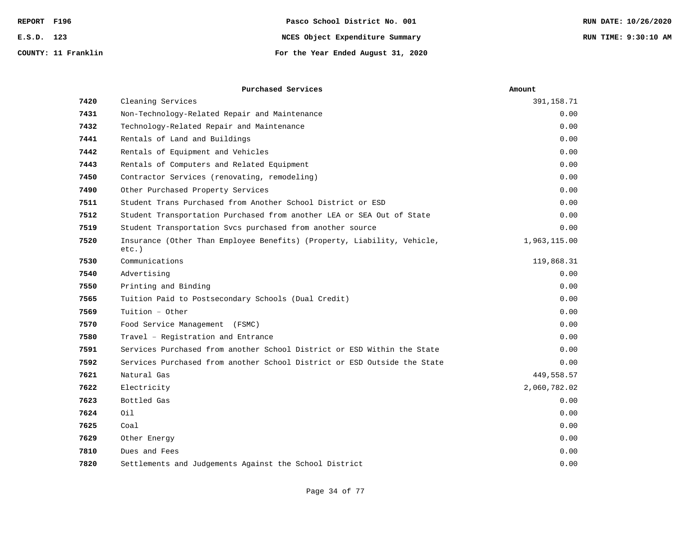| REPORT F196         | Pasco School District No. 001      | RUN DATE: 10/26/2020 |
|---------------------|------------------------------------|----------------------|
| E.S.D. 123          | NCES Object Expenditure Summary    | RUN TIME: 9:30:10 AM |
| COUNTY: 11 Franklin | For the Year Ended August 31, 2020 |                      |

|      | Purchased Services                                                                  | Amount       |
|------|-------------------------------------------------------------------------------------|--------------|
| 7420 | Cleaning Services                                                                   | 391,158.71   |
| 7431 | Non-Technology-Related Repair and Maintenance                                       | 0.00         |
| 7432 | Technology-Related Repair and Maintenance                                           | 0.00         |
| 7441 | Rentals of Land and Buildings                                                       | 0.00         |
| 7442 | Rentals of Equipment and Vehicles                                                   | 0.00         |
| 7443 | Rentals of Computers and Related Equipment                                          | 0.00         |
| 7450 | Contractor Services (renovating, remodeling)                                        | 0.00         |
| 7490 | Other Purchased Property Services                                                   | 0.00         |
| 7511 | Student Trans Purchased from Another School District or ESD                         | 0.00         |
| 7512 | Student Transportation Purchased from another LEA or SEA Out of State               | 0.00         |
| 7519 | Student Transportation Svcs purchased from another source                           | 0.00         |
| 7520 | Insurance (Other Than Employee Benefits) (Property, Liability, Vehicle,<br>$etc.$ ) | 1,963,115.00 |
| 7530 | Communications                                                                      | 119,868.31   |
| 7540 | Advertising                                                                         | 0.00         |
| 7550 | Printing and Binding                                                                | 0.00         |
| 7565 | Tuition Paid to Postsecondary Schools (Dual Credit)                                 | 0.00         |
| 7569 | Tuition - Other                                                                     | 0.00         |
| 7570 | Food Service Management (FSMC)                                                      | 0.00         |
| 7580 | Travel - Registration and Entrance                                                  | 0.00         |
| 7591 | Services Purchased from another School District or ESD Within the State             | 0.00         |
| 7592 | Services Purchased from another School District or ESD Outside the State            | 0.00         |
| 7621 | Natural Gas                                                                         | 449,558.57   |
| 7622 | Electricity                                                                         | 2,060,782.02 |
| 7623 | Bottled Gas                                                                         | 0.00         |
| 7624 | Oil                                                                                 | 0.00         |
| 7625 | Coal                                                                                | 0.00         |
| 7629 | Other Energy                                                                        | 0.00         |
| 7810 | Dues and Fees                                                                       | 0.00         |
| 7820 | Settlements and Judgements Against the School District                              | 0.00         |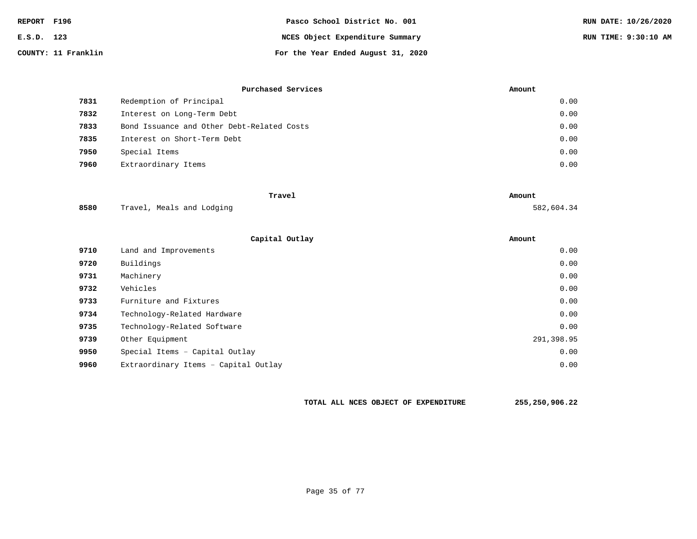| REPORT F196 |                     | Pasco School District No. 001      | RUN DATE: 10/26/2020 |
|-------------|---------------------|------------------------------------|----------------------|
| E.S.D. 123  |                     | NCES Object Expenditure Summary    | RUN TIME: 9:30:10 AM |
|             | COUNTY: 11 Franklin | For the Year Ended August 31, 2020 |                      |

|      | Purchased Services                         | Amount |
|------|--------------------------------------------|--------|
| 7831 | Redemption of Principal                    | 0.00   |
| 7832 | Interest on Long-Term Debt                 | 0.00   |
| 7833 | Bond Issuance and Other Debt-Related Costs | 0.00   |
| 7835 | Interest on Short-Term Debt                | 0.00   |
| 7950 | Special Items                              | 0.00   |
| 7960 | Extraordinary Items                        | 0.00   |

|      | Travel                    | Amount     |
|------|---------------------------|------------|
| 8580 | Travel, Meals and Lodging | 582,604.34 |

|      | Capital Outlay                       | Amount     |
|------|--------------------------------------|------------|
| 9710 | Land and Improvements                | 0.00       |
| 9720 | Buildings                            | 0.00       |
| 9731 | Machinery                            | 0.00       |
| 9732 | Vehicles                             | 0.00       |
| 9733 | Furniture and Fixtures               | 0.00       |
| 9734 | Technology-Related Hardware          | 0.00       |
| 9735 | Technology-Related Software          | 0.00       |
| 9739 | Other Equipment                      | 291,398.95 |
| 9950 | Special Items - Capital Outlay       | 0.00       |
| 9960 | Extraordinary Items - Capital Outlay | 0.00       |

**TOTAL ALL NCES OBJECT OF EXPENDITURE 255,250,906.22**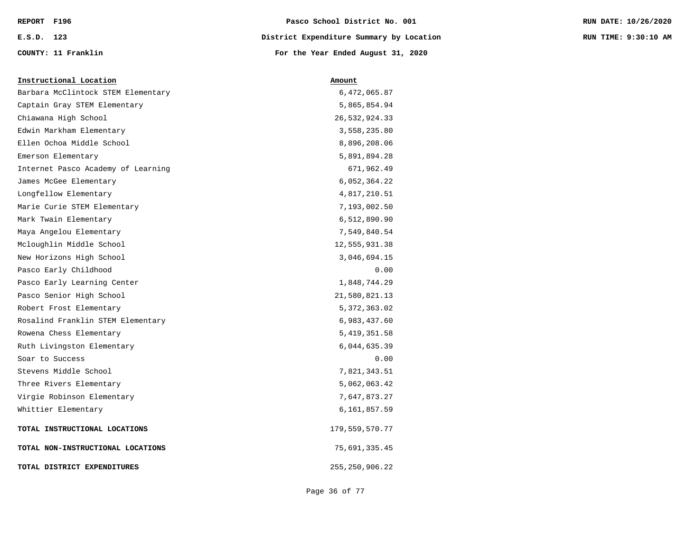| REPORT F196 |                     | Pasco School District No. 001            | RUN DATE: 10/26/2020 |
|-------------|---------------------|------------------------------------------|----------------------|
| E.S.D. 123  |                     | District Expenditure Summary by Location | RUN TIME: 9:30:10 AM |
|             | COUNTY: 11 Franklin | For the Year Ended August 31, 2020       |                      |

| Barbara McClintock STEM Elementary | 6,472,065.87      |
|------------------------------------|-------------------|
| Captain Gray STEM Elementary       | 5,865,854.94      |
| Chiawana High School               | 26,532,924.33     |
| Edwin Markham Elementary           | 3,558,235.80      |
| Ellen Ochoa Middle School          | 8,896,208.06      |
| Emerson Elementary                 | 5,891,894.28      |
| Internet Pasco Academy of Learning | 671,962.49        |
| James McGee Elementary             | 6,052,364.22      |
| Longfellow Elementary              | 4,817,210.51      |
| Marie Curie STEM Elementary        | 7,193,002.50      |
| Mark Twain Elementary              | 6,512,890.90      |
| Maya Angelou Elementary            | 7,549,840.54      |
| Mcloughlin Middle School           | 12,555,931.38     |
| New Horizons High School           | 3,046,694.15      |
| Pasco Early Childhood              | 0.00              |
| Pasco Early Learning Center        | 1,848,744.29      |
| Pasco Senior High School           | 21,580,821.13     |
| Robert Frost Elementary            | 5, 372, 363.02    |
| Rosalind Franklin STEM Elementary  | 6,983,437.60      |
| Rowena Chess Elementary            | 5, 419, 351.58    |
| Ruth Livingston Elementary         | 6,044,635.39      |
| Soar to Success                    | 0.00              |
| Stevens Middle School              | 7,821,343.51      |
| Three Rivers Elementary            | 5,062,063.42      |
| Virgie Robinson Elementary         | 7,647,873.27      |
| Whittier Elementary                | 6,161,857.59      |
| TOTAL INSTRUCTIONAL LOCATIONS      | 179,559,570.77    |
| TOTAL NON-INSTRUCTIONAL LOCATIONS  | 75,691,335.45     |
| TOTAL DISTRICT EXPENDITURES        | 255, 250, 906. 22 |

**Instructional Location Amount**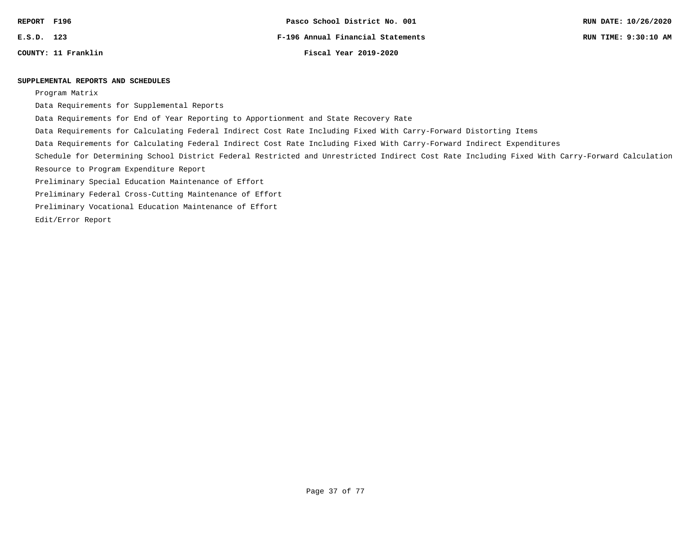**COUNTY: 11 Franklin Fiscal Year 2019-2020**

### **SUPPLEMENTAL REPORTS AND SCHEDULES**

Program Matrix

Data Requirements for Supplemental Reports

Data Requirements for End of Year Reporting to Apportionment and State Recovery Rate

Data Requirements for Calculating Federal Indirect Cost Rate Including Fixed With Carry-Forward Distorting Items

Data Requirements for Calculating Federal Indirect Cost Rate Including Fixed With Carry-Forward Indirect Expenditures

Schedule for Determining School District Federal Restricted and Unrestricted Indirect Cost Rate Including Fixed With Carry-Forward Calculation

Resource to Program Expenditure Report

Preliminary Special Education Maintenance of Effort

Preliminary Federal Cross-Cutting Maintenance of Effort

Preliminary Vocational Education Maintenance of Effort

Edit/Error Report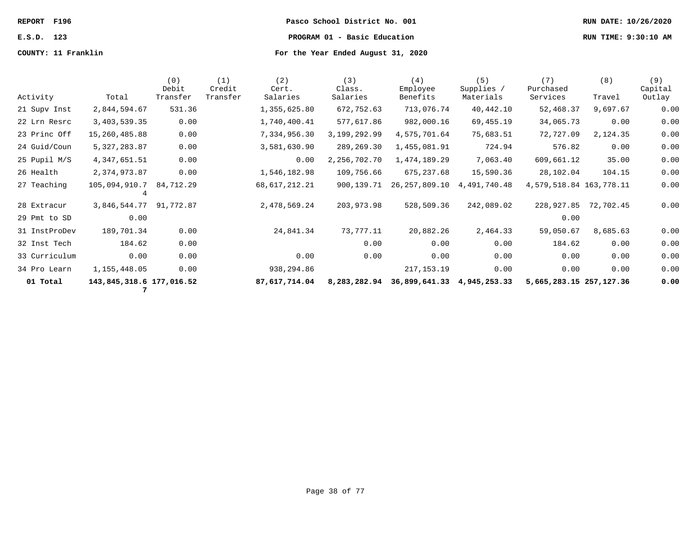**REPORT F196 Pasco School District No. 001 RUN DATE: 10/26/2020 E.S.D. 123 PROGRAM 01 - Basic Education RUN TIME: 9:30:10 AM**

| Activity      | Total                         | (0)<br>Debit<br>Transfer | (1)<br>Credit<br>Transfer | (2)<br>Cert.<br>Salaries | (3)<br>Class.<br>Salaries | (4)<br>Employee<br>Benefits             | (5)<br>Supplies /<br>Materials | (7)<br>Purchased<br>Services | (8)<br>Travel | (9)<br>Capital<br>Outlay |
|---------------|-------------------------------|--------------------------|---------------------------|--------------------------|---------------------------|-----------------------------------------|--------------------------------|------------------------------|---------------|--------------------------|
| 21 Supv Inst  | 2,844,594.67                  | 531.36                   |                           | 1,355,625.80             | 672,752.63                | 713,076.74                              | 40,442.10                      | 52,468.37                    | 9,697.67      | 0.00                     |
| 22 Lrn Resrc  | 3,403,539.35                  | 0.00                     |                           | 1,740,400.41             | 577,617.86                | 982,000.16                              | 69,455.19                      | 34,065.73                    | 0.00          | 0.00                     |
| 23 Princ Off  | 15,260,485.88                 | 0.00                     |                           | 7,334,956.30             | 3, 199, 292.99            | 4,575,701.64                            | 75,683.51                      | 72,727.09                    | 2,124.35      | 0.00                     |
| 24 Guid/Coun  | 5, 327, 283.87                | 0.00                     |                           | 3,581,630.90             | 289,269.30                | 1,455,081.91                            | 724.94                         | 576.82                       | 0.00          | 0.00                     |
| 25 Pupil M/S  | 4, 347, 651.51                | 0.00                     |                           | 0.00                     | 2,256,702.70              | 1,474,189.29                            | 7,063.40                       | 609,661.12                   | 35.00         | 0.00                     |
| 26 Health     | 2,374,973.87                  | 0.00                     |                           | 1,546,182.98             | 109,756.66                | 675,237.68                              | 15,590.36                      | 28,102.04                    | 104.15        | 0.00                     |
| 27 Teaching   | 105,094,910.7                 | 84,712.29                |                           | 68,617,212.21            | 900,139.71                | 26,257,809.10                           | 4,491,740.48                   | 4, 579, 518.84 163, 778.11   |               | 0.00                     |
| 28 Extracur   | 3,846,544.77                  | 91,772.87                |                           | 2,478,569.24             | 203,973.98                | 528,509.36                              | 242,089.02                     | 228,927.85                   | 72,702.45     | 0.00                     |
| 29 Pmt to SD  | 0.00                          |                          |                           |                          |                           |                                         |                                | 0.00                         |               |                          |
| 31 InstProDev | 189,701.34                    | 0.00                     |                           | 24,841.34                | 73,777.11                 | 20,882.26                               | 2,464.33                       | 59,050.67                    | 8,685.63      | 0.00                     |
| 32 Inst Tech  | 184.62                        | 0.00                     |                           |                          | 0.00                      | 0.00                                    | 0.00                           | 184.62                       | 0.00          | 0.00                     |
| 33 Curriculum | 0.00                          | 0.00                     |                           | 0.00                     | 0.00                      | 0.00                                    | 0.00                           | 0.00                         | 0.00          | 0.00                     |
| 34 Pro Learn  | 1,155,448.05                  | 0.00                     |                           | 938,294.86               |                           | 217, 153. 19                            | 0.00                           | 0.00                         | 0.00          | 0.00                     |
| 01 Total      | 143,845,318.6 177,016.52<br>7 |                          |                           | 87,617,714.04            |                           | 8,283,282.94 36,899,641.33 4,945,253.33 |                                | 5,665,283.15 257,127.36      |               | 0.00                     |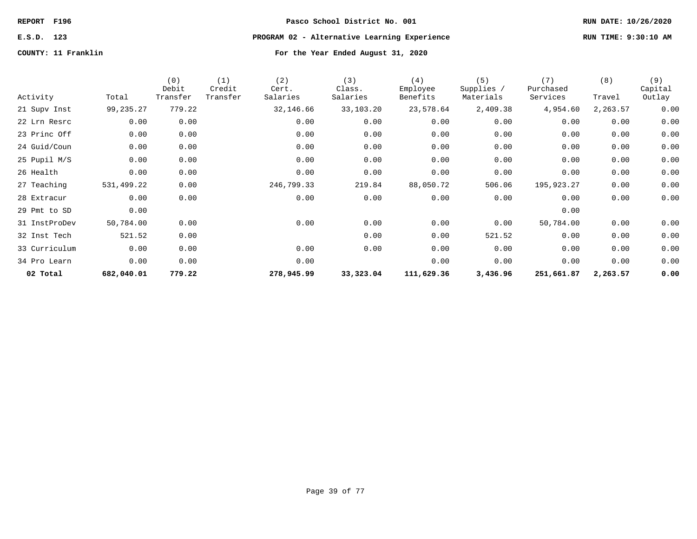# **E.S.D. 123 PROGRAM 02 - Alternative Learning Experience RUN TIME: 9:30:10 AM**

| Activity      | Total      | (0)<br>Debit<br>Transfer | (1)<br>Credit<br>Transfer | (2)<br>Cert.<br>Salaries | (3)<br>Class.<br>Salaries | (4)<br>Employee<br>Benefits | (5)<br>Supplies /<br>Materials | (7)<br>Purchased<br>Services | (8)<br>Travel | (9)<br>Capital<br>Outlay |
|---------------|------------|--------------------------|---------------------------|--------------------------|---------------------------|-----------------------------|--------------------------------|------------------------------|---------------|--------------------------|
| 21 Supv Inst  | 99,235.27  | 779.22                   |                           | 32,146.66                | 33,103.20                 | 23,578.64                   | 2,409.38                       | 4,954.60                     | 2,263.57      | 0.00                     |
| 22 Lrn Resrc  | 0.00       | 0.00                     |                           | 0.00                     | 0.00                      | 0.00                        | 0.00                           | 0.00                         | 0.00          | 0.00                     |
| 23 Princ Off  | 0.00       | 0.00                     |                           | 0.00                     | 0.00                      | 0.00                        | 0.00                           | 0.00                         | 0.00          | 0.00                     |
| 24 Guid/Coun  | 0.00       | 0.00                     |                           | 0.00                     | 0.00                      | 0.00                        | 0.00                           | 0.00                         | 0.00          | 0.00                     |
| 25 Pupil M/S  | 0.00       | 0.00                     |                           | 0.00                     | 0.00                      | 0.00                        | 0.00                           | 0.00                         | 0.00          | 0.00                     |
| 26 Health     | 0.00       | 0.00                     |                           | 0.00                     | 0.00                      | 0.00                        | 0.00                           | 0.00                         | 0.00          | 0.00                     |
| 27 Teaching   | 531,499.22 | 0.00                     |                           | 246,799.33               | 219.84                    | 88,050.72                   | 506.06                         | 195,923.27                   | 0.00          | 0.00                     |
| 28 Extracur   | 0.00       | 0.00                     |                           | 0.00                     | 0.00                      | 0.00                        | 0.00                           | 0.00                         | 0.00          | 0.00                     |
| 29 Pmt to SD  | 0.00       |                          |                           |                          |                           |                             |                                | 0.00                         |               |                          |
| 31 InstProDev | 50,784.00  | 0.00                     |                           | 0.00                     | 0.00                      | 0.00                        | 0.00                           | 50,784.00                    | 0.00          | 0.00                     |
| 32 Inst Tech  | 521.52     | 0.00                     |                           |                          | 0.00                      | 0.00                        | 521.52                         | 0.00                         | 0.00          | 0.00                     |
| 33 Curriculum | 0.00       | 0.00                     |                           | 0.00                     | 0.00                      | 0.00                        | 0.00                           | 0.00                         | 0.00          | 0.00                     |
| 34 Pro Learn  | 0.00       | 0.00                     |                           | 0.00                     |                           | 0.00                        | 0.00                           | 0.00                         | 0.00          | 0.00                     |
| 02 Total      | 682,040.01 | 779.22                   |                           | 278,945.99               | 33,323.04                 | 111,629.36                  | 3,436.96                       | 251,661.87                   | 2,263.57      | 0.00                     |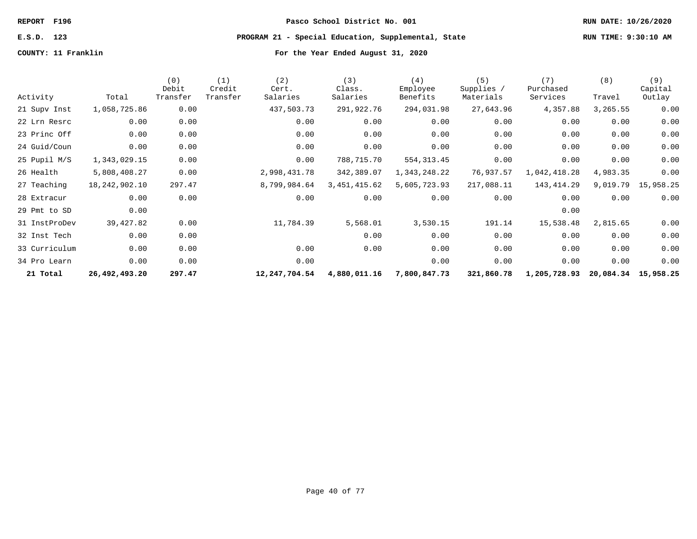### **E.S.D. 123 PROGRAM 21 - Special Education, Supplemental, State RUN TIME: 9:30:10 AM**

**COUNTY: 11 Franklin For the Year Ended August 31, 2020**

Activity Total (0) Debit Transfer (1) Credit Transfer (2) Cert. Salaries (3) Class. Salaries (4) Employee Benefits (5) Supplies / Materials (7) Purchased Services (8) Travel (9) Capital Outlay 21 Supv Inst 1,058,725.86 0.00 437,503.73 291,922.76 294,031.98 27,643.96 4,357.88 3,265.55 0.00 22 Lrn Resrc 0.00 0.00 0.00 0.00 0.00 0.00 0.00 0.00 0.00 23 Princ Off 0.00 0.00 0.00 0.00 0.00 0.00 0.00 0.00 0.00 24 Guid/Coun 0.00 0.00 0.00 0.00 0.00 0.00 0.00 0.00 0.00 25 Pupil M/S 1,343,029.15 0.00 0.00 788,715.70 554,313.45 0.00 0.00 0.00 0.00 26 Health 5,808,408.27 0.00 2,998,431.78 342,389.07 1,343,248.22 76,937.57 1,042,418.28 4,983.35 0.00 27 Teaching 18,242,902.10 297.47 8,799,984.64 3,451,415.62 5,605,723.93 217,088.11 143,414.29 9,019.79 15,958.25 28 Extracur 0.00 0.00 0.00 0.00 0.00 0.00 0.00 0.00 0.00 29 Pmt to SD 0.00 0.00 31 InstProDev 39,427.82 0.00 11,784.39 5,568.01 3,530.15 191.14 15,538.48 2,815.65 0.00 32 Inst Tech 0.00 0.00 0.00 0.00 0.00 0.00 0.00 0.00 33 Curriculum 0.00 0.00 0.00 0.00 0.00 0.00 0.00 0.00 0.00 34 Pro Learn 0.00 0.00 0.00 0.00 0.00 0.00 0.00 0.00  **21 Total 26,492,493.20 297.47 12,247,704.54 4,880,011.16 7,800,847.73 321,860.78 1,205,728.93 20,084.34 15,958.25**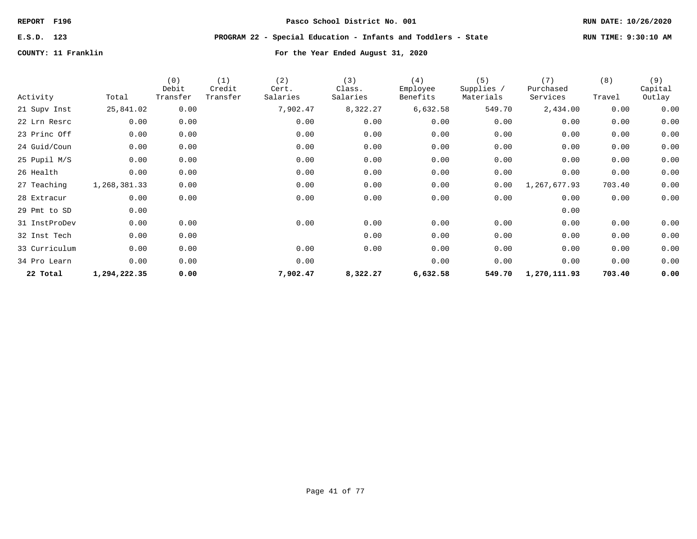## **E.S.D. 123 PROGRAM 22 - Special Education - Infants and Toddlers - State RUN TIME: 9:30:10 AM**

|               |              | (0)<br>Debit | (1)<br>Credit | (2)<br>Cert. | (3)<br>Class. | (4)<br>Employee | (5)<br>Supplies / | (7)<br>Purchased | (8)    | (9)<br>Capital |
|---------------|--------------|--------------|---------------|--------------|---------------|-----------------|-------------------|------------------|--------|----------------|
| Activity      | Total        | Transfer     | Transfer      | Salaries     | Salaries      | Benefits        | Materials         | Services         | Travel | Outlay         |
| 21 Supv Inst  | 25,841.02    | 0.00         |               | 7,902.47     | 8,322.27      | 6,632.58        | 549.70            | 2,434.00         | 0.00   | 0.00           |
| 22 Lrn Resrc  | 0.00         | 0.00         |               | 0.00         | 0.00          | 0.00            | 0.00              | 0.00             | 0.00   | 0.00           |
| 23 Princ Off  | 0.00         | 0.00         |               | 0.00         | 0.00          | 0.00            | 0.00              | 0.00             | 0.00   | 0.00           |
| 24 Guid/Coun  | 0.00         | 0.00         |               | 0.00         | 0.00          | 0.00            | 0.00              | 0.00             | 0.00   | 0.00           |
| 25 Pupil M/S  | 0.00         | 0.00         |               | 0.00         | 0.00          | 0.00            | 0.00              | 0.00             | 0.00   | 0.00           |
| 26 Health     | 0.00         | 0.00         |               | 0.00         | 0.00          | 0.00            | 0.00              | 0.00             | 0.00   | 0.00           |
| 27 Teaching   | 1,268,381.33 | 0.00         |               | 0.00         | 0.00          | 0.00            | 0.00              | 1,267,677.93     | 703.40 | 0.00           |
| 28 Extracur   | 0.00         | 0.00         |               | 0.00         | 0.00          | 0.00            | 0.00              | 0.00             | 0.00   | 0.00           |
| 29 Pmt to SD  | 0.00         |              |               |              |               |                 |                   | 0.00             |        |                |
| 31 InstProDev | 0.00         | 0.00         |               | 0.00         | 0.00          | 0.00            | 0.00              | 0.00             | 0.00   | 0.00           |
| 32 Inst Tech  | 0.00         | 0.00         |               |              | 0.00          | 0.00            | 0.00              | 0.00             | 0.00   | 0.00           |
| 33 Curriculum | 0.00         | 0.00         |               | 0.00         | 0.00          | 0.00            | 0.00              | 0.00             | 0.00   | 0.00           |
| 34 Pro Learn  | 0.00         | 0.00         |               | 0.00         |               | 0.00            | 0.00              | 0.00             | 0.00   | 0.00           |
| 22 Total      | 1,294,222.35 | 0.00         |               | 7,902.47     | 8,322.27      | 6,632.58        | 549.70            | 1,270,111.93     | 703.40 | 0.00           |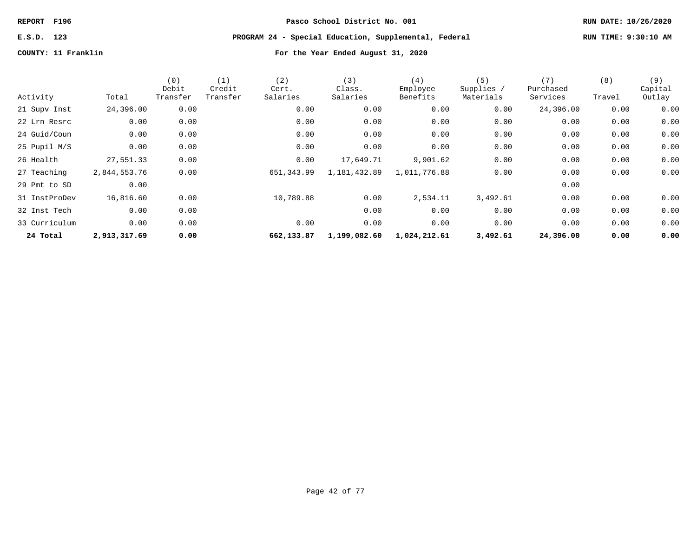# **E.S.D. 123 PROGRAM 24 - Special Education, Supplemental, Federal RUN TIME: 9:30:10 AM**

|               |              | (0)<br>Debit | (1)<br>Credit | (2)<br>Cert. | (3)<br>Class. | (4)<br>Employee | (5)<br>Supplies / | (7)<br>Purchased | (8)    | (9)<br>Capital |
|---------------|--------------|--------------|---------------|--------------|---------------|-----------------|-------------------|------------------|--------|----------------|
| Activity      | Total        | Transfer     | Transfer      | Salaries     | Salaries      | Benefits        | Materials         | Services         | Travel | Outlay         |
| 21 Supv Inst  | 24,396.00    | 0.00         |               | 0.00         | 0.00          | 0.00            | 0.00              | 24,396.00        | 0.00   | 0.00           |
| 22 Lrn Resrc  | 0.00         | 0.00         |               | 0.00         | 0.00          | 0.00            | 0.00              | 0.00             | 0.00   | 0.00           |
| 24 Guid/Coun  | 0.00         | 0.00         |               | 0.00         | 0.00          | 0.00            | 0.00              | 0.00             | 0.00   | 0.00           |
| 25 Pupil M/S  | 0.00         | 0.00         |               | 0.00         | 0.00          | 0.00            | 0.00              | 0.00             | 0.00   | 0.00           |
| 26 Health     | 27,551.33    | 0.00         |               | 0.00         | 17,649.71     | 9,901.62        | 0.00              | 0.00             | 0.00   | 0.00           |
| 27 Teaching   | 2,844,553.76 | 0.00         |               | 651,343.99   | 1,181,432.89  | 1,011,776.88    | 0.00              | 0.00             | 0.00   | 0.00           |
| 29 Pmt to SD  | 0.00         |              |               |              |               |                 |                   | 0.00             |        |                |
| 31 InstProDev | 16,816.60    | 0.00         |               | 10,789.88    | 0.00          | 2,534.11        | 3,492.61          | 0.00             | 0.00   | 0.00           |
| 32 Inst Tech  | 0.00         | 0.00         |               |              | 0.00          | 0.00            | 0.00              | 0.00             | 0.00   | 0.00           |
| 33 Curriculum | 0.00         | 0.00         |               | 0.00         | 0.00          | 0.00            | 0.00              | 0.00             | 0.00   | 0.00           |
| 24 Total      | 2,913,317.69 | 0.00         |               | 662,133.87   | 1,199,082.60  | 1,024,212.61    | 3,492.61          | 24,396.00        | 0.00   | 0.00           |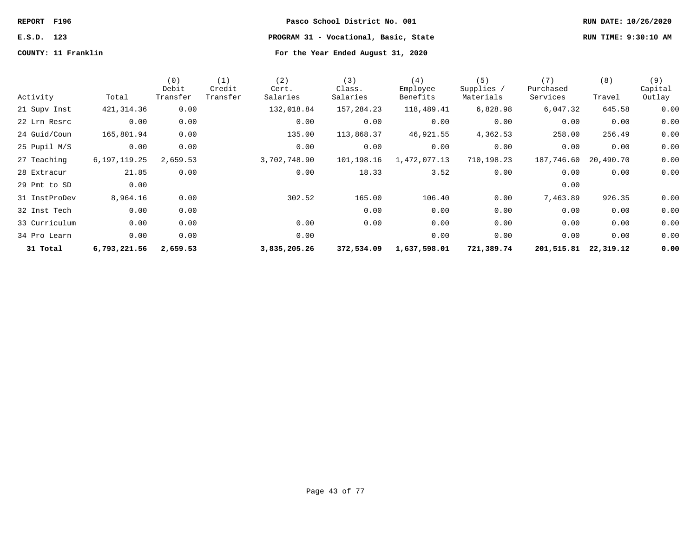| <b>REPORT</b> | F196 |
|---------------|------|
|               |      |

**E.S.D. 123 PROGRAM 31 - Vocational, Basic, State RUN TIME: 9:30:10 AM**

| Activity      | Total           | (0)<br>Debit<br>Transfer | (1)<br>Credit<br>Transfer | (2)<br>Cert.<br>Salaries | (3)<br>Class.<br>Salaries | (4)<br>Employee<br>Benefits | (5)<br>Supplies /<br>Materials | (7)<br>Purchased<br>Services | (8)<br>Travel | (9)<br>Capital<br>Outlay |
|---------------|-----------------|--------------------------|---------------------------|--------------------------|---------------------------|-----------------------------|--------------------------------|------------------------------|---------------|--------------------------|
| 21 Supv Inst  | 421, 314.36     | 0.00                     |                           | 132,018.84               | 157,284.23                | 118,489.41                  | 6,828.98                       | 6,047.32                     | 645.58        | 0.00                     |
| 22 Lrn Resrc  | 0.00            | 0.00                     |                           | 0.00                     | 0.00                      | 0.00                        | 0.00                           | 0.00                         | 0.00          | 0.00                     |
| 24 Guid/Coun  | 165,801.94      | 0.00                     |                           | 135.00                   | 113,868.37                | 46,921.55                   | 4,362.53                       | 258.00                       | 256.49        | 0.00                     |
| 25 Pupil M/S  | 0.00            | 0.00                     |                           | 0.00                     | 0.00                      | 0.00                        | 0.00                           | 0.00                         | 0.00          | 0.00                     |
| 27 Teaching   | 6, 197, 119. 25 | 2,659.53                 |                           | 3,702,748.90             | 101,198.16                | 1,472,077.13                | 710,198.23                     | 187,746.60                   | 20,490.70     | 0.00                     |
| 28 Extracur   | 21.85           | 0.00                     |                           | 0.00                     | 18.33                     | 3.52                        | 0.00                           | 0.00                         | 0.00          | 0.00                     |
| 29 Pmt to SD  | 0.00            |                          |                           |                          |                           |                             |                                | 0.00                         |               |                          |
| 31 InstProDev | 8,964.16        | 0.00                     |                           | 302.52                   | 165.00                    | 106.40                      | 0.00                           | 7,463.89                     | 926.35        | 0.00                     |
| 32 Inst Tech  | 0.00            | 0.00                     |                           |                          | 0.00                      | 0.00                        | 0.00                           | 0.00                         | 0.00          | 0.00                     |
| 33 Curriculum | 0.00            | 0.00                     |                           | 0.00                     | 0.00                      | 0.00                        | 0.00                           | 0.00                         | 0.00          | 0.00                     |
| 34 Pro Learn  | 0.00            | 0.00                     |                           | 0.00                     |                           | 0.00                        | 0.00                           | 0.00                         | 0.00          | 0.00                     |
| 31 Total      | 6,793,221.56    | 2,659.53                 |                           | 3,835,205.26             | 372,534.09                | 1,637,598.01                | 721,389.74                     | 201,515.81                   | 22,319.12     | 0.00                     |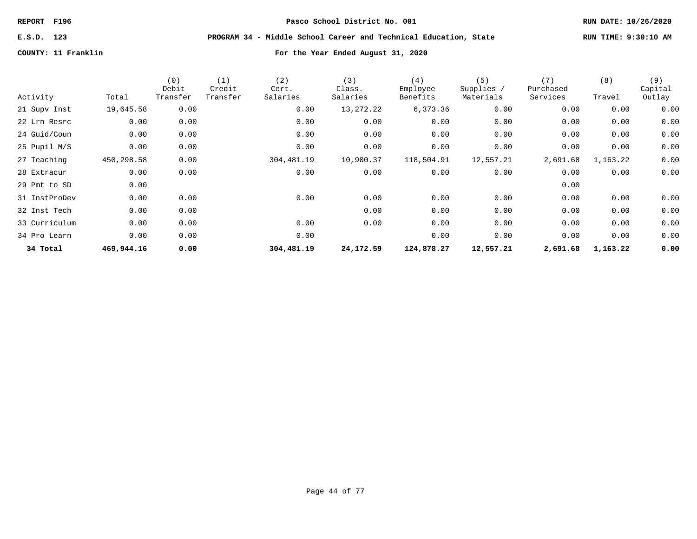# **E.S.D. 123 PROGRAM 34 - Middle School Career and Technical Education, State RUN TIME: 9:30:10 AM**

| Activity      | Total      | (0)<br>Debit<br>Transfer | (1)<br>Credit<br>Transfer | (2)<br>Cert.<br>Salaries | (3)<br>Class.<br>Salaries | (4)<br>Employee<br>Benefits | (5)<br>Supplies /<br>Materials | (7)<br>Purchased<br>Services | (8)<br>Travel | (9)<br>Capital<br>Outlay |
|---------------|------------|--------------------------|---------------------------|--------------------------|---------------------------|-----------------------------|--------------------------------|------------------------------|---------------|--------------------------|
| 21 Supv Inst  | 19,645.58  | 0.00                     |                           | 0.00                     | 13,272.22                 | 6,373.36                    | 0.00                           | 0.00                         | 0.00          | 0.00                     |
| 22 Lrn Resrc  | 0.00       | 0.00                     |                           | 0.00                     | 0.00                      | 0.00                        | 0.00                           | 0.00                         | 0.00          | 0.00                     |
| 24 Guid/Coun  | 0.00       | 0.00                     |                           | 0.00                     | 0.00                      | 0.00                        | 0.00                           | 0.00                         | 0.00          | 0.00                     |
| 25 Pupil M/S  | 0.00       | 0.00                     |                           | 0.00                     | 0.00                      | 0.00                        | 0.00                           | 0.00                         | 0.00          | 0.00                     |
| 27 Teaching   | 450,298.58 | 0.00                     |                           | 304,481.19               | 10,900.37                 | 118,504.91                  | 12,557.21                      | 2,691.68                     | 1,163.22      | 0.00                     |
| 28 Extracur   | 0.00       | 0.00                     |                           | 0.00                     | 0.00                      | 0.00                        | 0.00                           | 0.00                         | 0.00          | 0.00                     |
| 29 Pmt to SD  | 0.00       |                          |                           |                          |                           |                             |                                | 0.00                         |               |                          |
| 31 InstProDev | 0.00       | 0.00                     |                           | 0.00                     | 0.00                      | 0.00                        | 0.00                           | 0.00                         | 0.00          | 0.00                     |
| 32 Inst Tech  | 0.00       | 0.00                     |                           |                          | 0.00                      | 0.00                        | 0.00                           | 0.00                         | 0.00          | 0.00                     |
| 33 Curriculum | 0.00       | 0.00                     |                           | 0.00                     | 0.00                      | 0.00                        | 0.00                           | 0.00                         | 0.00          | 0.00                     |
| 34 Pro Learn  | 0.00       | 0.00                     |                           | 0.00                     |                           | 0.00                        | 0.00                           | 0.00                         | 0.00          | 0.00                     |
| 34 Total      | 469,944.16 | 0.00                     |                           | 304,481.19               | 24,172.59                 | 124,878.27                  | 12,557.21                      | 2,691.68                     | 1,163.22      | 0.00                     |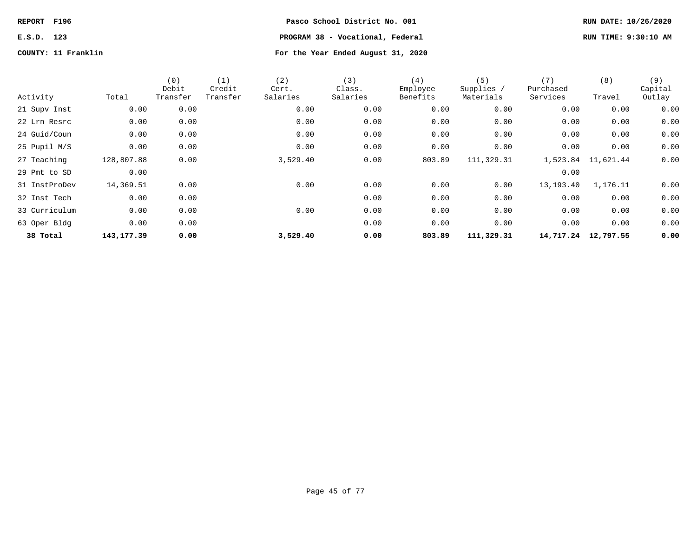# **REPORT F196 Pasco School District No. 001 RUN DATE: 10/26/2020 E.S.D. 123 PROGRAM 38 - Vocational, Federal RUN TIME: 9:30:10 AM**

| Activity      | Total       | (0)<br>Debit<br>Transfer | (1)<br>Credit<br>Transfer | (2)<br>Cert.<br>Salaries | (3)<br>Class.<br>Salaries | (4)<br>Employee<br>Benefits | (5)<br>Supplies /<br>Materials | (7)<br>Purchased<br>Services | (8)<br>Travel       | (9)<br>Capital<br>Outlay |
|---------------|-------------|--------------------------|---------------------------|--------------------------|---------------------------|-----------------------------|--------------------------------|------------------------------|---------------------|--------------------------|
| 21 Supv Inst  | 0.00        | 0.00                     |                           | 0.00                     | 0.00                      | 0.00                        | 0.00                           | 0.00                         | 0.00                | 0.00                     |
| 22 Lrn Resrc  | 0.00        | 0.00                     |                           | 0.00                     | 0.00                      | 0.00                        | 0.00                           | 0.00                         | 0.00                | 0.00                     |
| 24 Guid/Coun  | 0.00        | 0.00                     |                           | 0.00                     | 0.00                      | 0.00                        | 0.00                           | 0.00                         | 0.00                | 0.00                     |
| 25 Pupil M/S  | 0.00        | 0.00                     |                           | 0.00                     | 0.00                      | 0.00                        | 0.00                           | 0.00                         | 0.00                | 0.00                     |
| 27 Teaching   | 128,807.88  | 0.00                     |                           | 3,529.40                 | 0.00                      | 803.89                      | 111,329.31                     |                              | 1,523.84 11,621.44  | 0.00                     |
| 29 Pmt to SD  | 0.00        |                          |                           |                          |                           |                             |                                | 0.00                         |                     |                          |
| 31 InstProDev | 14,369.51   | 0.00                     |                           | 0.00                     | 0.00                      | 0.00                        | 0.00                           | 13,193.40                    | 1,176.11            | 0.00                     |
| 32 Inst Tech  | 0.00        | 0.00                     |                           |                          | 0.00                      | 0.00                        | 0.00                           | 0.00                         | 0.00                | 0.00                     |
| 33 Curriculum | 0.00        | 0.00                     |                           | 0.00                     | 0.00                      | 0.00                        | 0.00                           | 0.00                         | 0.00                | 0.00                     |
| 63 Oper Bldg  | 0.00        | 0.00                     |                           |                          | 0.00                      | 0.00                        | 0.00                           | 0.00                         | 0.00                | 0.00                     |
| 38 Total      | 143, 177.39 | 0.00                     |                           | 3,529.40                 | 0.00                      | 803.89                      | 111,329.31                     |                              | 14,717.24 12,797.55 | 0.00                     |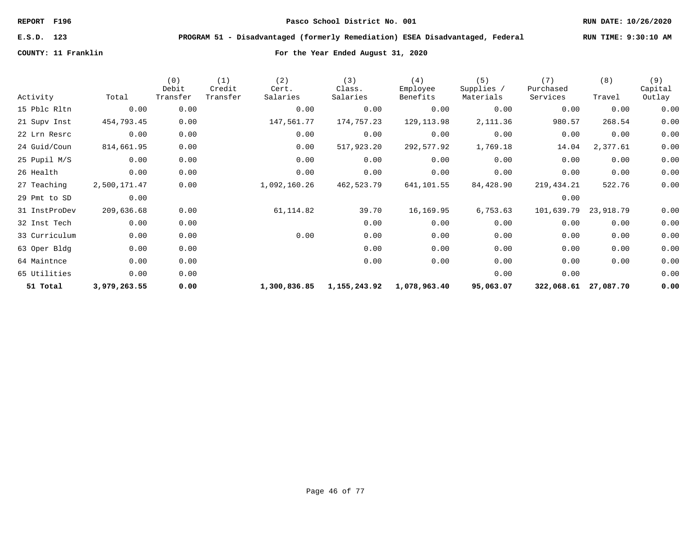# **E.S.D. 123 PROGRAM 51 - Disadvantaged (formerly Remediation) ESEA Disadvantaged, Federal RUN TIME: 9:30:10 AM**

| Activity      | Total        | (0)<br>Debit<br>Transfer | (1)<br>Credit<br>Transfer | (2)<br>Cert.<br>Salaries | (3)<br>Class.<br>Salaries | (4)<br>Employee<br>Benefits | (5)<br>Supplies /<br>Materials | (7)<br>Purchased<br>Services | (8)<br>Travel | (9)<br>Capital |
|---------------|--------------|--------------------------|---------------------------|--------------------------|---------------------------|-----------------------------|--------------------------------|------------------------------|---------------|----------------|
|               |              |                          |                           |                          |                           |                             |                                |                              |               | Outlay         |
| 15 Pblc Rltn  | 0.00         | 0.00                     |                           | 0.00                     | 0.00                      | 0.00                        | 0.00                           | 0.00                         | 0.00          | 0.00           |
| 21 Supv Inst  | 454,793.45   | 0.00                     |                           | 147,561.77               | 174,757.23                | 129, 113.98                 | 2,111.36                       | 980.57                       | 268.54        | 0.00           |
| 22 Lrn Resrc  | 0.00         | 0.00                     |                           | 0.00                     | 0.00                      | 0.00                        | 0.00                           | 0.00                         | 0.00          | 0.00           |
| 24 Guid/Coun  | 814,661.95   | 0.00                     |                           | 0.00                     | 517,923.20                | 292,577.92                  | 1,769.18                       | 14.04                        | 2,377.61      | 0.00           |
| 25 Pupil M/S  | 0.00         | 0.00                     |                           | 0.00                     | 0.00                      | 0.00                        | 0.00                           | 0.00                         | 0.00          | 0.00           |
| 26 Health     | 0.00         | 0.00                     |                           | 0.00                     | 0.00                      | 0.00                        | 0.00                           | 0.00                         | 0.00          | 0.00           |
| 27 Teaching   | 2,500,171.47 | 0.00                     |                           | 1,092,160.26             | 462,523.79                | 641,101.55                  | 84,428.90                      | 219,434.21                   | 522.76        | 0.00           |
| 29 Pmt to SD  | 0.00         |                          |                           |                          |                           |                             |                                | 0.00                         |               |                |
| 31 InstProDev | 209,636.68   | 0.00                     |                           | 61, 114.82               | 39.70                     | 16,169.95                   | 6,753.63                       | 101,639.79                   | 23,918.79     | 0.00           |
| 32 Inst Tech  | 0.00         | 0.00                     |                           |                          | 0.00                      | 0.00                        | 0.00                           | 0.00                         | 0.00          | 0.00           |
| 33 Curriculum | 0.00         | 0.00                     |                           | 0.00                     | 0.00                      | 0.00                        | 0.00                           | 0.00                         | 0.00          | 0.00           |
| 63 Oper Bldg  | 0.00         | 0.00                     |                           |                          | 0.00                      | 0.00                        | 0.00                           | 0.00                         | 0.00          | 0.00           |
| 64 Maintnce   | 0.00         | 0.00                     |                           |                          | 0.00                      | 0.00                        | 0.00                           | 0.00                         | 0.00          | 0.00           |
| 65 Utilities  | 0.00         | 0.00                     |                           |                          |                           |                             | 0.00                           | 0.00                         |               | 0.00           |
| 51 Total      | 3,979,263.55 | 0.00                     |                           | 1,300,836.85             |                           | 1,155,243.92 1,078,963.40   | 95,063.07                      | 322,068.61 27,087.70         |               | 0.00           |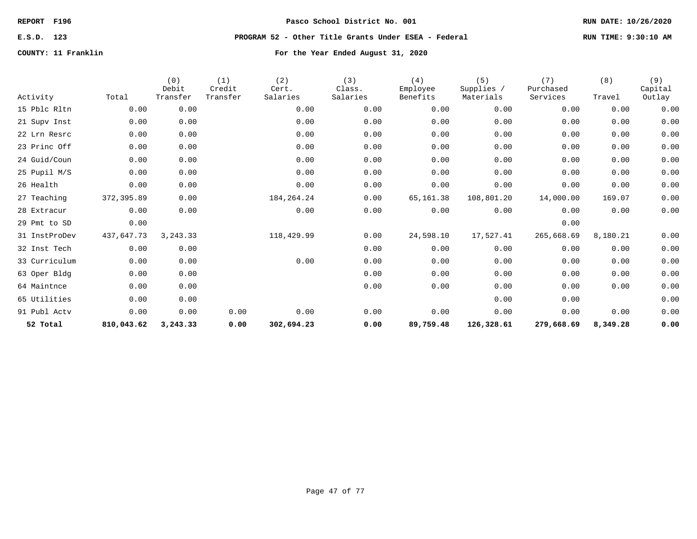### **E.S.D. 123 PROGRAM 52 - Other Title Grants Under ESEA - Federal RUN TIME: 9:30:10 AM**

| Activity      | Total      | (0)<br>Debit<br>Transfer | (1)<br>Credit<br>Transfer | (2)<br>Cert.<br>Salaries | (3)<br>Class.<br>Salaries | (4)<br>Employee<br>Benefits | (5)<br>Supplies /<br>Materials | (7)<br>Purchased<br>Services | (8)<br>Travel | (9)<br>Capital<br>Outlay |
|---------------|------------|--------------------------|---------------------------|--------------------------|---------------------------|-----------------------------|--------------------------------|------------------------------|---------------|--------------------------|
| 15 Pblc Rltn  | 0.00       | 0.00                     |                           | 0.00                     | 0.00                      | 0.00                        | 0.00                           | 0.00                         | 0.00          | 0.00                     |
| 21 Supv Inst  | 0.00       | 0.00                     |                           | 0.00                     | 0.00                      | 0.00                        | 0.00                           | 0.00                         | 0.00          | 0.00                     |
| 22 Lrn Resrc  | 0.00       | 0.00                     |                           | 0.00                     | 0.00                      | 0.00                        | 0.00                           | 0.00                         | 0.00          | 0.00                     |
| 23 Princ Off  | 0.00       | 0.00                     |                           | 0.00                     | 0.00                      | 0.00                        | 0.00                           | 0.00                         | 0.00          | 0.00                     |
| 24 Guid/Coun  | 0.00       | 0.00                     |                           | 0.00                     | 0.00                      | 0.00                        | 0.00                           | 0.00                         | 0.00          | 0.00                     |
| 25 Pupil M/S  | 0.00       | 0.00                     |                           | 0.00                     | 0.00                      | 0.00                        | 0.00                           | 0.00                         | 0.00          | 0.00                     |
| 26 Health     | 0.00       | 0.00                     |                           | 0.00                     | 0.00                      | 0.00                        | 0.00                           | 0.00                         | 0.00          | 0.00                     |
| 27 Teaching   | 372,395.89 | 0.00                     |                           | 184, 264. 24             | 0.00                      | 65,161.38                   | 108,801.20                     | 14,000.00                    | 169.07        | 0.00                     |
| 28 Extracur   | 0.00       | 0.00                     |                           | 0.00                     | 0.00                      | 0.00                        | 0.00                           | 0.00                         | 0.00          | 0.00                     |
| 29 Pmt to SD  | 0.00       |                          |                           |                          |                           |                             |                                | 0.00                         |               |                          |
| 31 InstProDev | 437,647.73 | 3, 243. 33               |                           | 118,429.99               | 0.00                      | 24,598.10                   | 17,527.41                      | 265,668.69                   | 8,180.21      | 0.00                     |
| 32 Inst Tech  | 0.00       | 0.00                     |                           |                          | 0.00                      | 0.00                        | 0.00                           | 0.00                         | 0.00          | 0.00                     |
| 33 Curriculum | 0.00       | 0.00                     |                           | 0.00                     | 0.00                      | 0.00                        | 0.00                           | 0.00                         | 0.00          | 0.00                     |
| 63 Oper Bldg  | 0.00       | 0.00                     |                           |                          | 0.00                      | 0.00                        | 0.00                           | 0.00                         | 0.00          | 0.00                     |
| 64 Maintnce   | 0.00       | 0.00                     |                           |                          | 0.00                      | 0.00                        | 0.00                           | 0.00                         | 0.00          | 0.00                     |
| 65 Utilities  | 0.00       | 0.00                     |                           |                          |                           |                             | 0.00                           | 0.00                         |               | 0.00                     |
| 91 Publ Actv  | 0.00       | 0.00                     | 0.00                      | 0.00                     | 0.00                      | 0.00                        | 0.00                           | 0.00                         | 0.00          | 0.00                     |
| 52 Total      | 810,043.62 | 3,243.33                 | 0.00                      | 302,694.23               | 0.00                      | 89,759.48                   | 126,328.61                     | 279,668.69                   | 8,349.28      | 0.00                     |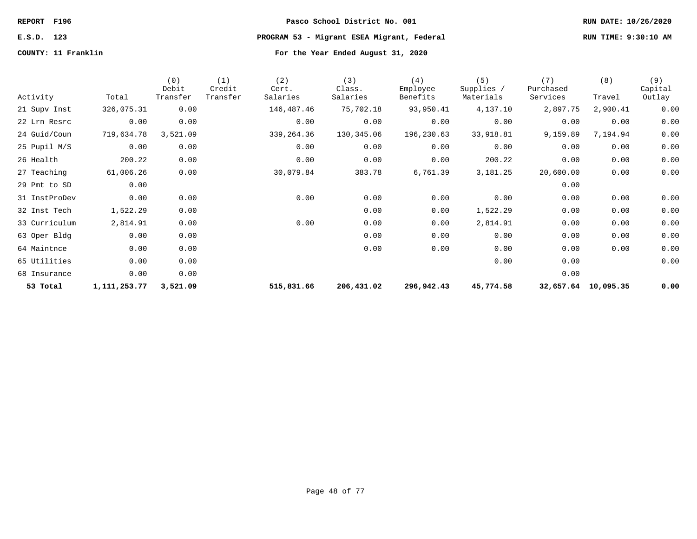# **E.S.D. 123 PROGRAM 53 - Migrant ESEA Migrant, Federal RUN TIME: 9:30:10 AM**

|               |              | (0)<br>Debit | (1)<br>Credit | (2)<br>Cert. | (3)<br>Class. | (4)<br>Employee | (5)<br>Supplies / | (7)<br>Purchased | (8)       | (9)<br>Capital |
|---------------|--------------|--------------|---------------|--------------|---------------|-----------------|-------------------|------------------|-----------|----------------|
| Activity      | Total        | Transfer     | Transfer      | Salaries     | Salaries      | Benefits        | Materials         | Services         | Travel    | Outlay         |
| 21 Supv Inst  | 326,075.31   | 0.00         |               | 146,487.46   | 75,702.18     | 93,950.41       | 4,137.10          | 2,897.75         | 2,900.41  | 0.00           |
| 22 Lrn Resrc  | 0.00         | 0.00         |               | 0.00         | 0.00          | 0.00            | 0.00              | 0.00             | 0.00      | 0.00           |
| 24 Guid/Coun  | 719,634.78   | 3,521.09     |               | 339,264.36   | 130,345.06    | 196,230.63      | 33,918.81         | 9,159.89         | 7,194.94  | 0.00           |
| 25 Pupil M/S  | 0.00         | 0.00         |               | 0.00         | 0.00          | 0.00            | 0.00              | 0.00             | 0.00      | 0.00           |
| 26 Health     | 200.22       | 0.00         |               | 0.00         | 0.00          | 0.00            | 200.22            | 0.00             | 0.00      | 0.00           |
| 27 Teaching   | 61,006.26    | 0.00         |               | 30,079.84    | 383.78        | 6,761.39        | 3,181.25          | 20,600.00        | 0.00      | 0.00           |
| 29 Pmt to SD  | 0.00         |              |               |              |               |                 |                   | 0.00             |           |                |
| 31 InstProDev | 0.00         | 0.00         |               | 0.00         | 0.00          | 0.00            | 0.00              | 0.00             | 0.00      | 0.00           |
| 32 Inst Tech  | 1,522.29     | 0.00         |               |              | 0.00          | 0.00            | 1,522.29          | 0.00             | 0.00      | 0.00           |
| 33 Curriculum | 2,814.91     | 0.00         |               | 0.00         | 0.00          | 0.00            | 2,814.91          | 0.00             | 0.00      | 0.00           |
| 63 Oper Bldg  | 0.00         | 0.00         |               |              | 0.00          | 0.00            | 0.00              | 0.00             | 0.00      | 0.00           |
| 64 Maintnce   | 0.00         | 0.00         |               |              | 0.00          | 0.00            | 0.00              | 0.00             | 0.00      | 0.00           |
| 65 Utilities  | 0.00         | 0.00         |               |              |               |                 | 0.00              | 0.00             |           | 0.00           |
| 68 Insurance  | 0.00         | 0.00         |               |              |               |                 |                   | 0.00             |           |                |
| 53 Total      | 1,111,253.77 | 3,521.09     |               | 515,831.66   | 206,431.02    | 296,942.43      | 45,774.58         | 32,657.64        | 10,095.35 | 0.00           |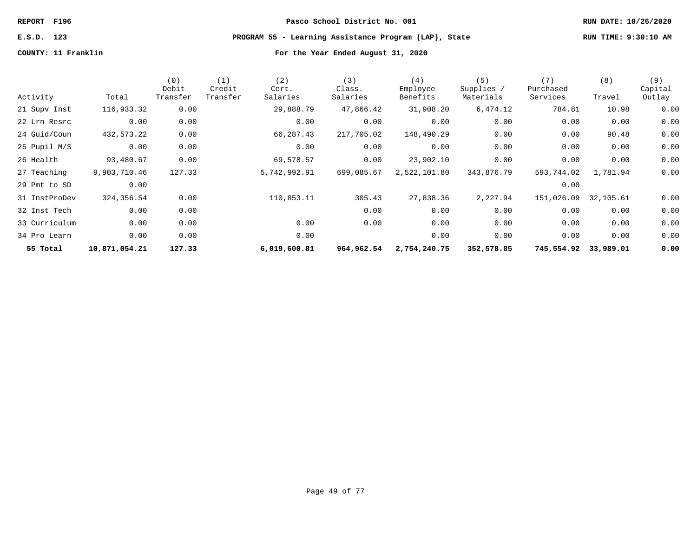# **E.S.D. 123 PROGRAM 55 - Learning Assistance Program (LAP), State RUN TIME: 9:30:10 AM**

|               |               | (0)<br>Debit | (1)<br>Credit | (2)<br>Cert. | (3)<br>Class. | (4)<br>Employee | (5)<br>Supplies / | (7)<br>Purchased | (8)       | (9)<br>Capital |
|---------------|---------------|--------------|---------------|--------------|---------------|-----------------|-------------------|------------------|-----------|----------------|
| Activity      | Total         | Transfer     | Transfer      | Salaries     | Salaries      | Benefits        | Materials         | Services         | Travel    | Outlay         |
| 21 Supv Inst  | 116,933.32    | 0.00         |               | 29,888.79    | 47,866.42     | 31,908.20       | 6,474.12          | 784.81           | 10.98     | 0.00           |
| 22 Lrn Resrc  | 0.00          | 0.00         |               | 0.00         | 0.00          | 0.00            | 0.00              | 0.00             | 0.00      | 0.00           |
| 24 Guid/Coun  | 432,573.22    | 0.00         |               | 66,287.43    | 217,705.02    | 148,490.29      | 0.00              | 0.00             | 90.48     | 0.00           |
| 25 Pupil M/S  | 0.00          | 0.00         |               | 0.00         | 0.00          | 0.00            | 0.00              | 0.00             | 0.00      | 0.00           |
| 26 Health     | 93,480.67     | 0.00         |               | 69,578.57    | 0.00          | 23,902.10       | 0.00              | 0.00             | 0.00      | 0.00           |
| 27 Teaching   | 9,903,710.46  | 127.33       |               | 5,742,992.91 | 699,085.67    | 2,522,101.80    | 343,876.79        | 593,744.02       | 1,781.94  | 0.00           |
| 29 Pmt to SD  | 0.00          |              |               |              |               |                 |                   | 0.00             |           |                |
| 31 InstProDev | 324,356.54    | 0.00         |               | 110,853.11   | 305.43        | 27,838.36       | 2,227.94          | 151,026.09       | 32,105.61 | 0.00           |
| 32 Inst Tech  | 0.00          | 0.00         |               |              | 0.00          | 0.00            | 0.00              | 0.00             | 0.00      | 0.00           |
| 33 Curriculum | 0.00          | 0.00         |               | 0.00         | 0.00          | 0.00            | 0.00              | 0.00             | 0.00      | 0.00           |
| 34 Pro Learn  | 0.00          | 0.00         |               | 0.00         |               | 0.00            | 0.00              | 0.00             | 0.00      | 0.00           |
| 55 Total      | 10,871,054.21 | 127.33       |               | 6,019,600.81 | 964,962.54    | 2,754,240.75    | 352,578.85        | 745,554.92       | 33,989.01 | 0.00           |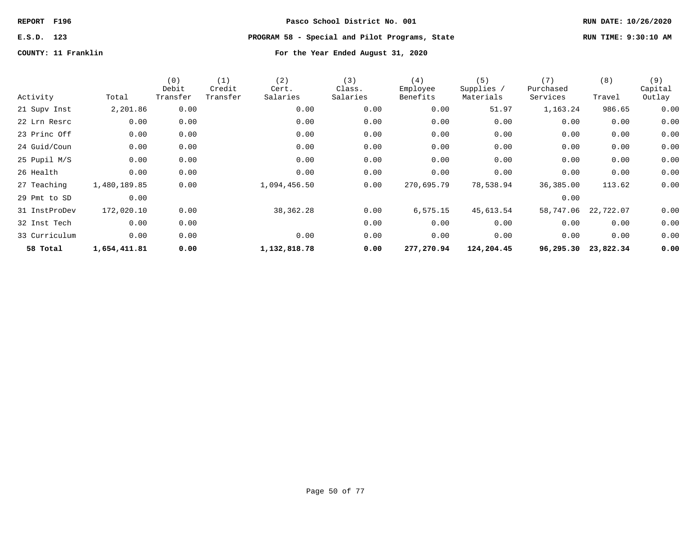**E.S.D. 123 PROGRAM 58 - Special and Pilot Programs, State RUN TIME: 9:30:10 AM**

| Activity      | Total        | (0)<br>Debit<br>Transfer | (1)<br>Credit<br>Transfer | (2)<br>Cert.<br>Salaries | (3)<br>Class.<br>Salaries | (4)<br>Employee<br>Benefits | (5)<br>Supplies /<br>Materials | (7)<br>Purchased<br>Services | (8)<br>Travel | (9)<br>Capital<br>Outlay |
|---------------|--------------|--------------------------|---------------------------|--------------------------|---------------------------|-----------------------------|--------------------------------|------------------------------|---------------|--------------------------|
| 21 Supv Inst  | 2,201.86     | 0.00                     |                           | 0.00                     | 0.00                      | 0.00                        | 51.97                          | 1,163.24                     | 986.65        | 0.00                     |
| 22 Lrn Resrc  | 0.00         | 0.00                     |                           | 0.00                     | 0.00                      | 0.00                        | 0.00                           | 0.00                         | 0.00          | 0.00                     |
| 23 Princ Off  | 0.00         | 0.00                     |                           | 0.00                     | 0.00                      | 0.00                        | 0.00                           | 0.00                         | 0.00          | 0.00                     |
| 24 Guid/Coun  | 0.00         | 0.00                     |                           | 0.00                     | 0.00                      | 0.00                        | 0.00                           | 0.00                         | 0.00          | 0.00                     |
| 25 Pupil M/S  | 0.00         | 0.00                     |                           | 0.00                     | 0.00                      | 0.00                        | 0.00                           | 0.00                         | 0.00          | 0.00                     |
| 26 Health     | 0.00         | 0.00                     |                           | 0.00                     | 0.00                      | 0.00                        | 0.00                           | 0.00                         | 0.00          | 0.00                     |
| 27 Teaching   | 1,480,189.85 | 0.00                     |                           | 1,094,456.50             | 0.00                      | 270,695.79                  | 78,538.94                      | 36,385.00                    | 113.62        | 0.00                     |
| 29 Pmt to SD  | 0.00         |                          |                           |                          |                           |                             |                                | 0.00                         |               |                          |
| 31 InstProDev | 172,020.10   | 0.00                     |                           | 38,362.28                | 0.00                      | 6,575.15                    | 45,613.54                      | 58,747.06                    | 22,722.07     | 0.00                     |
| 32 Inst Tech  | 0.00         | 0.00                     |                           |                          | 0.00                      | 0.00                        | 0.00                           | 0.00                         | 0.00          | 0.00                     |
| 33 Curriculum | 0.00         | 0.00                     |                           | 0.00                     | 0.00                      | 0.00                        | 0.00                           | 0.00                         | 0.00          | 0.00                     |
| 58 Total      | 1,654,411.81 | 0.00                     |                           | 1,132,818.78             | 0.00                      | 277,270.94                  | 124,204.45                     | 96,295.30                    | 23,822.34     | 0.00                     |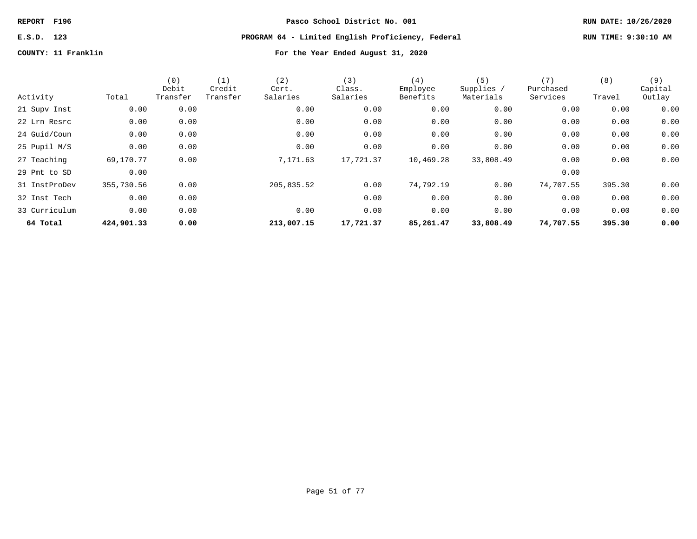# **E.S.D. 123 PROGRAM 64 - Limited English Proficiency, Federal RUN TIME: 9:30:10 AM**

|               |            | (0)<br>Debit | (1)<br>Credit | (2)<br>Cert. | (3)<br>Class. | (4)<br>Employee | (5)<br>Supplies / | (7)<br>Purchased | (8)    | (9)<br>Capital |
|---------------|------------|--------------|---------------|--------------|---------------|-----------------|-------------------|------------------|--------|----------------|
| Activity      | Total      | Transfer     | Transfer      | Salaries     | Salaries      | Benefits        | Materials         | Services         | Travel | Outlay         |
| 21 Supv Inst  | 0.00       | 0.00         |               | 0.00         | 0.00          | 0.00            | 0.00              | 0.00             | 0.00   | 0.00           |
| 22 Lrn Resrc  | 0.00       | 0.00         |               | 0.00         | 0.00          | 0.00            | 0.00              | 0.00             | 0.00   | 0.00           |
| 24 Guid/Coun  | 0.00       | 0.00         |               | 0.00         | 0.00          | 0.00            | 0.00              | 0.00             | 0.00   | 0.00           |
| 25 Pupil M/S  | 0.00       | 0.00         |               | 0.00         | 0.00          | 0.00            | 0.00              | 0.00             | 0.00   | 0.00           |
| 27 Teaching   | 69,170.77  | 0.00         |               | 7,171.63     | 17,721.37     | 10,469.28       | 33,808.49         | 0.00             | 0.00   | 0.00           |
| 29 Pmt to SD  | 0.00       |              |               |              |               |                 |                   | 0.00             |        |                |
| 31 InstProDev | 355,730.56 | 0.00         |               | 205,835.52   | 0.00          | 74,792.19       | 0.00              | 74,707.55        | 395.30 | 0.00           |
| 32 Inst Tech  | 0.00       | 0.00         |               |              | 0.00          | 0.00            | 0.00              | 0.00             | 0.00   | 0.00           |
| 33 Curriculum | 0.00       | 0.00         |               | 0.00         | 0.00          | 0.00            | 0.00              | 0.00             | 0.00   | 0.00           |
| 64 Total      | 424,901.33 | 0.00         |               | 213,007.15   | 17,721.37     | 85,261.47       | 33,808.49         | 74,707.55        | 395.30 | 0.00           |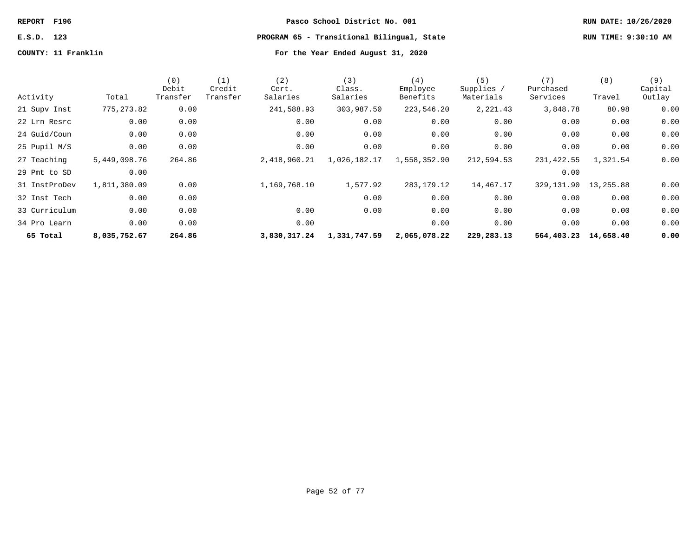# **E.S.D. 123 PROGRAM 65 - Transitional Bilingual, State RUN TIME: 9:30:10 AM**

| Activity      | Total        | (0)<br>Debit<br>Transfer | (1)<br>Credit<br>Transfer | (2)<br>Cert.<br>Salaries | (3)<br>Class.<br>Salaries | (4)<br>Employee<br>Benefits | (5)<br>Supplies /<br>Materials | (7)<br>Purchased<br>Services | (8)<br>Travel | (9)<br>Capital<br>Outlay |
|---------------|--------------|--------------------------|---------------------------|--------------------------|---------------------------|-----------------------------|--------------------------------|------------------------------|---------------|--------------------------|
|               |              |                          |                           |                          |                           |                             |                                |                              |               |                          |
| 21 Supv Inst  | 775, 273.82  | 0.00                     |                           | 241,588.93               | 303,987.50                | 223,546.20                  | 2,221.43                       | 3,848.78                     | 80.98         | 0.00                     |
| 22 Lrn Resrc  | 0.00         | 0.00                     |                           | 0.00                     | 0.00                      | 0.00                        | 0.00                           | 0.00                         | 0.00          | 0.00                     |
| 24 Guid/Coun  | 0.00         | 0.00                     |                           | 0.00                     | 0.00                      | 0.00                        | 0.00                           | 0.00                         | 0.00          | 0.00                     |
| 25 Pupil M/S  | 0.00         | 0.00                     |                           | 0.00                     | 0.00                      | 0.00                        | 0.00                           | 0.00                         | 0.00          | 0.00                     |
| 27 Teaching   | 5,449,098.76 | 264.86                   |                           | 2,418,960.21             | 1,026,182.17              | 1,558,352.90                | 212,594.53                     | 231,422.55                   | 1,321.54      | 0.00                     |
| 29 Pmt to SD  | 0.00         |                          |                           |                          |                           |                             |                                | 0.00                         |               |                          |
| 31 InstProDev | 1,811,380.09 | 0.00                     |                           | 1,169,768.10             | 1,577.92                  | 283,179.12                  | 14,467.17                      | 329, 131.90 13, 255.88       |               | 0.00                     |
| 32 Inst Tech  | 0.00         | 0.00                     |                           |                          | 0.00                      | 0.00                        | 0.00                           | 0.00                         | 0.00          | 0.00                     |
| 33 Curriculum | 0.00         | 0.00                     |                           | 0.00                     | 0.00                      | 0.00                        | 0.00                           | 0.00                         | 0.00          | 0.00                     |
| 34 Pro Learn  | 0.00         | 0.00                     |                           | 0.00                     |                           | 0.00                        | 0.00                           | 0.00                         | 0.00          | 0.00                     |
| 65 Total      | 8,035,752.67 | 264.86                   |                           | 3,830,317.24             | 1,331,747.59              | 2,065,078.22                | 229,283.13                     | 564,403.23                   | 14,658.40     | 0.00                     |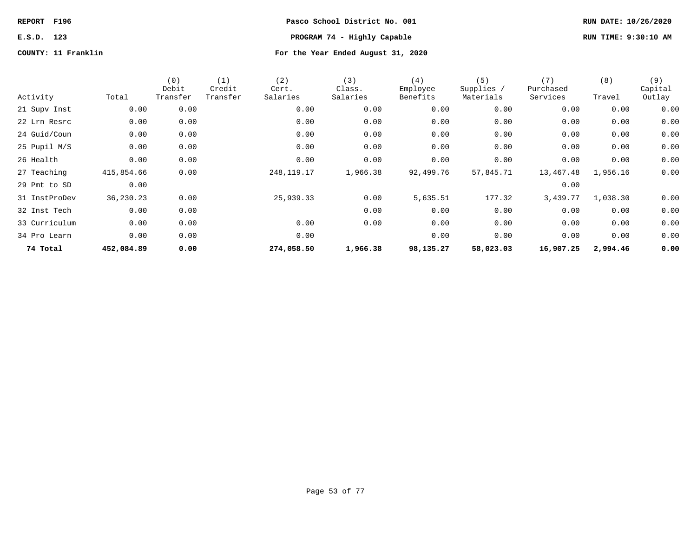# **REPORT F196 Pasco School District No. 001 RUN DATE: 10/26/2020 E.S.D. 123 PROGRAM 74 - Highly Capable RUN TIME: 9:30:10 AM**

| Activity      | Total      | (0)<br>Debit<br>Transfer | (1)<br>Credit<br>Transfer | (2)<br>Cert.<br>Salaries | (3)<br>Class.<br>Salaries | (4)<br>Employee<br>Benefits | (5)<br>Supplies /<br>Materials | (7)<br>Purchased<br>Services | (8)<br>Travel | (9)<br>Capital<br>Outlay |
|---------------|------------|--------------------------|---------------------------|--------------------------|---------------------------|-----------------------------|--------------------------------|------------------------------|---------------|--------------------------|
| 21 Supv Inst  | 0.00       | 0.00                     |                           | 0.00                     | 0.00                      | 0.00                        | 0.00                           | 0.00                         | 0.00          | 0.00                     |
| 22 Lrn Resrc  | 0.00       | 0.00                     |                           | 0.00                     | 0.00                      | 0.00                        | 0.00                           | 0.00                         | 0.00          | 0.00                     |
| 24 Guid/Coun  | 0.00       | 0.00                     |                           | 0.00                     | 0.00                      | 0.00                        | 0.00                           | 0.00                         | 0.00          | 0.00                     |
| 25 Pupil M/S  | 0.00       | 0.00                     |                           | 0.00                     | 0.00                      | 0.00                        | 0.00                           | 0.00                         | 0.00          | 0.00                     |
| 26 Health     | 0.00       | 0.00                     |                           | 0.00                     | 0.00                      | 0.00                        | 0.00                           | 0.00                         | 0.00          | 0.00                     |
| 27 Teaching   | 415,854.66 | 0.00                     |                           | 248, 119. 17             | 1,966.38                  | 92,499.76                   | 57,845.71                      | 13,467.48                    | 1,956.16      | 0.00                     |
| 29 Pmt to SD  | 0.00       |                          |                           |                          |                           |                             |                                | 0.00                         |               |                          |
| 31 InstProDev | 36,230.23  | 0.00                     |                           | 25,939.33                | 0.00                      | 5,635.51                    | 177.32                         | 3,439.77                     | 1,038.30      | 0.00                     |
| 32 Inst Tech  | 0.00       | 0.00                     |                           |                          | 0.00                      | 0.00                        | 0.00                           | 0.00                         | 0.00          | 0.00                     |
| 33 Curriculum | 0.00       | 0.00                     |                           | 0.00                     | 0.00                      | 0.00                        | 0.00                           | 0.00                         | 0.00          | 0.00                     |
| 34 Pro Learn  | 0.00       | 0.00                     |                           | 0.00                     |                           | 0.00                        | 0.00                           | 0.00                         | 0.00          | 0.00                     |
| 74 Total      | 452,084.89 | 0.00                     |                           | 274,058.50               | 1,966.38                  | 98,135.27                   | 58,023.03                      | 16,907.25                    | 2,994.46      | 0.00                     |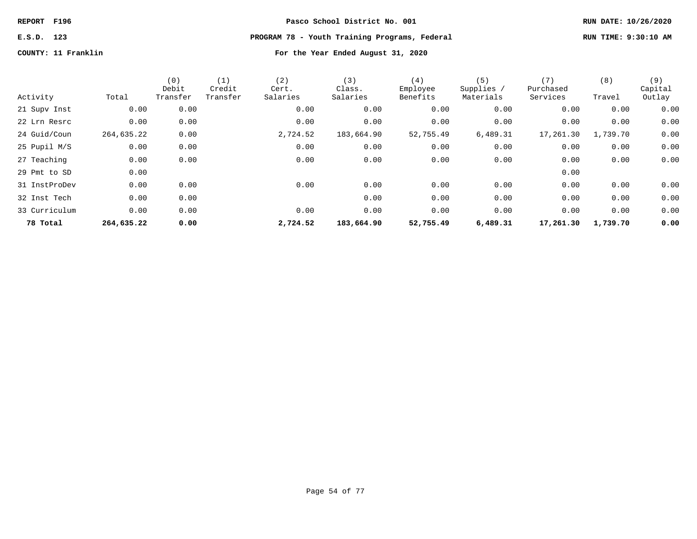# **E.S.D. 123 PROGRAM 78 - Youth Training Programs, Federal RUN TIME: 9:30:10 AM**

|               |            | (0)<br>Debit | (1)<br>Credit | (2)<br>Cert. | (3)<br>Class. | (4)<br>Employee | (5)<br>Supplies / | (7)<br>Purchased | (8)      | (9)<br>Capital |
|---------------|------------|--------------|---------------|--------------|---------------|-----------------|-------------------|------------------|----------|----------------|
| Activity      | Total      | Transfer     | Transfer      | Salaries     | Salaries      | Benefits        | Materials         | Services         | Travel   | Outlay         |
| 21 Supv Inst  | 0.00       | 0.00         |               | 0.00         | 0.00          | 0.00            | 0.00              | 0.00             | 0.00     | 0.00           |
| 22 Lrn Resrc  | 0.00       | 0.00         |               | 0.00         | 0.00          | 0.00            | 0.00              | 0.00             | 0.00     | 0.00           |
| 24 Guid/Coun  | 264,635.22 | 0.00         |               | 2,724.52     | 183,664.90    | 52,755.49       | 6,489.31          | 17,261.30        | 1,739.70 | 0.00           |
| 25 Pupil M/S  | 0.00       | 0.00         |               | 0.00         | 0.00          | 0.00            | 0.00              | 0.00             | 0.00     | 0.00           |
| 27 Teaching   | 0.00       | 0.00         |               | 0.00         | 0.00          | 0.00            | 0.00              | 0.00             | 0.00     | 0.00           |
| 29 Pmt to SD  | 0.00       |              |               |              |               |                 |                   | 0.00             |          |                |
| 31 InstProDev | 0.00       | 0.00         |               | 0.00         | 0.00          | 0.00            | 0.00              | 0.00             | 0.00     | 0.00           |
| 32 Inst Tech  | 0.00       | 0.00         |               |              | 0.00          | 0.00            | 0.00              | 0.00             | 0.00     | 0.00           |
| 33 Curriculum | 0.00       | 0.00         |               | 0.00         | 0.00          | 0.00            | 0.00              | 0.00             | 0.00     | 0.00           |
| 78 Total      | 264,635.22 | 0.00         |               | 2,724.52     | 183,664.90    | 52,755.49       | 6,489.31          | 17,261.30        | 1,739.70 | 0.00           |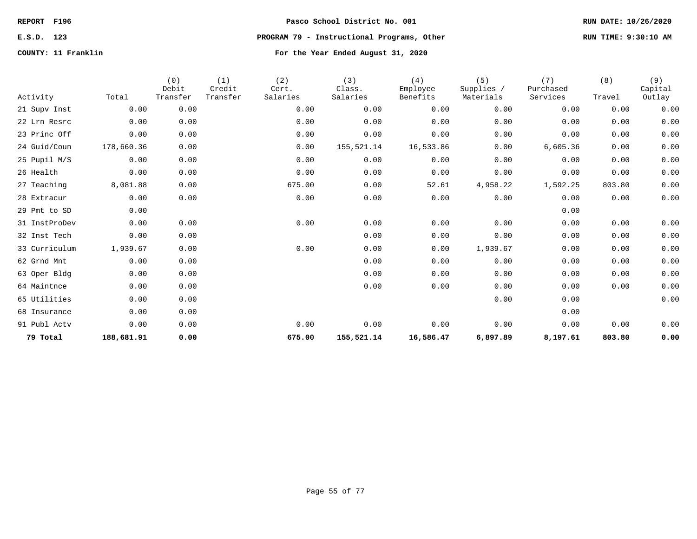# **E.S.D. 123 PROGRAM 79 - Instructional Programs, Other RUN TIME: 9:30:10 AM**

| Activity      | Total      | (0)<br>Debit<br>Transfer | (1)<br>Credit<br>Transfer | (2)<br>Cert.<br>Salaries | (3)<br>Class.<br>Salaries | (4)<br>Employee<br>Benefits | (5)<br>Supplies /<br>Materials | (7)<br>Purchased<br>Services | (8)<br>Travel | (9)<br>Capital<br>Outlay |
|---------------|------------|--------------------------|---------------------------|--------------------------|---------------------------|-----------------------------|--------------------------------|------------------------------|---------------|--------------------------|
| 21 Supv Inst  | 0.00       | 0.00                     |                           | 0.00                     | 0.00                      | 0.00                        | 0.00                           | 0.00                         | 0.00          | 0.00                     |
| 22 Lrn Resrc  | 0.00       | 0.00                     |                           | 0.00                     | 0.00                      | 0.00                        | 0.00                           | 0.00                         | 0.00          | 0.00                     |
| 23 Princ Off  | 0.00       | 0.00                     |                           | 0.00                     | 0.00                      | 0.00                        | 0.00                           | 0.00                         | 0.00          | 0.00                     |
| 24 Guid/Coun  | 178,660.36 | 0.00                     |                           | 0.00                     | 155,521.14                | 16,533.86                   | 0.00                           | 6,605.36                     | 0.00          | 0.00                     |
| 25 Pupil M/S  | 0.00       | 0.00                     |                           | 0.00                     | 0.00                      | 0.00                        | 0.00                           | 0.00                         | 0.00          | 0.00                     |
| 26 Health     | 0.00       | 0.00                     |                           | 0.00                     | 0.00                      | 0.00                        | 0.00                           | 0.00                         | 0.00          | 0.00                     |
| 27 Teaching   | 8,081.88   | 0.00                     |                           | 675.00                   | 0.00                      | 52.61                       | 4,958.22                       | 1,592.25                     | 803.80        | 0.00                     |
| 28 Extracur   | 0.00       | 0.00                     |                           | 0.00                     | 0.00                      | 0.00                        | 0.00                           | 0.00                         | 0.00          | 0.00                     |
| 29 Pmt to SD  | 0.00       |                          |                           |                          |                           |                             |                                | 0.00                         |               |                          |
| 31 InstProDev | 0.00       | 0.00                     |                           | 0.00                     | 0.00                      | 0.00                        | 0.00                           | 0.00                         | 0.00          | 0.00                     |
| 32 Inst Tech  | 0.00       | 0.00                     |                           |                          | 0.00                      | 0.00                        | 0.00                           | 0.00                         | 0.00          | 0.00                     |
| 33 Curriculum | 1,939.67   | 0.00                     |                           | 0.00                     | 0.00                      | 0.00                        | 1,939.67                       | 0.00                         | 0.00          | 0.00                     |
| 62 Grnd Mnt   | 0.00       | 0.00                     |                           |                          | 0.00                      | 0.00                        | 0.00                           | 0.00                         | 0.00          | 0.00                     |
| 63 Oper Bldg  | 0.00       | 0.00                     |                           |                          | 0.00                      | 0.00                        | 0.00                           | 0.00                         | 0.00          | 0.00                     |
| 64 Maintnce   | 0.00       | 0.00                     |                           |                          | 0.00                      | 0.00                        | 0.00                           | 0.00                         | 0.00          | 0.00                     |
| 65 Utilities  | 0.00       | 0.00                     |                           |                          |                           |                             | 0.00                           | 0.00                         |               | 0.00                     |
| 68 Insurance  | 0.00       | 0.00                     |                           |                          |                           |                             |                                | 0.00                         |               |                          |
| 91 Publ Actv  | 0.00       | 0.00                     |                           | 0.00                     | 0.00                      | 0.00                        | 0.00                           | 0.00                         | 0.00          | 0.00                     |
| 79 Total      | 188,681.91 | 0.00                     |                           | 675.00                   | 155,521.14                | 16,586.47                   | 6,897.89                       | 8,197.61                     | 803.80        | 0.00                     |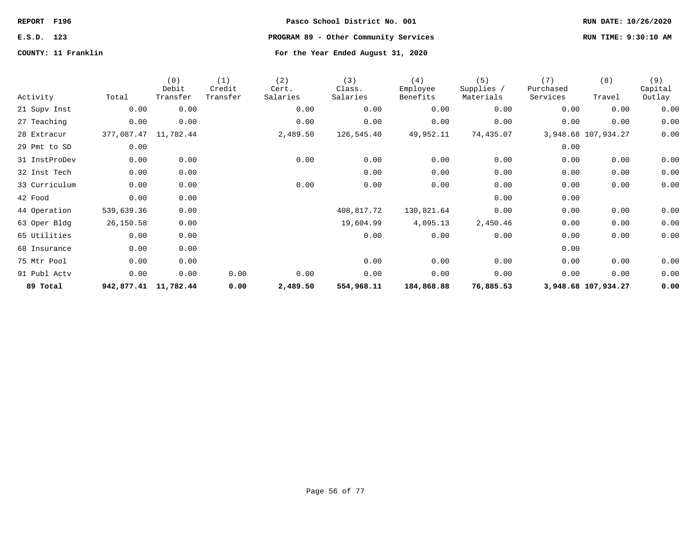# **E.S.D. 123 PROGRAM 89 - Other Community Services RUN TIME: 9:30:10 AM**

| Activity      | Total                | (0)<br>Debit<br>Transfer | (1)<br>Credit<br>Transfer | (2)<br>Cert.<br>Salaries | (3)<br>Class.<br>Salaries | (4)<br>Employee<br>Benefits | (5)<br>Supplies /<br>Materials | (7)<br>Purchased<br>Services | (8)<br>Travel       | (9)<br>Capital<br>Outlay |
|---------------|----------------------|--------------------------|---------------------------|--------------------------|---------------------------|-----------------------------|--------------------------------|------------------------------|---------------------|--------------------------|
| 21 Supv Inst  | 0.00                 | 0.00                     |                           | 0.00                     | 0.00                      | 0.00                        | 0.00                           | 0.00                         | 0.00                | 0.00                     |
| 27 Teaching   | 0.00                 | 0.00                     |                           | 0.00                     | 0.00                      | 0.00                        | 0.00                           | 0.00                         | 0.00                | 0.00                     |
| 28 Extracur   | 377,087.47 11,782.44 |                          |                           | 2,489.50                 | 126,545.40                | 49,952.11                   | 74,435.07                      |                              | 3,948.68 107,934.27 | 0.00                     |
| 29 Pmt to SD  | 0.00                 |                          |                           |                          |                           |                             |                                | 0.00                         |                     |                          |
| 31 InstProDev | 0.00                 | 0.00                     |                           | 0.00                     | 0.00                      | 0.00                        | 0.00                           | 0.00                         | 0.00                | 0.00                     |
| 32 Inst Tech  | 0.00                 | 0.00                     |                           |                          | 0.00                      | 0.00                        | 0.00                           | 0.00                         | 0.00                | 0.00                     |
| 33 Curriculum | 0.00                 | 0.00                     |                           | 0.00                     | 0.00                      | 0.00                        | 0.00                           | 0.00                         | 0.00                | 0.00                     |
| 42 Food       | 0.00                 | 0.00                     |                           |                          |                           |                             | 0.00                           | 0.00                         |                     |                          |
| 44 Operation  | 539,639.36           | 0.00                     |                           |                          | 408,817.72                | 130,821.64                  | 0.00                           | 0.00                         | 0.00                | 0.00                     |
| 63 Oper Bldg  | 26,150.58            | 0.00                     |                           |                          | 19,604.99                 | 4,095.13                    | 2,450.46                       | 0.00                         | 0.00                | 0.00                     |
| 65 Utilities  | 0.00                 | 0.00                     |                           |                          | 0.00                      | 0.00                        | 0.00                           | 0.00                         | 0.00                | 0.00                     |
| 68 Insurance  | 0.00                 | 0.00                     |                           |                          |                           |                             |                                | 0.00                         |                     |                          |
| 75 Mtr Pool   | 0.00                 | 0.00                     |                           |                          | 0.00                      | 0.00                        | 0.00                           | 0.00                         | 0.00                | 0.00                     |
| 91 Publ Actv  | 0.00                 | 0.00                     | 0.00                      | 0.00                     | 0.00                      | 0.00                        | 0.00                           | 0.00                         | 0.00                | 0.00                     |
| 89 Total      | 942,877.41 11,782.44 |                          | 0.00                      | 2,489.50                 | 554,968.11                | 184,868.88                  | 76,885.53                      |                              | 3,948.68 107,934.27 | 0.00                     |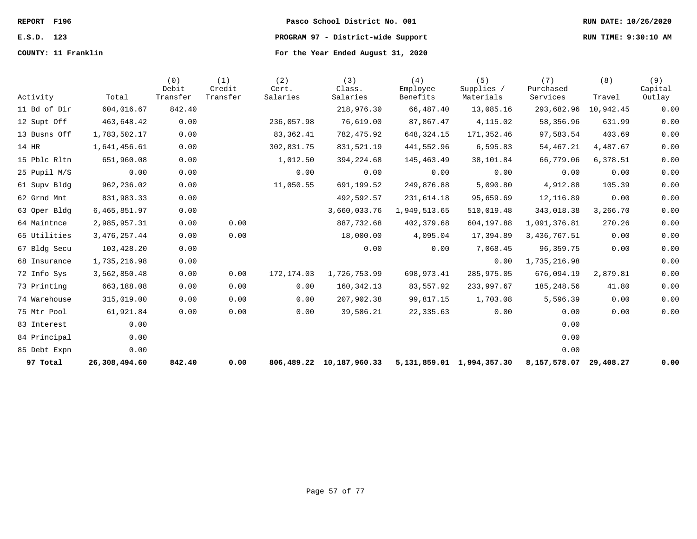# **COUNTY: 11 Franklin For the Year Ended August 31, 2020**

# **REPORT F196 Pasco School District No. 001 RUN DATE: 10/26/2020 E.S.D. 123 PROGRAM 97 - District-wide Support RUN TIME: 9:30:10 AM**

| Activity     | Total          | (0)<br>Debit<br>Transfer | (1)<br>Credit<br>Transfer | (2)<br>Cert.<br>Salaries | (3)<br>Class.<br>Salaries | (4)<br>Employee<br>Benefits | (5)<br>Supplies /<br>Materials | (7)<br>Purchased<br>Services | (8)<br>Travel | (9)<br>Capital<br>Outlay |
|--------------|----------------|--------------------------|---------------------------|--------------------------|---------------------------|-----------------------------|--------------------------------|------------------------------|---------------|--------------------------|
| 11 Bd of Dir | 604,016.67     | 842.40                   |                           |                          | 218,976.30                | 66,487.40                   | 13,085.16                      | 293,682.96                   | 10,942.45     | 0.00                     |
| 12 Supt Off  | 463,648.42     | 0.00                     |                           | 236,057.98               | 76,619.00                 | 87,867.47                   | 4,115.02                       | 58,356.96                    | 631.99        | 0.00                     |
| 13 Busns Off | 1,783,502.17   | 0.00                     |                           | 83,362.41                | 782,475.92                | 648, 324. 15                | 171,352.46                     | 97,583.54                    | 403.69        | 0.00                     |
| 14 HR        | 1,641,456.61   | 0.00                     |                           | 302,831.75               | 831,521.19                | 441,552.96                  | 6,595.83                       | 54, 467.21                   | 4,487.67      | 0.00                     |
| 15 Pblc Rltn | 651,960.08     | 0.00                     |                           | 1,012.50                 | 394, 224.68               | 145,463.49                  | 38,101.84                      | 66,779.06                    | 6,378.51      | 0.00                     |
| 25 Pupil M/S | 0.00           | 0.00                     |                           | 0.00                     | 0.00                      | 0.00                        | 0.00                           | 0.00                         | 0.00          | 0.00                     |
| 61 Supv Bldg | 962,236.02     | 0.00                     |                           | 11,050.55                | 691,199.52                | 249,876.88                  | 5,090.80                       | 4,912.88                     | 105.39        | 0.00                     |
| 62 Grnd Mnt  | 831,983.33     | 0.00                     |                           |                          | 492,592.57                | 231,614.18                  | 95,659.69                      | 12,116.89                    | 0.00          | 0.00                     |
| 63 Oper Bldg | 6,465,851.97   | 0.00                     |                           |                          | 3,660,033.76              | 1,949,513.65                | 510,019.48                     | 343,018.38                   | 3,266.70      | 0.00                     |
| 64 Maintnce  | 2,985,957.31   | 0.00                     | 0.00                      |                          | 887,732.68                | 402,379.68                  | 604,197.88                     | 1,091,376.81                 | 270.26        | 0.00                     |
| 65 Utilities | 3, 476, 257.44 | 0.00                     | 0.00                      |                          | 18,000.00                 | 4,095.04                    | 17,394.89                      | 3,436,767.51                 | 0.00          | 0.00                     |
| 67 Bldg Secu | 103,428.20     | 0.00                     |                           |                          | 0.00                      | 0.00                        | 7,068.45                       | 96, 359. 75                  | 0.00          | 0.00                     |
| 68 Insurance | 1,735,216.98   | 0.00                     |                           |                          |                           |                             | 0.00                           | 1,735,216.98                 |               | 0.00                     |
| 72 Info Sys  | 3,562,850.48   | 0.00                     | 0.00                      | 172,174.03               | 1,726,753.99              | 698,973.41                  | 285,975.05                     | 676,094.19                   | 2,879.81      | 0.00                     |
| 73 Printing  | 663,188.08     | 0.00                     | 0.00                      | 0.00                     | 160, 342. 13              | 83,557.92                   | 233,997.67                     | 185,248.56                   | 41.80         | 0.00                     |
| 74 Warehouse | 315,019.00     | 0.00                     | 0.00                      | 0.00                     | 207,902.38                | 99,817.15                   | 1,703.08                       | 5,596.39                     | 0.00          | 0.00                     |
| 75 Mtr Pool  | 61,921.84      | 0.00                     | 0.00                      | 0.00                     | 39,586.21                 | 22,335.63                   | 0.00                           | 0.00                         | 0.00          | 0.00                     |
| 83 Interest  | 0.00           |                          |                           |                          |                           |                             |                                | 0.00                         |               |                          |
| 84 Principal | 0.00           |                          |                           |                          |                           |                             |                                | 0.00                         |               |                          |
| 85 Debt Expn | 0.00           |                          |                           |                          |                           |                             |                                | 0.00                         |               |                          |
| 97 Total     | 26,308,494.60  | 842.40                   | 0.00                      |                          | 806,489.22 10,187,960.33  |                             | 5, 131, 859.01 1, 994, 357.30  | 8,157,578.07                 | 29,408.27     | 0.00                     |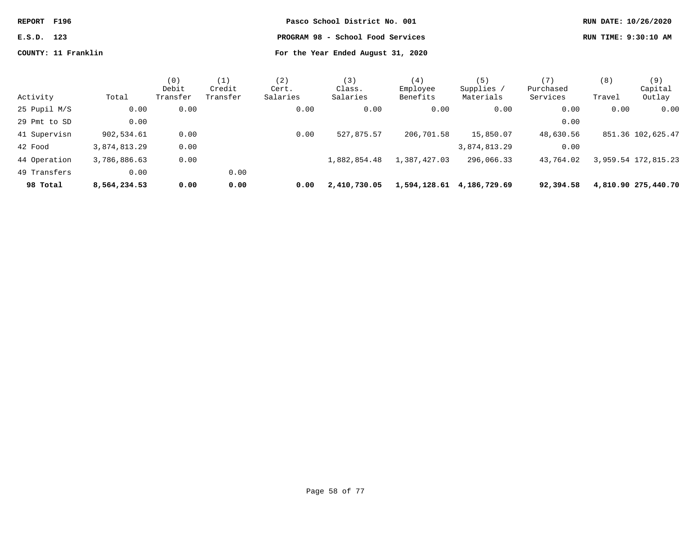| REPORT F196 |                     | Pasco School District No. 001      | RUN DATE: 10/26/2020 |
|-------------|---------------------|------------------------------------|----------------------|
| E.S.D. 123  |                     | PROGRAM 98 - School Food Services  | RUN TIME: 9:30:10 AM |
|             | COUNTY: 11 Franklin | For the Year Ended August 31, 2020 |                      |

| Activity     | Total        | (0)<br>Debit<br>Transfer | (1)<br>Credit<br>Transfer | (2)<br>Cert.<br>Salaries | (3)<br>Class.<br>Salaries | (4)<br>Employee<br>Benefits | (5)<br>Supplies<br>Materials | (7)<br>Purchased<br>Services | (8)<br>Travel | (9)<br>Capital<br>Outlay |
|--------------|--------------|--------------------------|---------------------------|--------------------------|---------------------------|-----------------------------|------------------------------|------------------------------|---------------|--------------------------|
| 25 Pupil M/S | 0.00         | 0.00                     |                           | 0.00                     | 0.00                      | 0.00                        | 0.00                         | 0.00                         | 0.00          | 0.00                     |
| 29 Pmt to SD | 0.00         |                          |                           |                          |                           |                             |                              | 0.00                         |               |                          |
| 41 Supervisn | 902,534.61   | 0.00                     |                           | 0.00                     | 527,875.57                | 206,701.58                  | 15,850.07                    | 48,630.56                    |               | 851.36 102,625.47        |
| 42 Food      | 3,874,813.29 | 0.00                     |                           |                          |                           |                             | 3,874,813.29                 | 0.00                         |               |                          |
| 44 Operation | 3,786,886.63 | 0.00                     |                           |                          | 1,882,854.48              | 1,387,427.03                | 296,066.33                   | 43,764.02                    |               | 3,959.54 172,815.23      |
| 49 Transfers | 0.00         |                          | 0.00                      |                          |                           |                             |                              |                              |               |                          |
| 98 Total     | 8,564,234.53 | 0.00                     | 0.00                      | 0.00                     | 2,410,730.05              | 1,594,128.61                | 4,186,729.69                 | 92,394.58                    |               | 4,810.90 275,440.70      |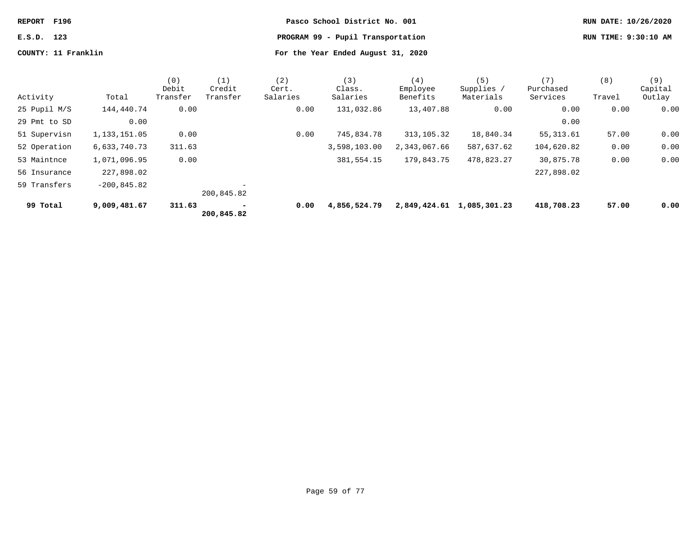| REPORT F196 |                     | Pasco School District No. 001      | RUN DATE: 10/26/2020 |
|-------------|---------------------|------------------------------------|----------------------|
| E.S.D. 123  |                     | PROGRAM 99 - Pupil Transportation  | RUN TIME: 9:30:10 AM |
|             | COUNTY: 11 Franklin | For the Year Ended August 31, 2020 |                      |

|              |                | (0)<br>Debit | (1)<br>Credit | (2)<br>Cert. | (3)<br>Class. | (4)<br>Employee | (5)<br>Supplies | (7)<br>Purchased | (8)    | (9)<br>Capital |
|--------------|----------------|--------------|---------------|--------------|---------------|-----------------|-----------------|------------------|--------|----------------|
| Activity     | Total          | Transfer     | Transfer      | Salaries     | Salaries      | Benefits        | Materials       | Services         | Travel | Outlay         |
| 25 Pupil M/S | 144,440.74     | 0.00         |               | 0.00         | 131,032.86    | 13,407.88       | 0.00            | 0.00             | 0.00   | 0.00           |
| 29 Pmt to SD | 0.00           |              |               |              |               |                 |                 | 0.00             |        |                |
| 51 Supervisn | 1,133,151.05   | 0.00         |               | 0.00         | 745,834.78    | 313, 105. 32    | 18,840.34       | 55, 313.61       | 57.00  | 0.00           |
| 52 Operation | 6,633,740.73   | 311.63       |               |              | 3,598,103.00  | 2,343,067.66    | 587,637.62      | 104,620.82       | 0.00   | 0.00           |
| 53 Maintnce  | 1,071,096.95   | 0.00         |               |              | 381,554.15    | 179,843.75      | 478,823.27      | 30,875.78        | 0.00   | 0.00           |
| 56 Insurance | 227,898.02     |              |               |              |               |                 |                 | 227,898.02       |        |                |
| 59 Transfers | $-200, 845.82$ |              | 200,845.82    |              |               |                 |                 |                  |        |                |
| 99 Total     | 9,009,481.67   | 311.63       | 200,845.82    | 0.00         | 4,856,524.79  | 2,849,424.61    | 1,085,301.23    | 418,708.23       | 57.00  | 0.00           |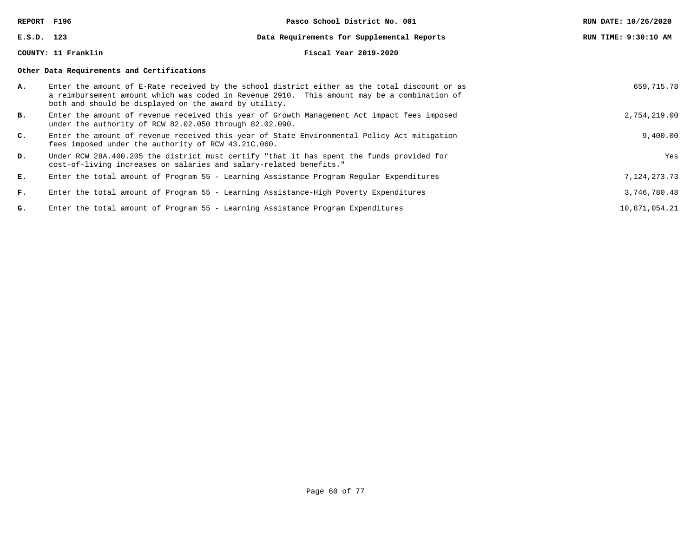**REPORT F196 Pasco School District No. 001 RUN DATE: 10/26/2020 E.S.D. 123 Data Requirements for Supplemental Reports RUN TIME: 9:30:10 AM COUNTY: 11 Franklin Fiscal Year 2019-2020 Other Data Requirements and Certifications A.** Enter the amount of E-Rate received by the school district either as the total discount or as a reimbursement amount which was coded in Revenue 2910. This amount may be a combination of both and should be displayed on the award by utility. 659,715.78 **B.** Enter the amount of revenue received this year of Growth Management Act impact fees imposed under the authority of RCW 82.02.050 through 82.02.090. 2,754,219.00 **C.** Enter the amount of revenue received this year of State Environmental Policy Act mitigation fees imposed under the authority of RCW 43.21C.060. 9,400.00 **D.** Under RCW 28A.400.205 the district must certify "that it has spent the funds provided for cost-of-living increases on salaries and salary-related benefits." Yes **E.** Enter the total amount of Program 55 - Learning Assistance Program Regular Expenditures 7,124,273.73 **F.** Enter the total amount of Program 55 - Learning Assistance-High Poverty Expenditures 3,746,780.48 G. Enter the total amount of Program 55 - Learning Assistance Program Expenditures 10,871,054.21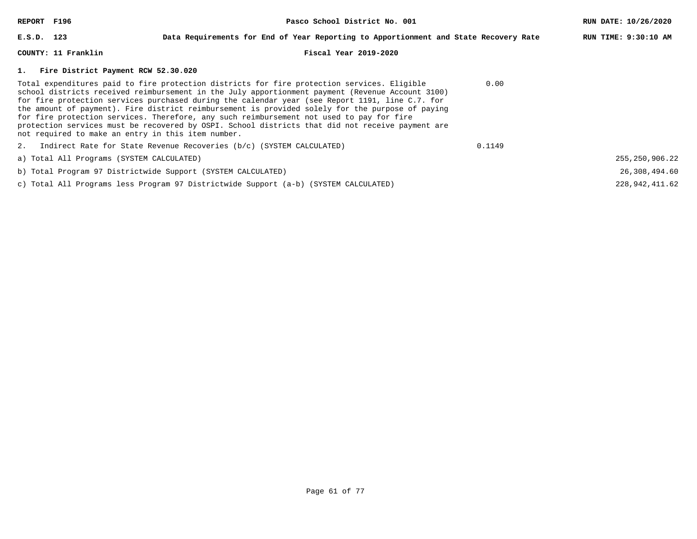| REPORT F196  |                                                    | Pasco School District No. 001                                                                                                                                                                                                                                                                                                                                                                                                                                                                                                                                                                          |        | RUN DATE: 10/26/2020 |
|--------------|----------------------------------------------------|--------------------------------------------------------------------------------------------------------------------------------------------------------------------------------------------------------------------------------------------------------------------------------------------------------------------------------------------------------------------------------------------------------------------------------------------------------------------------------------------------------------------------------------------------------------------------------------------------------|--------|----------------------|
| $E.S.D.$ 123 |                                                    | Data Requirements for End of Year Reporting to Apportionment and State Recovery Rate                                                                                                                                                                                                                                                                                                                                                                                                                                                                                                                   |        | RUN TIME: 9:30:10 AM |
|              | COUNTY: 11 Franklin                                | Fiscal Year 2019-2020                                                                                                                                                                                                                                                                                                                                                                                                                                                                                                                                                                                  |        |                      |
|              | 1. Fire District Payment RCW 52.30.020             |                                                                                                                                                                                                                                                                                                                                                                                                                                                                                                                                                                                                        |        |                      |
|              | not required to make an entry in this item number. | Total expenditures paid to fire protection districts for fire protection services. Eligible<br>school districts received reimbursement in the July apportionment payment (Revenue Account 3100)<br>for fire protection services purchased during the calendar year (see Report 1191, line C.7. for<br>the amount of payment). Fire district reimbursement is provided solely for the purpose of paying<br>for fire protection services. Therefore, any such reimbursement not used to pay for fire<br>protection services must be recovered by OSPI. School districts that did not receive payment are | 0.00   |                      |
|              |                                                    | 2. Indirect Rate for State Revenue Recoveries (b/c) (SYSTEM CALCULATED)                                                                                                                                                                                                                                                                                                                                                                                                                                                                                                                                | 0.1149 |                      |
|              | a) Total All Programs (SYSTEM CALCULATED)          |                                                                                                                                                                                                                                                                                                                                                                                                                                                                                                                                                                                                        |        | 255, 250, 906. 22    |
|              |                                                    | b) Total Program 97 Districtwide Support (SYSTEM CALCULATED)                                                                                                                                                                                                                                                                                                                                                                                                                                                                                                                                           |        | 26,308,494.60        |
|              |                                                    | c) Total All Programs less Program 97 Districtwide Support (a-b) (SYSTEM CALCULATED)                                                                                                                                                                                                                                                                                                                                                                                                                                                                                                                   |        | 228, 942, 411, 62    |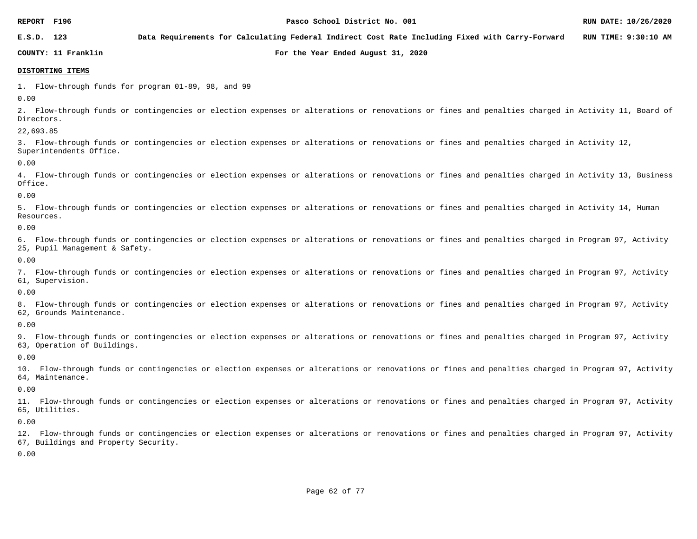**E.S.D. 123 Data Requirements for Calculating Federal Indirect Cost Rate Including Fixed with Carry-Forward RUN TIME: 9:30:10 AM**

**COUNTY: 11 Franklin For the Year Ended August 31, 2020**

### **DISTORTING ITEMS**

1. Flow-through funds for program 01-89, 98, and 99

0.00

2. Flow-through funds or contingencies or election expenses or alterations or renovations or fines and penalties charged in Activity 11, Board of Directors.

22,693.85

3. Flow-through funds or contingencies or election expenses or alterations or renovations or fines and penalties charged in Activity 12, Superintendents Office.

0.00

4. Flow-through funds or contingencies or election expenses or alterations or renovations or fines and penalties charged in Activity 13, Business Office.

0.00

5. Flow-through funds or contingencies or election expenses or alterations or renovations or fines and penalties charged in Activity 14, Human Resources.

0.00

6. Flow-through funds or contingencies or election expenses or alterations or renovations or fines and penalties charged in Program 97, Activity 25, Pupil Management & Safety.

0.00

7. Flow-through funds or contingencies or election expenses or alterations or renovations or fines and penalties charged in Program 97, Activity 61, Supervision.

0.00

8. Flow-through funds or contingencies or election expenses or alterations or renovations or fines and penalties charged in Program 97, Activity 62, Grounds Maintenance.

0.00

9. Flow-through funds or contingencies or election expenses or alterations or renovations or fines and penalties charged in Program 97, Activity 63, Operation of Buildings.

0.00

10. Flow-through funds or contingencies or election expenses or alterations or renovations or fines and penalties charged in Program 97, Activity 64, Maintenance.

0.00

11. Flow-through funds or contingencies or election expenses or alterations or renovations or fines and penalties charged in Program 97, Activity 65, Utilities.

0.00

12. Flow-through funds or contingencies or election expenses or alterations or renovations or fines and penalties charged in Program 97, Activity 67, Buildings and Property Security.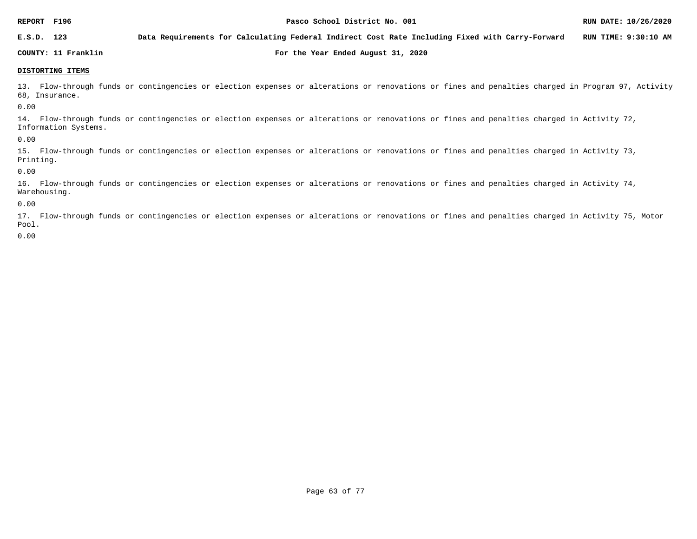**E.S.D. 123 Data Requirements for Calculating Federal Indirect Cost Rate Including Fixed with Carry-Forward RUN TIME: 9:30:10 AM**

**COUNTY: 11 Franklin For the Year Ended August 31, 2020**

### **DISTORTING ITEMS**

13. Flow-through funds or contingencies or election expenses or alterations or renovations or fines and penalties charged in Program 97, Activity 68, Insurance.

0.00

14. Flow-through funds or contingencies or election expenses or alterations or renovations or fines and penalties charged in Activity 72, Information Systems.

0.00

15. Flow-through funds or contingencies or election expenses or alterations or renovations or fines and penalties charged in Activity 73, Printing.

0.00

16. Flow-through funds or contingencies or election expenses or alterations or renovations or fines and penalties charged in Activity 74, Warehousing.

0.00

17. Flow-through funds or contingencies or election expenses or alterations or renovations or fines and penalties charged in Activity 75, Motor Pool.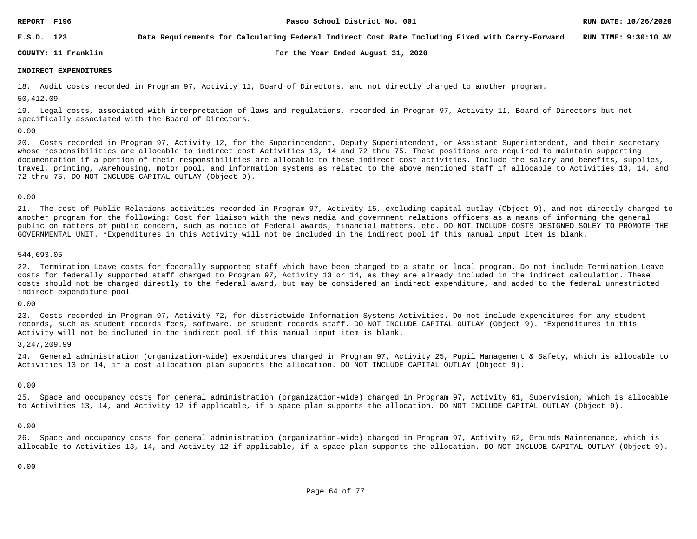**E.S.D. 123 Data Requirements for Calculating Federal Indirect Cost Rate Including Fixed with Carry-Forward RUN TIME: 9:30:10 AM**

**COUNTY: 11 Franklin For the Year Ended August 31, 2020**

### **INDIRECT EXPENDITURES**

18. Audit costs recorded in Program 97, Activity 11, Board of Directors, and not directly charged to another program.

50,412.09

19. Legal costs, associated with interpretation of laws and regulations, recorded in Program 97, Activity 11, Board of Directors but not specifically associated with the Board of Directors.

### 0.00

20. Costs recorded in Program 97, Activity 12, for the Superintendent, Deputy Superintendent, or Assistant Superintendent, and their secretary whose responsibilities are allocable to indirect cost Activities 13, 14 and 72 thru 75. These positions are required to maintain supporting documentation if a portion of their responsibilities are allocable to these indirect cost activities. Include the salary and benefits, supplies, travel, printing, warehousing, motor pool, and information systems as related to the above mentioned staff if allocable to Activities 13, 14, and 72 thru 75. DO NOT INCLUDE CAPITAL OUTLAY (Object 9).

### 0.00

21. The cost of Public Relations activities recorded in Program 97, Activity 15, excluding capital outlay (Object 9), and not directly charged to another program for the following: Cost for liaison with the news media and government relations officers as a means of informing the general public on matters of public concern, such as notice of Federal awards, financial matters, etc. DO NOT INCLUDE COSTS DESIGNED SOLEY TO PROMOTE THE GOVERNMENTAL UNIT. \*Expenditures in this Activity will not be included in the indirect pool if this manual input item is blank.

### 544,693.05

22. Termination Leave costs for federally supported staff which have been charged to a state or local program. Do not include Termination Leave costs for federally supported staff charged to Program 97, Activity 13 or 14, as they are already included in the indirect calculation. These costs should not be charged directly to the federal award, but may be considered an indirect expenditure, and added to the federal unrestricted indirect expenditure pool.

### 0.00

23. Costs recorded in Program 97, Activity 72, for districtwide Information Systems Activities. Do not include expenditures for any student records, such as student records fees, software, or student records staff. DO NOT INCLUDE CAPITAL OUTLAY (Object 9). \*Expenditures in this Activity will not be included in the indirect pool if this manual input item is blank.

### 3,247,209.99

24. General administration (organization-wide) expenditures charged in Program 97, Activity 25, Pupil Management & Safety, which is allocable to Activities 13 or 14, if a cost allocation plan supports the allocation. DO NOT INCLUDE CAPITAL OUTLAY (Object 9).

### 0.00

25. Space and occupancy costs for general administration (organization-wide) charged in Program 97, Activity 61, Supervision, which is allocable to Activities 13, 14, and Activity 12 if applicable, if a space plan supports the allocation. DO NOT INCLUDE CAPITAL OUTLAY (Object 9).

### 0.00

26. Space and occupancy costs for general administration (organization-wide) charged in Program 97, Activity 62, Grounds Maintenance, which is allocable to Activities 13, 14, and Activity 12 if applicable, if a space plan supports the allocation. DO NOT INCLUDE CAPITAL OUTLAY (Object 9).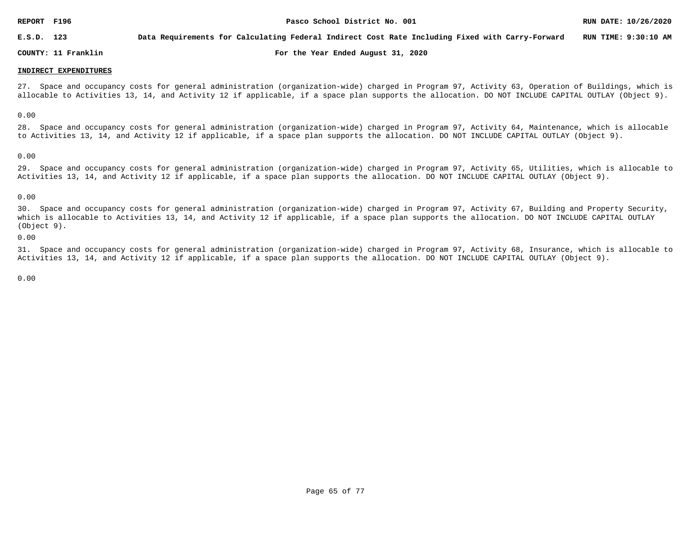**E.S.D. 123 Data Requirements for Calculating Federal Indirect Cost Rate Including Fixed with Carry-Forward RUN TIME: 9:30:10 AM**

**COUNTY: 11 Franklin For the Year Ended August 31, 2020**

### **INDIRECT EXPENDITURES**

27. Space and occupancy costs for general administration (organization-wide) charged in Program 97, Activity 63, Operation of Buildings, which is allocable to Activities 13, 14, and Activity 12 if applicable, if a space plan supports the allocation. DO NOT INCLUDE CAPITAL OUTLAY (Object 9).

0.00

28. Space and occupancy costs for general administration (organization-wide) charged in Program 97, Activity 64, Maintenance, which is allocable to Activities 13, 14, and Activity 12 if applicable, if a space plan supports the allocation. DO NOT INCLUDE CAPITAL OUTLAY (Object 9).

0.00

29. Space and occupancy costs for general administration (organization-wide) charged in Program 97, Activity 65, Utilities, which is allocable to Activities 13, 14, and Activity 12 if applicable, if a space plan supports the allocation. DO NOT INCLUDE CAPITAL OUTLAY (Object 9).

### 0.00

30. Space and occupancy costs for general administration (organization-wide) charged in Program 97, Activity 67, Building and Property Security, which is allocable to Activities 13, 14, and Activity 12 if applicable, if a space plan supports the allocation. DO NOT INCLUDE CAPITAL OUTLAY (Object 9).

0.00

31. Space and occupancy costs for general administration (organization-wide) charged in Program 97, Activity 68, Insurance, which is allocable to Activities 13, 14, and Activity 12 if applicable, if a space plan supports the allocation. DO NOT INCLUDE CAPITAL OUTLAY (Object 9).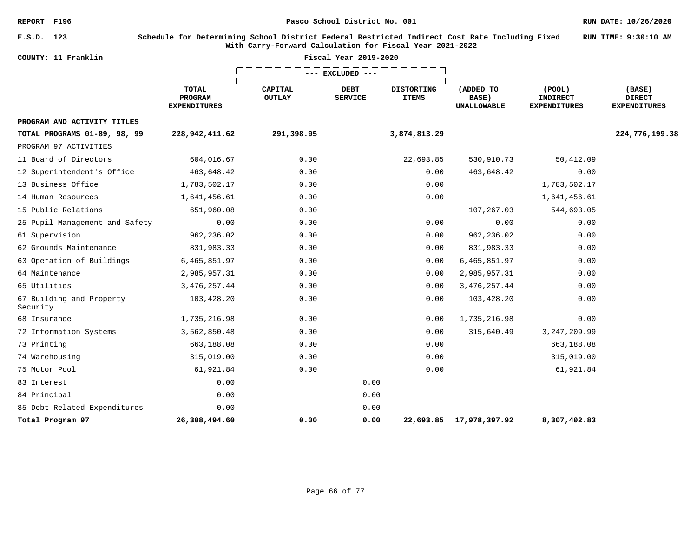**RUN TIME: 9:30:10 AM**

| COUNTY: | 11 Franklin |
|---------|-------------|

### **E.S.D. 123 Schedule for Determining School District Federal Restricted Indirect Cost Rate Including Fixed With Carry-Forward Calculation for Fiscal Year 2021-2022**

| COUNTY: 11 Franklin                  |                                         | Fiscal Year 2019-2020    |                        |                                   |                                          |                                                        |                                                |
|--------------------------------------|-----------------------------------------|--------------------------|------------------------|-----------------------------------|------------------------------------------|--------------------------------------------------------|------------------------------------------------|
|                                      |                                         |                          | --- EXCLUDED ---       |                                   |                                          |                                                        |                                                |
|                                      | TOTAL<br>PROGRAM<br><b>EXPENDITURES</b> | CAPITAL<br><b>OUTLAY</b> | DEBT<br><b>SERVICE</b> | <b>DISTORTING</b><br><b>ITEMS</b> | (ADDED TO<br>BASE)<br><b>UNALLOWABLE</b> | $($ POOL $)$<br><b>INDIRECT</b><br><b>EXPENDITURES</b> | (BASE)<br><b>DIRECT</b><br><b>EXPENDITURES</b> |
| PROGRAM AND ACTIVITY TITLES          |                                         |                          |                        |                                   |                                          |                                                        |                                                |
| TOTAL PROGRAMS 01-89, 98, 99         | 228, 942, 411.62                        | 291,398.95               |                        | 3,874,813.29                      |                                          |                                                        | 224,776,199.38                                 |
| PROGRAM 97 ACTIVITIES                |                                         |                          |                        |                                   |                                          |                                                        |                                                |
| 11 Board of Directors                | 604,016.67                              | 0.00                     |                        | 22,693.85                         | 530,910.73                               | 50,412.09                                              |                                                |
| 12 Superintendent's Office           | 463,648.42                              | 0.00                     |                        | 0.00                              | 463,648.42                               | 0.00                                                   |                                                |
| 13 Business Office                   | 1,783,502.17                            | 0.00                     |                        | 0.00                              |                                          | 1,783,502.17                                           |                                                |
| 14 Human Resources                   | 1,641,456.61                            | 0.00                     |                        | 0.00                              |                                          | 1,641,456.61                                           |                                                |
| 15 Public Relations                  | 651,960.08                              | 0.00                     |                        |                                   | 107,267.03                               | 544,693.05                                             |                                                |
| 25 Pupil Management and Safety       | 0.00                                    | 0.00                     |                        | 0.00                              | 0.00                                     | 0.00                                                   |                                                |
| 61 Supervision                       | 962,236.02                              | 0.00                     |                        | 0.00                              | 962,236.02                               | 0.00                                                   |                                                |
| 62 Grounds Maintenance               | 831,983.33                              | 0.00                     |                        | 0.00                              | 831,983.33                               | 0.00                                                   |                                                |
| 63 Operation of Buildings            | 6,465,851.97                            | 0.00                     |                        | 0.00                              | 6,465,851.97                             | 0.00                                                   |                                                |
| 64 Maintenance                       | 2,985,957.31                            | 0.00                     |                        | 0.00                              | 2,985,957.31                             | 0.00                                                   |                                                |
| 65 Utilities                         | 3, 476, 257.44                          | 0.00                     |                        | 0.00                              | 3, 476, 257.44                           | 0.00                                                   |                                                |
| 67 Building and Property<br>Security | 103,428.20                              | 0.00                     |                        | 0.00                              | 103,428.20                               | 0.00                                                   |                                                |
| 68 Insurance                         | 1,735,216.98                            | 0.00                     |                        | 0.00                              | 1,735,216.98                             | 0.00                                                   |                                                |
| 72 Information Systems               | 3,562,850.48                            | 0.00                     |                        | 0.00                              | 315,640.49                               | 3, 247, 209.99                                         |                                                |
| 73 Printing                          | 663,188.08                              | 0.00                     |                        | 0.00                              |                                          | 663,188.08                                             |                                                |
| 74 Warehousing                       | 315,019.00                              | 0.00                     |                        | 0.00                              |                                          | 315,019.00                                             |                                                |
| 75 Motor Pool                        | 61,921.84                               | 0.00                     |                        | 0.00                              |                                          | 61,921.84                                              |                                                |
| 83 Interest                          | 0.00                                    |                          | 0.00                   |                                   |                                          |                                                        |                                                |
| 84 Principal                         | 0.00                                    |                          | 0.00                   |                                   |                                          |                                                        |                                                |
| 85 Debt-Related Expenditures         | 0.00                                    |                          | 0.00                   |                                   |                                          |                                                        |                                                |
| Total Program 97                     | 26,308,494.60                           | 0.00                     | 0.00                   | 22,693.85                         | 17,978,397.92                            | 8,307,402.83                                           |                                                |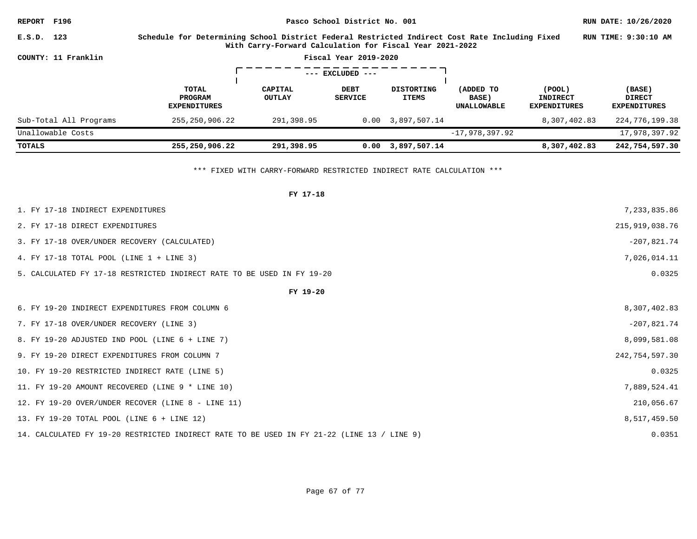| <b>REPORT F196</b>     |                      | Pasco School District No. 001                                                                                                                              |                          |                        |                                   |                                                  |                                           | RUN DATE: 10/26/2020                           |
|------------------------|----------------------|------------------------------------------------------------------------------------------------------------------------------------------------------------|--------------------------|------------------------|-----------------------------------|--------------------------------------------------|-------------------------------------------|------------------------------------------------|
| E.S.D. 123             |                      | Schedule for Determining School District Federal Restricted Indirect Cost Rate Including Fixed<br>With Carry-Forward Calculation for Fiscal Year 2021-2022 |                          |                        |                                   |                                                  |                                           | RUN TIME: 9:30:10 AM                           |
| COUNTY: 11 Franklin    |                      |                                                                                                                                                            |                          | Fiscal Year 2019-2020  |                                   |                                                  |                                           |                                                |
|                        | $---$ EXCLUDED $---$ |                                                                                                                                                            |                          |                        |                                   |                                                  |                                           |                                                |
|                        |                      | TOTAL<br><b>PROGRAM</b><br><b>EXPENDITURES</b>                                                                                                             | CAPITAL<br><b>OUTLAY</b> | DEBT<br><b>SERVICE</b> | <b>DISTORTING</b><br><b>ITEMS</b> | (ADDED TO<br><b>BASE</b> )<br><b>UNALLOWABLE</b> | (POOL)<br>INDIRECT<br><b>EXPENDITURES</b> | (BASE)<br><b>DIRECT</b><br><b>EXPENDITURES</b> |
| Sub-Total All Programs |                      | 255,250,906.22                                                                                                                                             | 291,398.95               |                        | $0.00 \quad 3.897.507.14$         |                                                  | 8,307,402.83                              | 224,776,199.38                                 |
| Unallowable Costs      |                      |                                                                                                                                                            |                          |                        |                                   | $-17,978,397.92$                                 |                                           | 17,978,397.92                                  |
| TOTALS                 |                      | 255,250,906.22                                                                                                                                             | 291,398.95               | 0.00                   | 3,897,507.14                      |                                                  | 8,307,402.83                              | 242,754,597.30                                 |

\*\*\* FIXED WITH CARRY-FORWARD RESTRICTED INDIRECT RATE CALCULATION \*\*\*

| FY 17-18                                                                                   |                  |
|--------------------------------------------------------------------------------------------|------------------|
| 1. FY 17-18 INDIRECT EXPENDITURES                                                          | 7,233,835.86     |
| 2. FY 17-18 DIRECT EXPENDITURES                                                            | 215, 919, 038.76 |
| 3. FY 17-18 OVER/UNDER RECOVERY (CALCULATED)                                               | $-207,821.74$    |
| 4. FY 17-18 TOTAL POOL (LINE 1 + LINE 3)                                                   | 7,026,014.11     |
| 5. CALCULATED FY 17-18 RESTRICTED INDIRECT RATE TO BE USED IN FY 19-20                     | 0.0325           |
| FY 19-20                                                                                   |                  |
| 6. FY 19-20 INDIRECT EXPENDITURES FROM COLUMN 6                                            | 8,307,402.83     |
| 7. FY 17-18 OVER/UNDER RECOVERY (LINE 3)                                                   | $-207,821.74$    |
| 8. FY 19-20 ADJUSTED IND POOL (LINE 6 + LINE 7)                                            | 8,099,581.08     |
| 9. FY 19-20 DIRECT EXPENDITURES FROM COLUMN 7                                              | 242,754,597.30   |
| 10. FY 19-20 RESTRICTED INDIRECT RATE (LINE 5)                                             | 0.0325           |
| 11. FY 19-20 AMOUNT RECOVERED (LINE 9 * LINE 10)                                           | 7,889,524.41     |
| 12. FY 19-20 OVER/UNDER RECOVER (LINE 8 - LINE 11)                                         | 210,056.67       |
| 13. FY 19-20 TOTAL POOL (LINE 6 + LINE 12)                                                 | 8,517,459.50     |
| 14. CALCULATED FY 19-20 RESTRICTED INDIRECT RATE TO BE USED IN FY 21-22 (LINE 13 / LINE 9) | 0.0351           |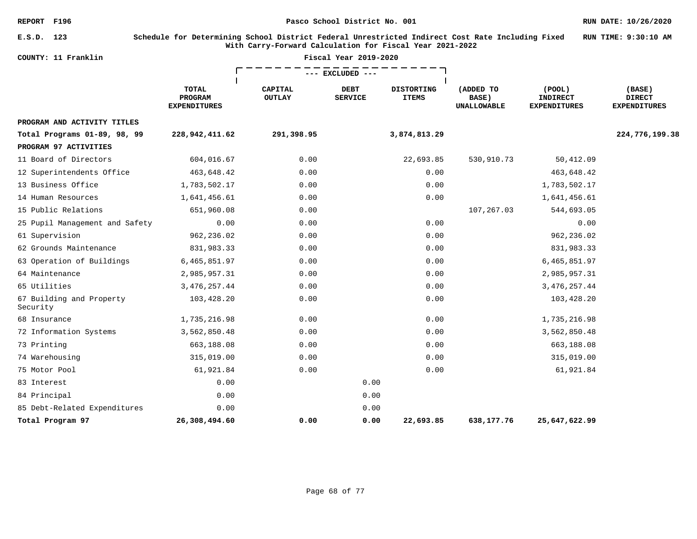**E.S.D. 123 Schedule for Determining School District Federal Unrestricted Indirect Cost Rate Including Fixed With Carry-Forward Calculation for Fiscal Year 2021-2022 RUN TIME: 9:30:10 AM**

| COUNTY: 11 Franklin                  |                                         | Fiscal Year 2019-2020    |                        |                                   |                                          |                                                  |                                                |
|--------------------------------------|-----------------------------------------|--------------------------|------------------------|-----------------------------------|------------------------------------------|--------------------------------------------------|------------------------------------------------|
|                                      |                                         |                          | EXCLUDED               |                                   |                                          |                                                  |                                                |
|                                      | TOTAL<br>PROGRAM<br><b>EXPENDITURES</b> | CAPITAL<br><b>OUTLAY</b> | DEBT<br><b>SERVICE</b> | <b>DISTORTING</b><br><b>ITEMS</b> | (ADDED TO<br>BASE)<br><b>UNALLOWABLE</b> | (POOL)<br><b>INDIRECT</b><br><b>EXPENDITURES</b> | (BASE)<br><b>DIRECT</b><br><b>EXPENDITURES</b> |
| PROGRAM AND ACTIVITY TITLES          |                                         |                          |                        |                                   |                                          |                                                  |                                                |
| Total Programs 01-89, 98, 99         | 228,942,411.62                          | 291,398.95               |                        | 3,874,813.29                      |                                          |                                                  | 224,776,199.38                                 |
| PROGRAM 97 ACTIVITIES                |                                         |                          |                        |                                   |                                          |                                                  |                                                |
| 11 Board of Directors                | 604,016.67                              | 0.00                     |                        | 22,693.85                         | 530,910.73                               | 50,412.09                                        |                                                |
| 12 Superintendents Office            | 463,648.42                              | 0.00                     |                        | 0.00                              |                                          | 463,648.42                                       |                                                |
| 13 Business Office                   | 1,783,502.17                            | 0.00                     |                        | 0.00                              |                                          | 1,783,502.17                                     |                                                |
| 14 Human Resources                   | 1,641,456.61                            | 0.00                     |                        | 0.00                              |                                          | 1,641,456.61                                     |                                                |
| 15 Public Relations                  | 651,960.08                              | 0.00                     |                        |                                   | 107,267.03                               | 544,693.05                                       |                                                |
| 25 Pupil Management and Safety       | 0.00                                    | 0.00                     |                        | 0.00                              |                                          | 0.00                                             |                                                |
| 61 Supervision                       | 962,236.02                              | 0.00                     |                        | 0.00                              |                                          | 962,236.02                                       |                                                |
| 62 Grounds Maintenance               | 831,983.33                              | 0.00                     |                        | 0.00                              |                                          | 831,983.33                                       |                                                |
| 63 Operation of Buildings            | 6,465,851.97                            | 0.00                     |                        | 0.00                              |                                          | 6,465,851.97                                     |                                                |
| 64 Maintenance                       | 2,985,957.31                            | 0.00                     |                        | 0.00                              |                                          | 2,985,957.31                                     |                                                |
| 65 Utilities                         | 3, 476, 257.44                          | 0.00                     |                        | 0.00                              |                                          | 3, 476, 257.44                                   |                                                |
| 67 Building and Property<br>Security | 103,428.20                              | 0.00                     |                        | 0.00                              |                                          | 103,428.20                                       |                                                |
| 68 Insurance                         | 1,735,216.98                            | 0.00                     |                        | 0.00                              |                                          | 1,735,216.98                                     |                                                |
| 72 Information Systems               | 3,562,850.48                            | 0.00                     |                        | 0.00                              |                                          | 3,562,850.48                                     |                                                |
| 73 Printing                          | 663,188.08                              | 0.00                     |                        | 0.00                              |                                          | 663,188.08                                       |                                                |
| 74 Warehousing                       | 315,019.00                              | 0.00                     |                        | 0.00                              |                                          | 315,019.00                                       |                                                |
| 75 Motor Pool                        | 61,921.84                               | 0.00                     |                        | 0.00                              |                                          | 61,921.84                                        |                                                |
| 83 Interest                          | 0.00                                    |                          | 0.00                   |                                   |                                          |                                                  |                                                |
| 84 Principal                         | 0.00                                    |                          | 0.00                   |                                   |                                          |                                                  |                                                |
| 85 Debt-Related Expenditures         | 0.00                                    |                          | 0.00                   |                                   |                                          |                                                  |                                                |
| Total Program 97                     | 26,308,494.60                           | 0.00                     | 0.00                   | 22,693.85                         | 638,177.76                               | 25,647,622.99                                    |                                                |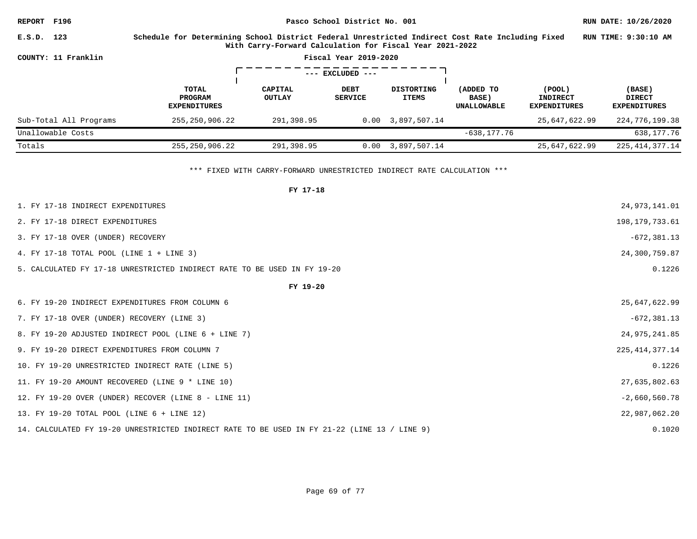**REPORT F196 Pasco School District No. 001 RUN DATE: 10/26/2020 E.S.D. 123 Schedule for Determining School District Federal Unrestricted Indirect Cost Rate Including Fixed RUN TIME: 9:30:10 AM With Carry-Forward Calculation for Fiscal Year 2021-2022 COUNTY: 11 Franklin Fiscal Year 2019-2020** ゠゠ヿ  $\mathsf{r}$ **--- EXCLUDED --- TOTAL CAPITAL DEBT DISTORTING (ADDED TO (POOL) (BASE) PROGRAM OUTLAY SERVICE ITEMS INDIRECT DIRECT BASE) EXPENDITURES UNALLOWABLE EXPENDITURES EXPENDITURES** Sub-Total All Programs 255,250,906.22 291,398.95 0.00 3,897,507.14 25,647,622.99 224,776,199.38 Unallowable Costs -638,177.76 638,177.76 Totals 255,250,906.22 291,398.95 0.00 3,897,507.14 25,647,622.99 225,414,377.14

\*\*\* FIXED WITH CARRY-FORWARD UNRESTRICTED INDIRECT RATE CALCULATION \*\*\*

| FY 17-18                                                                                     |                   |
|----------------------------------------------------------------------------------------------|-------------------|
| 1. FY 17-18 INDIRECT EXPENDITURES                                                            | 24, 973, 141.01   |
| 2. FY 17-18 DIRECT EXPENDITURES                                                              | 198, 179, 733.61  |
| 3. FY 17-18 OVER (UNDER) RECOVERY                                                            | $-672, 381.13$    |
| 4. FY 17-18 TOTAL POOL (LINE 1 + LINE 3)                                                     | 24,300,759.87     |
| 5. CALCULATED FY 17-18 UNRESTRICTED INDIRECT RATE TO BE USED IN FY 19-20                     | 0.1226            |
| FY 19-20                                                                                     |                   |
| 6. FY 19-20 INDIRECT EXPENDITURES FROM COLUMN 6                                              | 25,647,622.99     |
| 7. FY 17-18 OVER (UNDER) RECOVERY (LINE 3)                                                   | $-672, 381.13$    |
| 8. FY 19-20 ADJUSTED INDIRECT POOL (LINE 6 + LINE 7)                                         | 24,975,241.85     |
| 9. FY 19-20 DIRECT EXPENDITURES FROM COLUMN 7                                                | 225, 414, 377. 14 |
| 10. FY 19-20 UNRESTRICTED INDIRECT RATE (LINE 5)                                             | 0.1226            |
| 11. FY 19-20 AMOUNT RECOVERED (LINE 9 * LINE 10)                                             | 27,635,802.63     |
| 12. FY 19-20 OVER (UNDER) RECOVER (LINE 8 - LINE 11)                                         | $-2,660,560.78$   |
| 13. FY 19-20 TOTAL POOL (LINE 6 + LINE 12)                                                   | 22,987,062.20     |
| 14. CALCULATED FY 19-20 UNRESTRICTED INDIRECT RATE TO BE USED IN FY 21-22 (LINE 13 / LINE 9) | 0.1020            |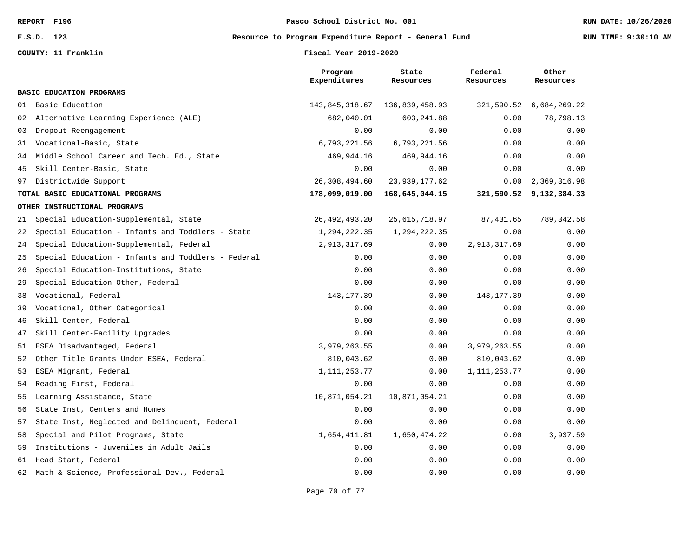**COUNTY: 11 Franklin Fiscal Year 2019-2020**

**E.S.D. 123 Resource to Program Expenditure Report - General Fund RUN TIME: 9:30:10 AM**

|    |                                                    | Program<br>Expenditures | State<br>Resources | Federal<br>Resources | Other<br>Resources      |
|----|----------------------------------------------------|-------------------------|--------------------|----------------------|-------------------------|
|    | <b>BASIC EDUCATION PROGRAMS</b>                    |                         |                    |                      |                         |
| 01 | Basic Education                                    | 143,845,318.67          | 136,839,458.93     | 321,590.52           | 6,684,269.22            |
| 02 | Alternative Learning Experience (ALE)              | 682,040.01              | 603, 241.88        | 0.00                 | 78,798.13               |
| 03 | Dropout Reengagement                               | 0.00                    | 0.00               | 0.00                 | 0.00                    |
| 31 | Vocational-Basic, State                            | 6,793,221.56            | 6,793,221.56       | 0.00                 | 0.00                    |
| 34 | Middle School Career and Tech. Ed., State          | 469,944.16              | 469,944.16         | 0.00                 | 0.00                    |
| 45 | Skill Center-Basic, State                          | 0.00                    | 0.00               | 0.00                 | 0.00                    |
| 97 | Districtwide Support                               | 26,308,494.60           | 23,939,177.62      | 0.00                 | 2,369,316.98            |
|    | TOTAL BASIC EDUCATIONAL PROGRAMS                   | 178,099,019.00          | 168,645,044.15     |                      | 321,590.52 9,132,384.33 |
|    | OTHER INSTRUCTIONAL PROGRAMS                       |                         |                    |                      |                         |
| 21 | Special Education-Supplemental, State              | 26, 492, 493. 20        | 25, 615, 718.97    | 87, 431.65           | 789, 342.58             |
| 22 | Special Education - Infants and Toddlers - State   | 1,294,222.35            | 1,294,222.35       | 0.00                 | 0.00                    |
| 24 | Special Education-Supplemental, Federal            | 2,913,317.69            | 0.00               | 2,913,317.69         | 0.00                    |
| 25 | Special Education - Infants and Toddlers - Federal | 0.00                    | 0.00               | 0.00                 | 0.00                    |
| 26 | Special Education-Institutions, State              | 0.00                    | 0.00               | 0.00                 | 0.00                    |
| 29 | Special Education-Other, Federal                   | 0.00                    | 0.00               | 0.00                 | 0.00                    |
| 38 | Vocational, Federal                                | 143, 177.39             | 0.00               | 143, 177.39          | 0.00                    |
| 39 | Vocational, Other Categorical                      | 0.00                    | 0.00               | 0.00                 | 0.00                    |
| 46 | Skill Center, Federal                              | 0.00                    | 0.00               | 0.00                 | 0.00                    |
| 47 | Skill Center-Facility Upgrades                     | 0.00                    | 0.00               | 0.00                 | 0.00                    |
| 51 | ESEA Disadvantaged, Federal                        | 3,979,263.55            | 0.00               | 3,979,263.55         | 0.00                    |
| 52 | Other Title Grants Under ESEA, Federal             | 810,043.62              | 0.00               | 810,043.62           | 0.00                    |
| 53 | ESEA Migrant, Federal                              | 1, 111, 253. 77         | 0.00               | 1, 111, 253.77       | 0.00                    |
| 54 | Reading First, Federal                             | 0.00                    | 0.00               | 0.00                 | 0.00                    |
| 55 | Learning Assistance, State                         | 10,871,054.21           | 10,871,054.21      | 0.00                 | 0.00                    |
| 56 | State Inst, Centers and Homes                      | 0.00                    | 0.00               | 0.00                 | 0.00                    |
| 57 | State Inst, Neglected and Delinquent, Federal      | 0.00                    | 0.00               | 0.00                 | 0.00                    |
| 58 | Special and Pilot Programs, State                  | 1,654,411.81            | 1,650,474.22       | 0.00                 | 3,937.59                |
| 59 | Institutions - Juveniles in Adult Jails            | 0.00                    | 0.00               | 0.00                 | 0.00                    |
| 61 | Head Start, Federal                                | 0.00                    | 0.00               | 0.00                 | 0.00                    |
| 62 | Math & Science, Professional Dev., Federal         | 0.00                    | 0.00               | 0.00                 | 0.00                    |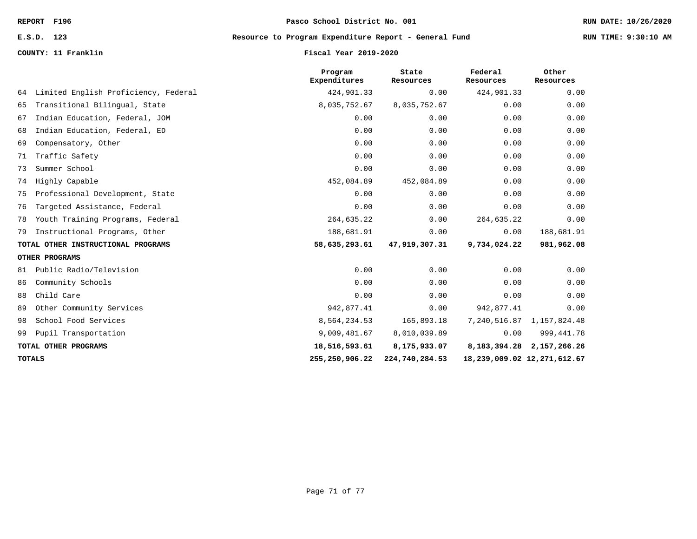# **E.S.D. 123 Resource to Program Expenditure Report - General Fund RUN TIME: 9:30:10 AM**

### **COUNTY: 11 Franklin Fiscal Year 2019-2020**

|    |                                      | Program<br>Expenditures | State<br>Resources | Federal<br>Resources | Other<br>Resources              |
|----|--------------------------------------|-------------------------|--------------------|----------------------|---------------------------------|
| 64 | Limited English Proficiency, Federal | 424,901.33              | 0.00               | 424,901.33           | 0.00                            |
| 65 | Transitional Bilingual, State        | 8,035,752.67            | 8,035,752.67       | 0.00                 | 0.00                            |
| 67 | Indian Education, Federal, JOM       | 0.00                    | 0.00               | 0.00                 | 0.00                            |
| 68 | Indian Education, Federal, ED        | 0.00                    | 0.00               | 0.00                 | 0.00                            |
| 69 | Compensatory, Other                  | 0.00                    | 0.00               | 0.00                 | 0.00                            |
| 71 | Traffic Safety                       | 0.00                    | 0.00               | 0.00                 | 0.00                            |
| 73 | Summer School                        | 0.00                    | 0.00               | 0.00                 | 0.00                            |
| 74 | Highly Capable                       | 452,084.89              | 452,084.89         | 0.00                 | 0.00                            |
| 75 | Professional Development, State      | 0.00                    | 0.00               | 0.00                 | 0.00                            |
| 76 | Targeted Assistance, Federal         | 0.00                    | 0.00               | 0.00                 | 0.00                            |
| 78 | Youth Training Programs, Federal     | 264,635.22              | 0.00               | 264,635.22           | 0.00                            |
| 79 | Instructional Programs, Other        | 188,681.91              | 0.00               | 0.00                 | 188,681.91                      |
|    | TOTAL OTHER INSTRUCTIONAL PROGRAMS   | 58,635,293.61           | 47,919,307.31      | 9,734,024.22         | 981,962.08                      |
|    | OTHER PROGRAMS                       |                         |                    |                      |                                 |
| 81 | Public Radio/Television              | 0.00                    | 0.00               | 0.00                 | 0.00                            |
| 86 | Community Schools                    | 0.00                    | 0.00               | 0.00                 | 0.00                            |
| 88 | Child Care                           | 0.00                    | 0.00               | 0.00                 | 0.00                            |
| 89 | Other Community Services             | 942,877.41              | 0.00               | 942,877.41           | 0.00                            |
| 98 | School Food Services                 | 8,564,234.53            | 165,893.18         |                      | 7, 240, 516.87 1, 157, 824.48   |
| 99 | Pupil Transportation                 | 9,009,481.67            | 8,010,039.89       | 0.00                 | 999, 441.78                     |
|    | TOTAL OTHER PROGRAMS                 | 18,516,593.61           | 8,175,933.07       |                      | 8, 183, 394. 28 2, 157, 266. 26 |
|    | <b>TOTALS</b>                        | 255, 250, 906. 22       | 224,740,284.53     |                      | 18, 239, 009.02 12, 271, 612.67 |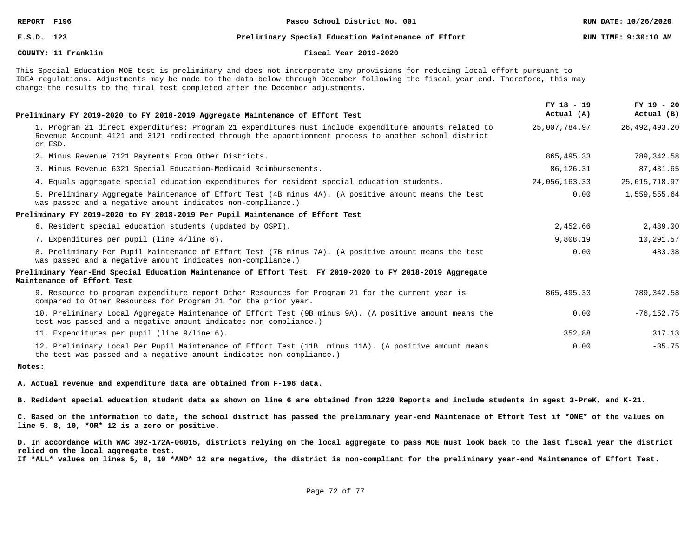### **E.S.D. 123 Preliminary Special Education Maintenance of Effort RUN TIME: 9:30:10 AM**

### **COUNTY: 11 Franklin Fiscal Year 2019-2020**

This Special Education MOE test is preliminary and does not incorporate any provisions for reducing local effort pursuant to IDEA regulations. Adjustments may be made to the data below through December following the fiscal year end. Therefore, this may change the results to the final test completed after the December adjustments.

| Preliminary FY 2019-2020 to FY 2018-2019 Aggregate Maintenance of Effort Test                                                                                                                                              | FY 18 - 19<br>Actual (A) | $FY$ 19 - 20<br>Actual (B) |
|----------------------------------------------------------------------------------------------------------------------------------------------------------------------------------------------------------------------------|--------------------------|----------------------------|
| 1. Program 21 direct expenditures: Program 21 expenditures must include expenditure amounts related to<br>Revenue Account 4121 and 3121 redirected through the apportionment process to another school district<br>or ESD. | 25,007,784.97            | 26, 492, 493. 20           |
| 2. Minus Revenue 7121 Payments From Other Districts.                                                                                                                                                                       | 865, 495.33              | 789, 342.58                |
| 3. Minus Revenue 6321 Special Education-Medicaid Reimbursements.                                                                                                                                                           | 86,126.31                | 87, 431.65                 |
| 4. Equals aggregate special education expenditures for resident special education students.                                                                                                                                | 24,056,163.33            | 25,615,718.97              |
| 5. Preliminary Aggregate Maintenance of Effort Test (4B minus 4A). (A positive amount means the test<br>was passed and a negative amount indicates non-compliance.)                                                        | 0.00                     | 1,559,555.64               |
| Preliminary FY 2019-2020 to FY 2018-2019 Per Pupil Maintenance of Effort Test                                                                                                                                              |                          |                            |
| 6. Resident special education students (updated by OSPI).                                                                                                                                                                  | 2,452.66                 | 2,489.00                   |
| 7. Expenditures per pupil (line 4/line 6).                                                                                                                                                                                 | 9,808.19                 | 10,291.57                  |
| 8. Preliminary Per Pupil Maintenance of Effort Test (7B minus 7A). (A positive amount means the test<br>was passed and a negative amount indicates non-compliance.)                                                        | 0.00                     | 483.38                     |
| Preliminary Year-End Special Education Maintenance of Effort Test FY 2019-2020 to FY 2018-2019 Aggregate<br>Maintenance of Effort Test                                                                                     |                          |                            |
| 9. Resource to program expenditure report Other Resources for Program 21 for the current year is<br>compared to Other Resources for Program 21 for the prior year.                                                         | 865, 495. 33             | 789, 342.58                |
| 10. Preliminary Local Aggregate Maintenance of Effort Test (9B minus 9A). (A positive amount means the<br>test was passed and a negative amount indicates non-compliance.)                                                 | 0.00                     | $-76, 152.75$              |
| 11. Expenditures per pupil (line 9/line 6).                                                                                                                                                                                | 352.88                   | 317.13                     |
| 12. Preliminary Local Per Pupil Maintenance of Effort Test (11B minus 11A). (A positive amount means<br>the test was passed and a negative amount indicates non-compliance.)                                               | 0.00                     | $-35.75$                   |

### **Notes:**

**A. Actual revenue and expenditure data are obtained from F-196 data.**

**B. Redident special education student data as shown on line 6 are obtained from 1220 Reports and include students in agest 3-PreK, and K-21.**

**C. Based on the information to date, the school district has passed the preliminary year-end Maintenace of Effort Test if \*ONE\* of the values on line 5, 8, 10, \*OR\* 12 is a zero or positive.**

**D. In accordance with WAC 392-172A-06015, districts relying on the local aggregate to pass MOE must look back to the last fiscal year the district relied on the local aggregate test.**

**If \*ALL\* values on lines 5, 8, 10 \*AND\* 12 are negative, the district is non-compliant for the preliminary year-end Maintenance of Effort Test.**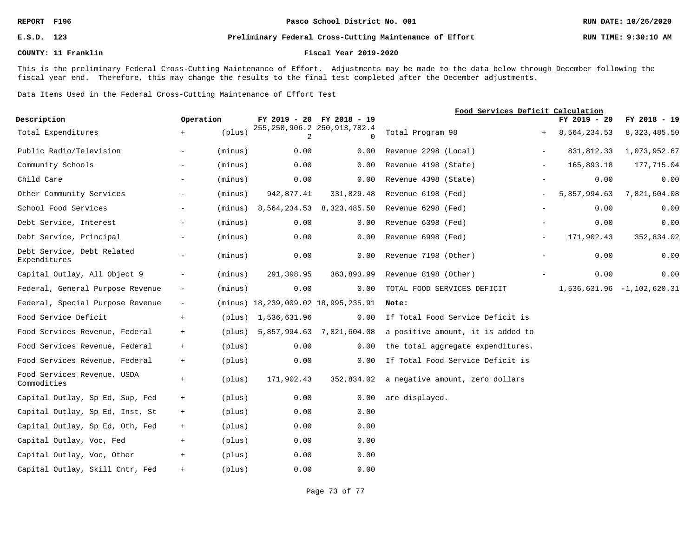### **REPORT F196 Pasco School District No. 001 RUN DATE: 10/26/2020**

#### **E.S.D. 123 Preliminary Federal Cross-Cutting Maintenance of Effort RUN TIME: 9:30:10 AM**

#### **COUNTY: 11 Franklin Fiscal Year 2019-2020**

This is the preliminary Federal Cross-Cutting Maintenance of Effort. Adjustments may be made to the data below through December following the fiscal year end. Therefore, this may change the results to the final test completed after the December adjustments.

Data Items Used in the Federal Cross-Cutting Maintenance of Effort Test

|                                            |                          |         |                                           | Food Services Deficit Calculation |                                            |                          |              |                            |
|--------------------------------------------|--------------------------|---------|-------------------------------------------|-----------------------------------|--------------------------------------------|--------------------------|--------------|----------------------------|
| Description                                | Operation                |         |                                           | FY 2019 - 20 FY 2018 - 19         |                                            |                          | FY 2019 - 20 | FY 2018 - 19               |
| Total Expenditures                         | $+$                      | (plus)  | 255, 250, 906.2 250, 913, 782.4<br>2      | <sup>n</sup>                      | Total Program 98                           |                          | 8,564,234.53 | 8,323,485.50               |
| Public Radio/Television                    | $-$                      | (minus) | 0.00                                      | 0.00                              | Revenue 2298 (Local)                       | $-$                      | 831,812.33   | 1,073,952.67               |
| Community Schools                          | $\overline{\phantom{0}}$ | (minus) | 0.00                                      | 0.00                              | Revenue 4198 (State)                       | $\overline{\phantom{0}}$ | 165,893.18   | 177,715.04                 |
| Child Care                                 | $-$                      | (minus) | 0.00                                      | 0.00                              | Revenue 4398 (State)                       |                          | 0.00         | 0.00                       |
| Other Community Services                   | $-$                      | (minus) | 942,877.41                                | 331,829.48                        | Revenue 6198 (Fed)                         | $\overline{\phantom{0}}$ | 5,857,994.63 | 7,821,604.08               |
| School Food Services                       | $-$                      | (minus) |                                           | 8,564,234.53 8,323,485.50         | Revenue 6298 (Fed)                         | $\overline{\phantom{a}}$ | 0.00         | 0.00                       |
| Debt Service, Interest                     | $-$                      | (minus) | 0.00                                      | 0.00                              | Revenue 6398 (Fed)                         |                          | 0.00         | 0.00                       |
| Debt Service, Principal                    | $\sim$                   | (minus) | 0.00                                      | 0.00                              | Revenue 6998 (Fed)                         | $-$                      | 171,902.43   | 352,834.02                 |
| Debt Service, Debt Related<br>Expenditures | $ \,$                    | (minus) | 0.00                                      | 0.00                              | Revenue 7198 (Other)                       | $-$                      | 0.00         | 0.00                       |
| Capital Outlay, All Object 9               | $-$                      | (minus) | 291,398.95                                | 363,893.99                        | Revenue 8198 (Other)                       |                          | 0.00         | 0.00                       |
| Federal, General Purpose Revenue           | $-$                      | (minus) | 0.00                                      | 0.00                              | TOTAL FOOD SERVICES DEFICIT                |                          |              | 1,536,631.96 -1,102,620.31 |
| Federal, Special Purpose Revenue           | $\overline{\phantom{a}}$ |         | $(minus) 18, 239, 009.02 18, 995, 235.91$ |                                   | Note:                                      |                          |              |                            |
| Food Service Deficit                       | $+$                      |         | (plus) 1,536,631.96                       | 0.00                              | If Total Food Service Deficit is           |                          |              |                            |
| Food Services Revenue, Federal             | $+$                      | (plus)  |                                           | 5,857,994.63 7,821,604.08         | a positive amount, it is added to          |                          |              |                            |
| Food Services Revenue, Federal             | $+$                      | (plus)  | 0.00                                      | 0.00                              | the total aggregate expenditures.          |                          |              |                            |
| Food Services Revenue, Federal             | $+$                      | (plus)  | 0.00                                      | 0.00                              | If Total Food Service Deficit is           |                          |              |                            |
| Food Services Revenue, USDA<br>Commodities | $+$                      | (plus)  | 171,902.43                                |                                   | 352,834.02 a negative amount, zero dollars |                          |              |                            |
| Capital Outlay, Sp Ed, Sup, Fed            | $+$                      | (plus)  | 0.00                                      | 0.00                              | are displayed.                             |                          |              |                            |
| Capital Outlay, Sp Ed, Inst, St            | $+$                      | (plus)  | 0.00                                      | 0.00                              |                                            |                          |              |                            |
| Capital Outlay, Sp Ed, Oth, Fed            | $+$                      | (plus)  | 0.00                                      | 0.00                              |                                            |                          |              |                            |
| Capital Outlay, Voc, Fed                   | $+$                      | (plus)  | 0.00                                      | 0.00                              |                                            |                          |              |                            |
| Capital Outlay, Voc, Other                 | $+$                      | (plus)  | 0.00                                      | 0.00                              |                                            |                          |              |                            |
| Capital Outlay, Skill Cntr, Fed            | $+$                      | (plus)  | 0.00                                      | 0.00                              |                                            |                          |              |                            |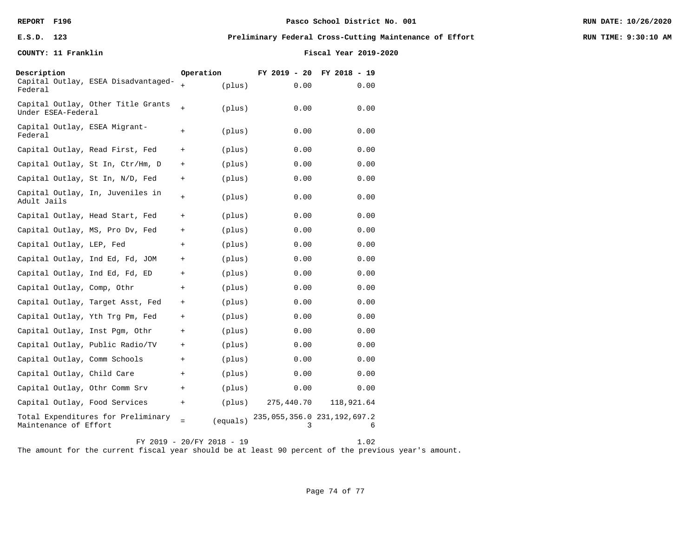## **REPORT F196 Pasco School District No. 001 RUN DATE: 10/26/2020**

#### **E.S.D. 123 Preliminary Federal Cross-Cutting Maintenance of Effort RUN TIME: 9:30:10 AM**

**COUNTY: 11 Franklin Fiscal Year 2019-2020**

| Description<br>Federal   | Capital Outlay, ESEA Disadvantaged- | Operation<br>$+$ | (plus)   | FY 2019 - 20<br>0.00                 | FY 2018 - 19<br>0.00 |
|--------------------------|-------------------------------------|------------------|----------|--------------------------------------|----------------------|
| Under ESEA-Federal       | Capital Outlay, Other Title Grants  | $+$              | (plus)   | 0.00                                 | 0.00                 |
| Federal                  | Capital Outlay, ESEA Migrant-       | $+$              | (plus)   | 0.00                                 | 0.00                 |
|                          | Capital Outlay, Read First, Fed     | $^{+}$           | (plus)   | 0.00                                 | 0.00                 |
|                          | Capital Outlay, St In, Ctr/Hm, D    | $^{+}$           | (plus)   | 0.00                                 | 0.00                 |
|                          | Capital Outlay, St In, N/D, Fed     | $^{+}$           | (plus)   | 0.00                                 | 0.00                 |
| Adult Jails              | Capital Outlay, In, Juveniles in    | $+$              | (plus)   | 0.00                                 | 0.00                 |
|                          | Capital Outlay, Head Start, Fed     | $+$              | (plus)   | 0.00                                 | 0.00                 |
|                          | Capital Outlay, MS, Pro Dv, Fed     | $+$              | (plus)   | 0.00                                 | 0.00                 |
| Capital Outlay, LEP, Fed |                                     | $^{+}$           | (plus)   | 0.00                                 | 0.00                 |
|                          | Capital Outlay, Ind Ed, Fd, JOM     | $^{+}$           | (plus)   | 0.00                                 | 0.00                 |
|                          | Capital Outlay, Ind Ed, Fd, ED      | $^{+}$           | (plus)   | 0.00                                 | 0.00                 |
|                          | Capital Outlay, Comp, Othr          | $^{+}$           | (plus)   | 0.00                                 | 0.00                 |
|                          | Capital Outlay, Target Asst, Fed    | $^{+}$           | (plus)   | 0.00                                 | 0.00                 |
|                          | Capital Outlay, Yth Trg Pm, Fed     | $+$              | (plus)   | 0.00                                 | 0.00                 |
|                          | Capital Outlay, Inst Pgm, Othr      | $+$              | (plus)   | 0.00                                 | 0.00                 |
|                          | Capital Outlay, Public Radio/TV     | $+$              | (plus)   | 0.00                                 | 0.00                 |
|                          | Capital Outlay, Comm Schools        | $+$              | (plus)   | 0.00                                 | 0.00                 |
|                          | Capital Outlay, Child Care          | $+$              | (plus)   | 0.00                                 | 0.00                 |
|                          | Capital Outlay, Othr Comm Srv       | $^{+}$           | (plus)   | 0.00                                 | 0.00                 |
|                          | Capital Outlay, Food Services       | $+$              | (plus)   | 275,440.70                           | 118,921.64           |
| Maintenance of Effort    | Total Expenditures for Preliminary  | $=$              | (equals) | 235, 055, 356.0 231, 192, 697.2<br>3 | 6                    |

FY 2019 - 20/FY 2018 - 19 1.02 The amount for the current fiscal year should be at least 90 percent of the previous year's amount.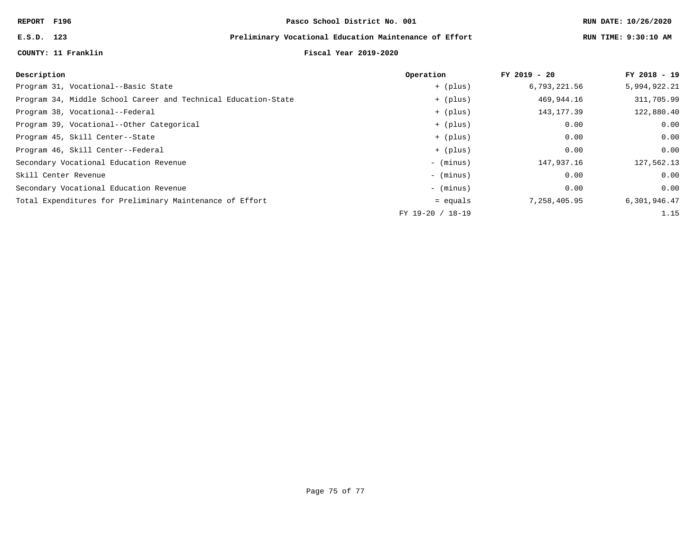## **E.S.D. 123 Preliminary Vocational Education Maintenance of Effort RUN TIME: 9:30:10 AM**

### **COUNTY: 11 Franklin Fiscal Year 2019-2020**

|  |  | RUN TIME: 9:30:10 Z |  |
|--|--|---------------------|--|
|--|--|---------------------|--|

| Description                                                    | Operation        | $FY$ 2019 - 20 | FY 2018 - 19 |
|----------------------------------------------------------------|------------------|----------------|--------------|
| Program 31, Vocational--Basic State                            | + (plus)         | 6,793,221.56   | 5,994,922.21 |
| Program 34, Middle School Career and Technical Education-State | + (plus)         | 469,944.16     | 311,705.99   |
| Program 38, Vocational--Federal                                | + (plus)         | 143, 177.39    | 122,880.40   |
| Program 39, Vocational--Other Categorical                      | + (plus)         | 0.00           | 0.00         |
| Program 45, Skill Center--State                                | + (plus)         | 0.00           | 0.00         |
| Program 46, Skill Center--Federal                              | + (plus)         | 0.00           | 0.00         |
| Secondary Vocational Education Revenue                         | - (minus)        | 147,937.16     | 127,562.13   |
| Skill Center Revenue                                           | - (minus)        | 0.00           | 0.00         |
| Secondary Vocational Education Revenue                         | - (minus)        | 0.00           | 0.00         |
| Total Expenditures for Preliminary Maintenance of Effort       | $=$ equals       | 7,258,405.95   | 6,301,946.47 |
|                                                                | FY 19-20 / 18-19 |                | 1.15         |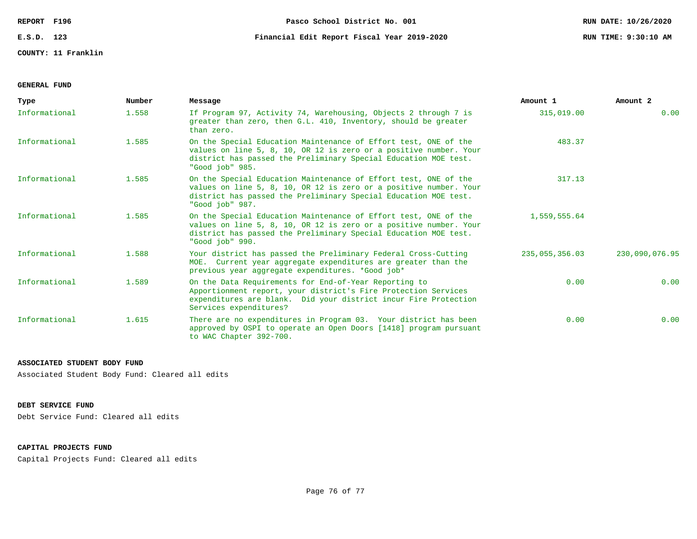**COUNTY: 11 Franklin**

## **GENERAL FUND**

| Type          | Number | Message                                                                                                                                                                                                                    | Amount 1       | Amount 2       |
|---------------|--------|----------------------------------------------------------------------------------------------------------------------------------------------------------------------------------------------------------------------------|----------------|----------------|
| Informational | 1.558  | If Program 97, Activity 74, Warehousing, Objects 2 through 7 is<br>greater than zero, then G.L. 410, Inventory, should be greater<br>than zero.                                                                            | 315,019.00     | 0.00           |
| Informational | 1.585  | On the Special Education Maintenance of Effort test, ONE of the<br>values on line 5, 8, 10, OR 12 is zero or a positive number. Your<br>district has passed the Preliminary Special Education MOE test.<br>"Good job" 985. | 483.37         |                |
| Informational | 1.585  | On the Special Education Maintenance of Effort test, ONE of the<br>values on line 5, 8, 10, OR 12 is zero or a positive number. Your<br>district has passed the Preliminary Special Education MOE test.<br>"Good job" 987. | 317.13         |                |
| Informational | 1.585  | On the Special Education Maintenance of Effort test, ONE of the<br>values on line 5, 8, 10, OR 12 is zero or a positive number. Your<br>district has passed the Preliminary Special Education MOE test.<br>"Good job" 990. | 1,559,555.64   |                |
| Informational | 1.588  | Your district has passed the Preliminary Federal Cross-Cutting<br>MOE. Current year aggregate expenditures are greater than the<br>previous year aggregate expenditures. *Good job*                                        | 235,055,356.03 | 230,090,076.95 |
| Informational | 1.589  | On the Data Requirements for End-of-Year Reporting to<br>Apportionment report, your district's Fire Protection Services<br>expenditures are blank. Did your district incur Fire Protection<br>Services expenditures?       | 0.00           | 0.00           |
| Informational | 1.615  | There are no expenditures in Program 03. Your district has been<br>approved by OSPI to operate an Open Doors [1418] program pursuant<br>to WAC Chapter 392-700.                                                            | 0.00           | 0.00           |

#### **ASSOCIATED STUDENT BODY FUND**

Associated Student Body Fund: Cleared all edits

## **DEBT SERVICE FUND**

Debt Service Fund: Cleared all edits

## **CAPITAL PROJECTS FUND**

Capital Projects Fund: Cleared all edits

# **E.S.D. 123 Financial Edit Report Fiscal Year 2019-2020 RUN TIME: 9:30:10 AM**